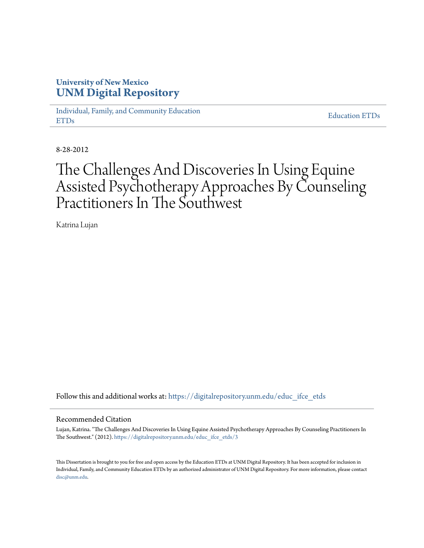# **University of New Mexico [UNM Digital Repository](https://digitalrepository.unm.edu?utm_source=digitalrepository.unm.edu%2Feduc_ifce_etds%2F3&utm_medium=PDF&utm_campaign=PDFCoverPages)**

[Individual, Family, and Community Education](https://digitalrepository.unm.edu/educ_ifce_etds?utm_source=digitalrepository.unm.edu%2Feduc_ifce_etds%2F3&utm_medium=PDF&utm_campaign=PDFCoverPages) [ETDs](https://digitalrepository.unm.edu/educ_ifce_etds?utm_source=digitalrepository.unm.edu%2Feduc_ifce_etds%2F3&utm_medium=PDF&utm_campaign=PDFCoverPages)

[Education ETDs](https://digitalrepository.unm.edu/educ_etds?utm_source=digitalrepository.unm.edu%2Feduc_ifce_etds%2F3&utm_medium=PDF&utm_campaign=PDFCoverPages)

8-28-2012

# The Challenges And Discoveries In Using Equine Assisted Psychotherapy Approaches By Counseling Practitioners In The Southwest

Katrina Lujan

Follow this and additional works at: [https://digitalrepository.unm.edu/educ\\_ifce\\_etds](https://digitalrepository.unm.edu/educ_ifce_etds?utm_source=digitalrepository.unm.edu%2Feduc_ifce_etds%2F3&utm_medium=PDF&utm_campaign=PDFCoverPages)

#### Recommended Citation

Lujan, Katrina. "The Challenges And Discoveries In Using Equine Assisted Psychotherapy Approaches By Counseling Practitioners In The Southwest." (2012). [https://digitalrepository.unm.edu/educ\\_ifce\\_etds/3](https://digitalrepository.unm.edu/educ_ifce_etds/3?utm_source=digitalrepository.unm.edu%2Feduc_ifce_etds%2F3&utm_medium=PDF&utm_campaign=PDFCoverPages)

This Dissertation is brought to you for free and open access by the Education ETDs at UNM Digital Repository. It has been accepted for inclusion in Individual, Family, and Community Education ETDs by an authorized administrator of UNM Digital Repository. For more information, please contact [disc@unm.edu](mailto:disc@unm.edu).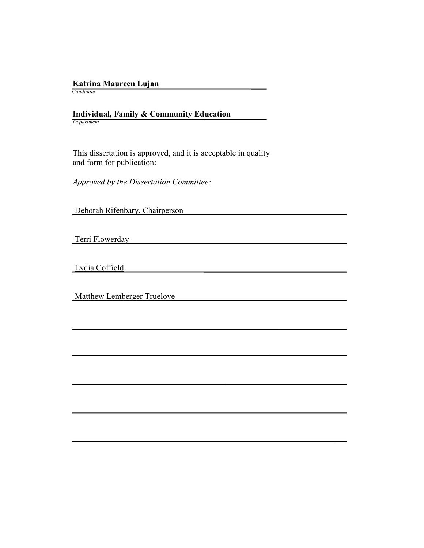# **Katrina Maureen Lujan**

 *Candidate*

 **Individual, Family & Community Education** *Department*

 This dissertation is approved, and it is acceptable in quality and form for publication:

*Approved by the Dissertation Committee:*

Deborah Rifenbary, Chairperson

Terri Flowerday

Lydia Coffield

Matthew Lemberger Truelove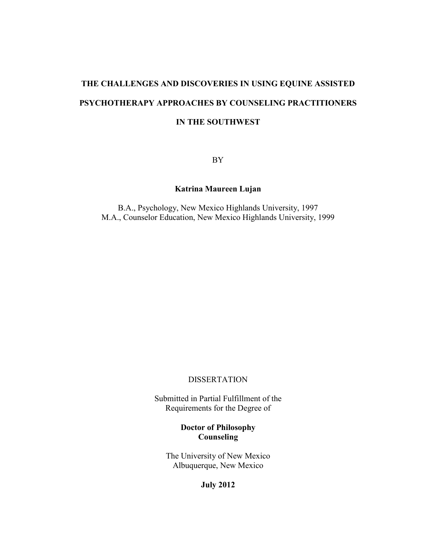# **THE CHALLENGES AND DISCOVERIES IN USING EQUINE ASSISTED PSYCHOTHERAPY APPROACHES BY COUNSELING PRACTITIONERS IN THE SOUTHWEST**

BY

# **Katrina Maureen Lujan**

B.A., Psychology, New Mexico Highlands University, 1997 M.A., Counselor Education, New Mexico Highlands University, 1999

#### **DISSERTATION**

Submitted in Partial Fulfillment of the Requirements for the Degree of

# **Doctor of Philosophy Counseling**

The University of New Mexico Albuquerque, New Mexico

**July 2012**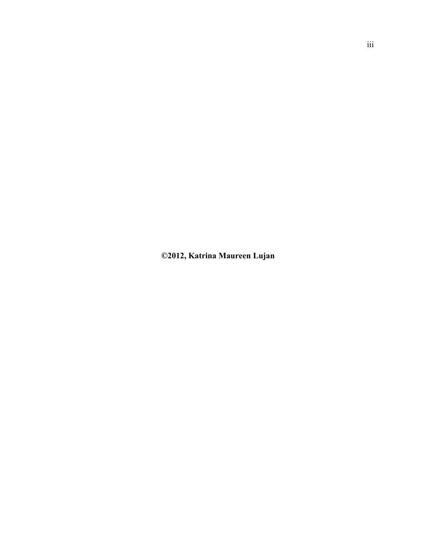**©2012, Katrina Maureen Lujan**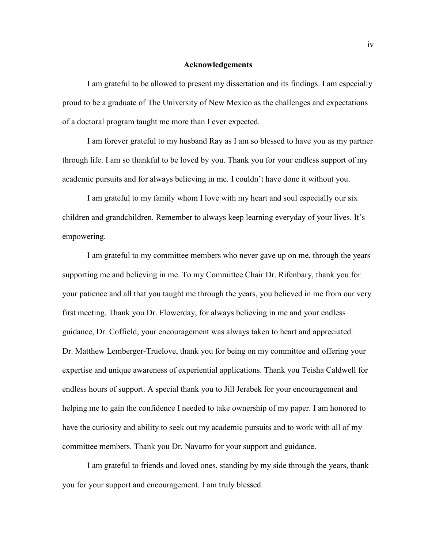#### **Acknowledgements**

I am grateful to be allowed to present my dissertation and its findings. I am especially proud to be a graduate of The University of New Mexico as the challenges and expectations of a doctoral program taught me more than I ever expected.

I am forever grateful to my husband Ray as I am so blessed to have you as my partner through life. I am so thankful to be loved by you. Thank you for your endless support of my academic pursuits and for always believing in me. I couldn't have done it without you.

I am grateful to my family whom I love with my heart and soul especially our six children and grandchildren. Remember to always keep learning everyday of your lives. It's empowering.

I am grateful to my committee members who never gave up on me, through the years supporting me and believing in me. To my Committee Chair Dr. Rifenbary, thank you for your patience and all that you taught me through the years, you believed in me from our very first meeting. Thank you Dr. Flowerday, for always believing in me and your endless guidance, Dr. Coffield, your encouragement was always taken to heart and appreciated. Dr. Matthew Lemberger-Truelove, thank you for being on my committee and offering your expertise and unique awareness of experiential applications. Thank you Teisha Caldwell for endless hours of support. A special thank you to Jill Jerabek for your encouragement and helping me to gain the confidence I needed to take ownership of my paper. I am honored to have the curiosity and ability to seek out my academic pursuits and to work with all of my committee members. Thank you Dr. Navarro for your support and guidance.

I am grateful to friends and loved ones, standing by my side through the years, thank you for your support and encouragement. I am truly blessed.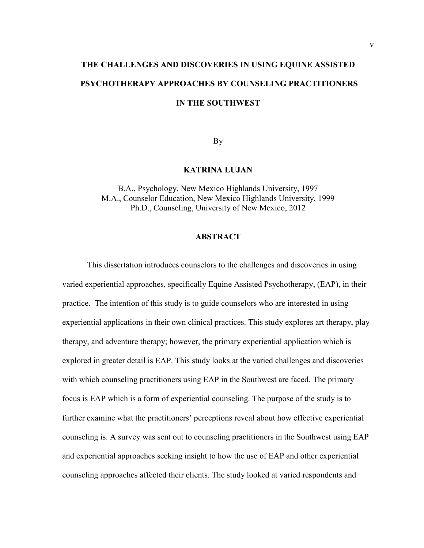# **THE CHALLENGES AND DISCOVERIES IN USING EQUINE ASSISTED PSYCHOTHERAPY APPROACHES BY COUNSELING PRACTITIONERS IN THE SOUTHWEST**

By

#### **KATRINA LUJAN**

B.A., Psychology, New Mexico Highlands University, 1997 M.A., Counselor Education, New Mexico Highlands University, 1999 Ph.D., Counseling, University of New Mexico, 2012

#### **ABSTRACT**

This dissertation introduces counselors to the challenges and discoveries in using varied experiential approaches, specifically Equine Assisted Psychotherapy, (EAP), in their practice. The intention of this study is to guide counselors who are interested in using experiential applications in their own clinical practices. This study explores art therapy, play therapy, and adventure therapy; however, the primary experiential application which is explored in greater detail is EAP. This study looks at the varied challenges and discoveries with which counseling practitioners using EAP in the Southwest are faced. The primary focus is EAP which is a form of experiential counseling. The purpose of the study is to further examine what the practitioners' perceptions reveal about how effective experiential counseling is. A survey was sent out to counseling practitioners in the Southwest using EAP and experiential approaches seeking insight to how the use of EAP and other experiential counseling approaches affected their clients. The study looked at varied respondents and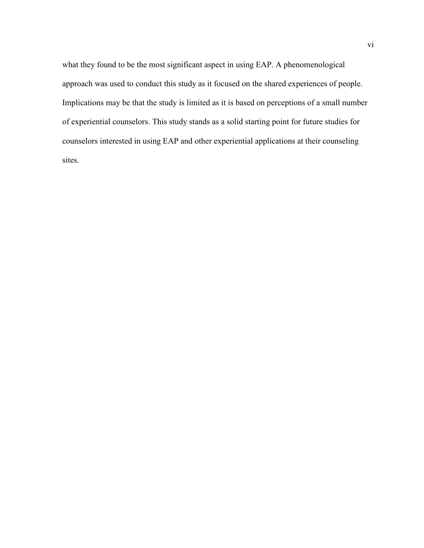what they found to be the most significant aspect in using EAP. A phenomenological approach was used to conduct this study as it focused on the shared experiences of people. Implications may be that the study is limited as it is based on perceptions of a small number of experiential counselors. This study stands as a solid starting point for future studies for counselors interested in using EAP and other experiential applications at their counseling sites.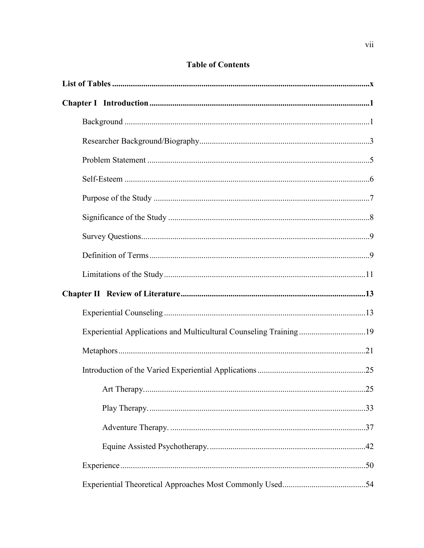| Experiential Applications and Multicultural Counseling Training19 |  |
|-------------------------------------------------------------------|--|
|                                                                   |  |
|                                                                   |  |
|                                                                   |  |
|                                                                   |  |
|                                                                   |  |
|                                                                   |  |
|                                                                   |  |
|                                                                   |  |

# **Table of Contents**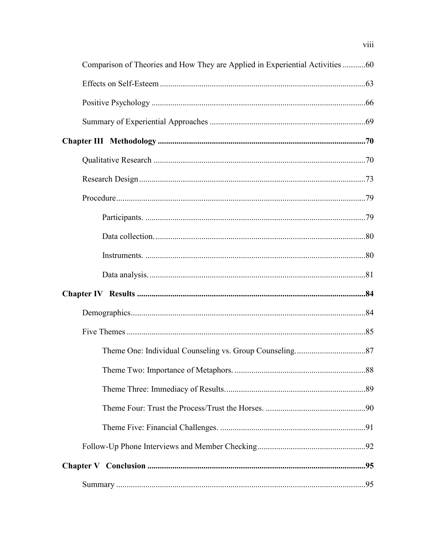| Comparison of Theories and How They are Applied in Experiential Activities 60 |  |
|-------------------------------------------------------------------------------|--|
|                                                                               |  |
|                                                                               |  |
|                                                                               |  |
|                                                                               |  |
|                                                                               |  |
|                                                                               |  |
|                                                                               |  |
|                                                                               |  |
|                                                                               |  |
|                                                                               |  |
|                                                                               |  |
|                                                                               |  |
|                                                                               |  |
|                                                                               |  |
|                                                                               |  |
|                                                                               |  |
|                                                                               |  |
|                                                                               |  |
|                                                                               |  |
|                                                                               |  |
|                                                                               |  |
|                                                                               |  |

viii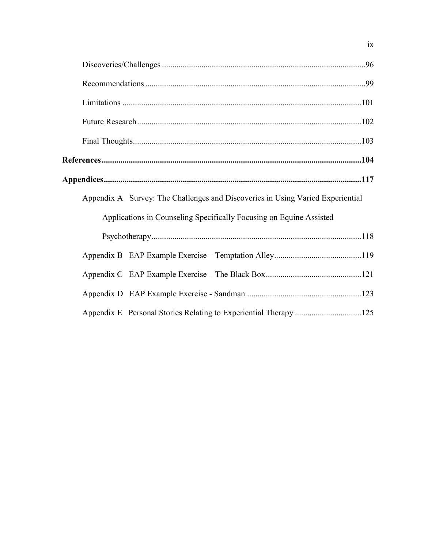| Appendix A Survey: The Challenges and Discoveries in Using Varied Experiential |  |  |  |  |  |
|--------------------------------------------------------------------------------|--|--|--|--|--|
| Applications in Counseling Specifically Focusing on Equine Assisted            |  |  |  |  |  |
|                                                                                |  |  |  |  |  |
|                                                                                |  |  |  |  |  |
|                                                                                |  |  |  |  |  |
|                                                                                |  |  |  |  |  |
| Appendix E Personal Stories Relating to Experiential Therapy 125               |  |  |  |  |  |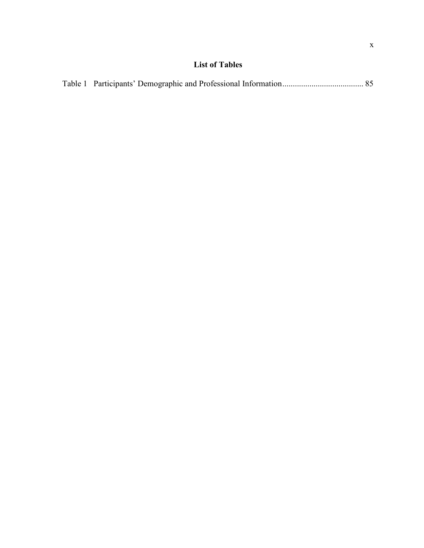# **List of Tables**

<span id="page-10-0"></span>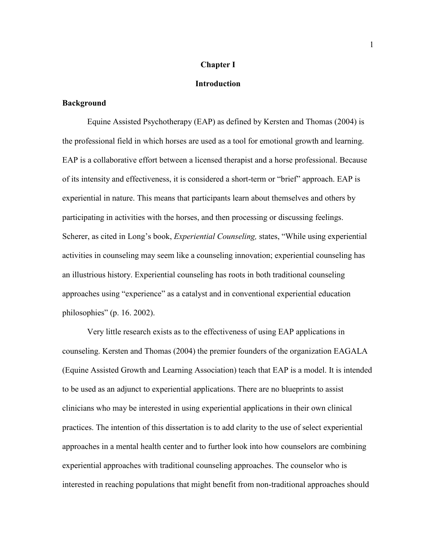### **Chapter I**

## **Introduction**

## <span id="page-11-1"></span><span id="page-11-0"></span>**Background**

Equine Assisted Psychotherapy (EAP) as defined by Kersten and Thomas (2004) is the professional field in which horses are used as a tool for emotional growth and learning. EAP is a collaborative effort between a licensed therapist and a horse professional. Because of its intensity and effectiveness, it is considered a short-term or "brief" approach. EAP is experiential in nature. This means that participants learn about themselves and others by participating in activities with the horses, and then processing or discussing feelings. Scherer, as cited in Long's book, *Experiential Counseling,* states, "While using experiential activities in counseling may seem like a counseling innovation; experiential counseling has an illustrious history. Experiential counseling has roots in both traditional counseling approaches using "experience" as a catalyst and in conventional experiential education philosophies" (p. 16. 2002).

Very little research exists as to the effectiveness of using EAP applications in counseling. Kersten and Thomas (2004) the premier founders of the organization EAGALA (Equine Assisted Growth and Learning Association) teach that EAP is a model. It is intended to be used as an adjunct to experiential applications. There are no blueprints to assist clinicians who may be interested in using experiential applications in their own clinical practices. The intention of this dissertation is to add clarity to the use of select experiential approaches in a mental health center and to further look into how counselors are combining experiential approaches with traditional counseling approaches. The counselor who is interested in reaching populations that might benefit from non-traditional approaches should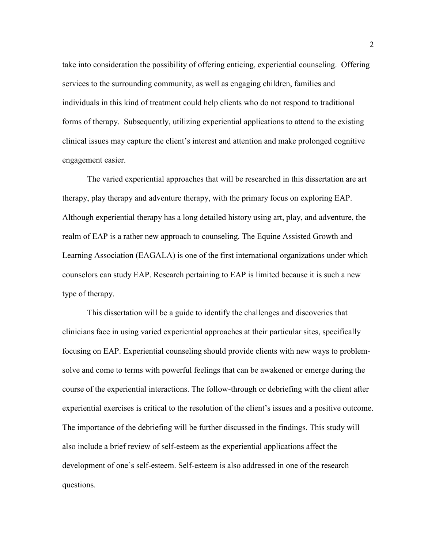take into consideration the possibility of offering enticing, experiential counseling. Offering services to the surrounding community, as well as engaging children, families and individuals in this kind of treatment could help clients who do not respond to traditional forms of therapy. Subsequently, utilizing experiential applications to attend to the existing clinical issues may capture the client's interest and attention and make prolonged cognitive engagement easier.

The varied experiential approaches that will be researched in this dissertation are art therapy, play therapy and adventure therapy, with the primary focus on exploring EAP. Although experiential therapy has a long detailed history using art, play, and adventure, the realm of EAP is a rather new approach to counseling. The Equine Assisted Growth and Learning Association (EAGALA) is one of the first international organizations under which counselors can study EAP. Research pertaining to EAP is limited because it is such a new type of therapy.

This dissertation will be a guide to identify the challenges and discoveries that clinicians face in using varied experiential approaches at their particular sites, specifically focusing on EAP. Experiential counseling should provide clients with new ways to problemsolve and come to terms with powerful feelings that can be awakened or emerge during the course of the experiential interactions. The follow-through or debriefing with the client after experiential exercises is critical to the resolution of the client's issues and a positive outcome. The importance of the debriefing will be further discussed in the findings. This study will also include a brief review of self-esteem as the experiential applications affect the development of one's self-esteem. Self-esteem is also addressed in one of the research questions.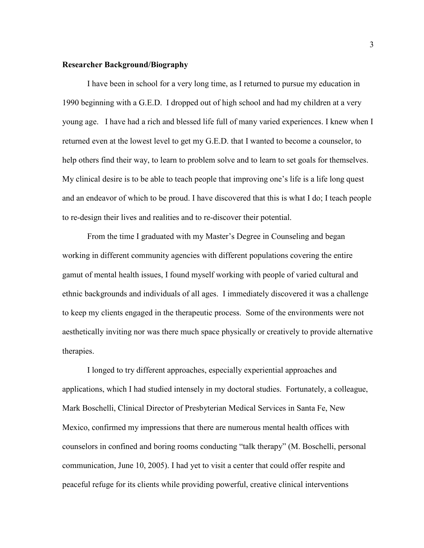## <span id="page-13-0"></span>**Researcher Background/Biography**

I have been in school for a very long time, as I returned to pursue my education in 1990 beginning with a G.E.D. I dropped out of high school and had my children at a very young age. I have had a rich and blessed life full of many varied experiences. I knew when I returned even at the lowest level to get my G.E.D. that I wanted to become a counselor, to help others find their way, to learn to problem solve and to learn to set goals for themselves. My clinical desire is to be able to teach people that improving one's life is a life long quest and an endeavor of which to be proud. I have discovered that this is what I do; I teach people to re-design their lives and realities and to re-discover their potential.

From the time I graduated with my Master's Degree in Counseling and began working in different community agencies with different populations covering the entire gamut of mental health issues, I found myself working with people of varied cultural and ethnic backgrounds and individuals of all ages. I immediately discovered it was a challenge to keep my clients engaged in the therapeutic process. Some of the environments were not aesthetically inviting nor was there much space physically or creatively to provide alternative therapies.

I longed to try different approaches, especially experiential approaches and applications, which I had studied intensely in my doctoral studies. Fortunately, a colleague, Mark Boschelli, Clinical Director of Presbyterian Medical Services in Santa Fe, New Mexico, confirmed my impressions that there are numerous mental health offices with counselors in confined and boring rooms conducting "talk therapy" (M. Boschelli, personal communication, June 10, 2005). I had yet to visit a center that could offer respite and peaceful refuge for its clients while providing powerful, creative clinical interventions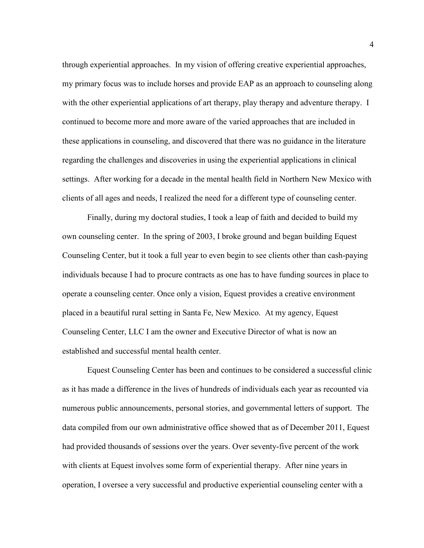through experiential approaches. In my vision of offering creative experiential approaches, my primary focus was to include horses and provide EAP as an approach to counseling along with the other experiential applications of art therapy, play therapy and adventure therapy. I continued to become more and more aware of the varied approaches that are included in these applications in counseling, and discovered that there was no guidance in the literature regarding the challenges and discoveries in using the experiential applications in clinical settings. After working for a decade in the mental health field in Northern New Mexico with clients of all ages and needs, I realized the need for a different type of counseling center.

Finally, during my doctoral studies, I took a leap of faith and decided to build my own counseling center. In the spring of 2003, I broke ground and began building Equest Counseling Center, but it took a full year to even begin to see clients other than cash-paying individuals because I had to procure contracts as one has to have funding sources in place to operate a counseling center. Once only a vision, Equest provides a creative environment placed in a beautiful rural setting in Santa Fe, New Mexico. At my agency, Equest Counseling Center, LLC I am the owner and Executive Director of what is now an established and successful mental health center.

Equest Counseling Center has been and continues to be considered a successful clinic as it has made a difference in the lives of hundreds of individuals each year as recounted via numerous public announcements, personal stories, and governmental letters of support. The data compiled from our own administrative office showed that as of December 2011, Equest had provided thousands of sessions over the years. Over seventy-five percent of the work with clients at Equest involves some form of experiential therapy. After nine years in operation, I oversee a very successful and productive experiential counseling center with a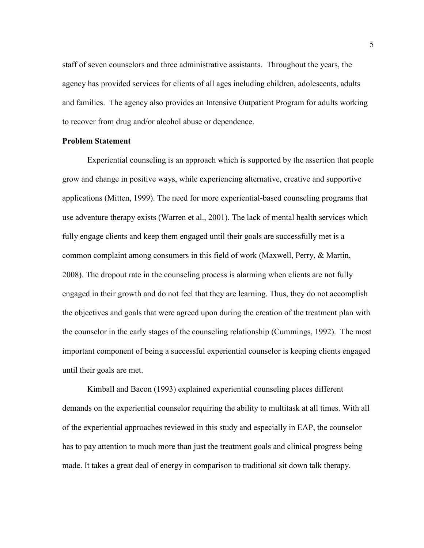staff of seven counselors and three administrative assistants. Throughout the years, the agency has provided services for clients of all ages including children, adolescents, adults and families. The agency also provides an Intensive Outpatient Program for adults working to recover from drug and/or alcohol abuse or dependence.

### <span id="page-15-0"></span>**Problem Statement**

Experiential counseling is an approach which is supported by the assertion that people grow and change in positive ways, while experiencing alternative, creative and supportive applications (Mitten, 1999). The need for more experiential-based counseling programs that use adventure therapy exists (Warren et al., 2001). The lack of mental health services which fully engage clients and keep them engaged until their goals are successfully met is a common complaint among consumers in this field of work (Maxwell, Perry, & Martin, 2008). The dropout rate in the counseling process is alarming when clients are not fully engaged in their growth and do not feel that they are learning. Thus, they do not accomplish the objectives and goals that were agreed upon during the creation of the treatment plan with the counselor in the early stages of the counseling relationship (Cummings, 1992). The most important component of being a successful experiential counselor is keeping clients engaged until their goals are met.

Kimball and Bacon (1993) explained experiential counseling places different demands on the experiential counselor requiring the ability to multitask at all times. With all of the experiential approaches reviewed in this study and especially in EAP, the counselor has to pay attention to much more than just the treatment goals and clinical progress being made. It takes a great deal of energy in comparison to traditional sit down talk therapy.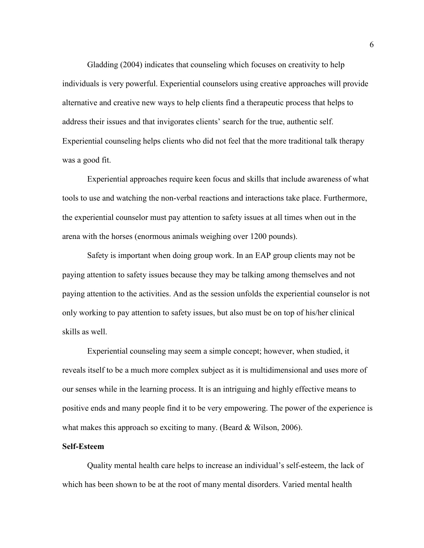Gladding (2004) indicates that counseling which focuses on creativity to help individuals is very powerful. Experiential counselors using creative approaches will provide alternative and creative new ways to help clients find a therapeutic process that helps to address their issues and that invigorates clients' search for the true, authentic self. Experiential counseling helps clients who did not feel that the more traditional talk therapy was a good fit.

Experiential approaches require keen focus and skills that include awareness of what tools to use and watching the non-verbal reactions and interactions take place. Furthermore, the experiential counselor must pay attention to safety issues at all times when out in the arena with the horses (enormous animals weighing over 1200 pounds).

Safety is important when doing group work. In an EAP group clients may not be paying attention to safety issues because they may be talking among themselves and not paying attention to the activities. And as the session unfolds the experiential counselor is not only working to pay attention to safety issues, but also must be on top of his/her clinical skills as well.

Experiential counseling may seem a simple concept; however, when studied, it reveals itself to be a much more complex subject as it is multidimensional and uses more of our senses while in the learning process. It is an intriguing and highly effective means to positive ends and many people find it to be very empowering. The power of the experience is what makes this approach so exciting to many. (Beard & Wilson, 2006).

### <span id="page-16-0"></span>**Self-Esteem**

Quality mental health care helps to increase an individual's self-esteem, the lack of which has been shown to be at the root of many mental disorders. Varied mental health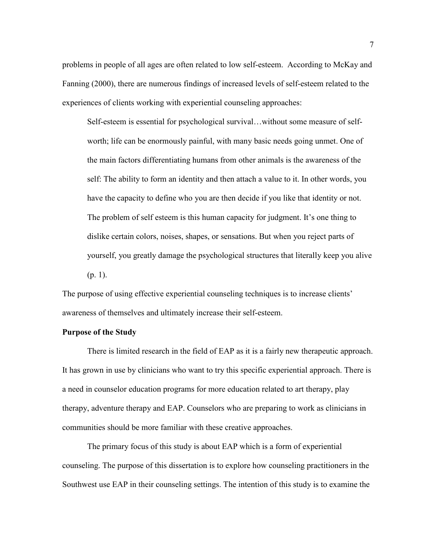problems in people of all ages are often related to low self-esteem. According to McKay and Fanning (2000), there are numerous findings of increased levels of self-esteem related to the experiences of clients working with experiential counseling approaches:

Self-esteem is essential for psychological survival…without some measure of selfworth; life can be enormously painful, with many basic needs going unmet. One of the main factors differentiating humans from other animals is the awareness of the self: The ability to form an identity and then attach a value to it. In other words, you have the capacity to define who you are then decide if you like that identity or not. The problem of self esteem is this human capacity for judgment. It's one thing to dislike certain colors, noises, shapes, or sensations. But when you reject parts of yourself, you greatly damage the psychological structures that literally keep you alive  $(p. 1)$ .

The purpose of using effective experiential counseling techniques is to increase clients' awareness of themselves and ultimately increase their self-esteem.

#### <span id="page-17-0"></span>**Purpose of the Study**

There is limited research in the field of EAP as it is a fairly new therapeutic approach. It has grown in use by clinicians who want to try this specific experiential approach. There is a need in counselor education programs for more education related to art therapy, play therapy, adventure therapy and EAP. Counselors who are preparing to work as clinicians in communities should be more familiar with these creative approaches.

The primary focus of this study is about EAP which is a form of experiential counseling. The purpose of this dissertation is to explore how counseling practitioners in the Southwest use EAP in their counseling settings. The intention of this study is to examine the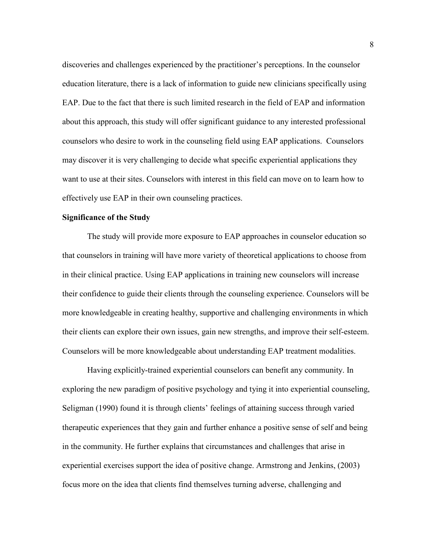discoveries and challenges experienced by the practitioner's perceptions. In the counselor education literature, there is a lack of information to guide new clinicians specifically using EAP. Due to the fact that there is such limited research in the field of EAP and information about this approach, this study will offer significant guidance to any interested professional counselors who desire to work in the counseling field using EAP applications. Counselors may discover it is very challenging to decide what specific experiential applications they want to use at their sites. Counselors with interest in this field can move on to learn how to effectively use EAP in their own counseling practices.

#### <span id="page-18-0"></span>**Significance of the Study**

The study will provide more exposure to EAP approaches in counselor education so that counselors in training will have more variety of theoretical applications to choose from in their clinical practice. Using EAP applications in training new counselors will increase their confidence to guide their clients through the counseling experience. Counselors will be more knowledgeable in creating healthy, supportive and challenging environments in which their clients can explore their own issues, gain new strengths, and improve their self-esteem. Counselors will be more knowledgeable about understanding EAP treatment modalities.

Having explicitly-trained experiential counselors can benefit any community. In exploring the new paradigm of positive psychology and tying it into experiential counseling, Seligman (1990) found it is through clients' feelings of attaining success through varied therapeutic experiences that they gain and further enhance a positive sense of self and being in the community. He further explains that circumstances and challenges that arise in experiential exercises support the idea of positive change. Armstrong and Jenkins, (2003) focus more on the idea that clients find themselves turning adverse, challenging and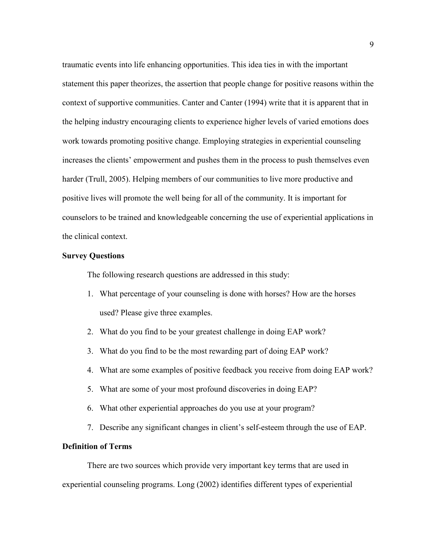traumatic events into life enhancing opportunities. This idea ties in with the important statement this paper theorizes, the assertion that people change for positive reasons within the context of supportive communities. Canter and Canter (1994) write that it is apparent that in the helping industry encouraging clients to experience higher levels of varied emotions does work towards promoting positive change. Employing strategies in experiential counseling increases the clients' empowerment and pushes them in the process to push themselves even harder (Trull, 2005). Helping members of our communities to live more productive and positive lives will promote the well being for all of the community. It is important for counselors to be trained and knowledgeable concerning the use of experiential applications in the clinical context.

#### <span id="page-19-0"></span>**Survey Questions**

The following research questions are addressed in this study:

- 1. What percentage of your counseling is done with horses? How are the horses used? Please give three examples.
- 2. What do you find to be your greatest challenge in doing EAP work?
- 3. What do you find to be the most rewarding part of doing EAP work?
- 4. What are some examples of positive feedback you receive from doing EAP work?
- 5. What are some of your most profound discoveries in doing EAP?
- 6. What other experiential approaches do you use at your program?
- 7. Describe any significant changes in client's self-esteem through the use of EAP.

# <span id="page-19-1"></span>**Definition of Terms**

There are two sources which provide very important key terms that are used in experiential counseling programs. Long (2002) identifies different types of experiential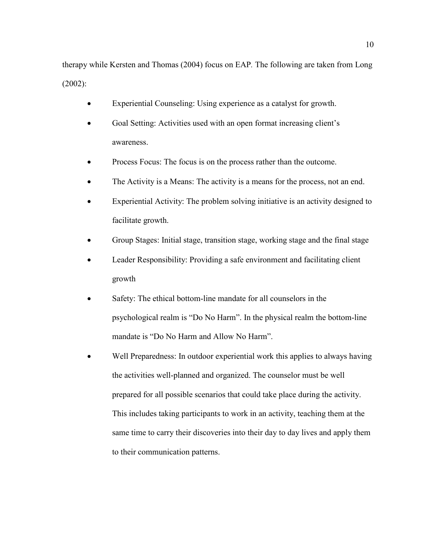therapy while Kersten and Thomas (2004) focus on EAP*.* The following are taken from Long (2002):

- Experiential Counseling: Using experience as a catalyst for growth.
- Goal Setting: Activities used with an open format increasing client's awareness.
- Process Focus: The focus is on the process rather than the outcome.
- The Activity is a Means: The activity is a means for the process, not an end.
- Experiential Activity: The problem solving initiative is an activity designed to facilitate growth.
- Group Stages: Initial stage, transition stage, working stage and the final stage
- Leader Responsibility: Providing a safe environment and facilitating client growth
- Safety: The ethical bottom-line mandate for all counselors in the psychological realm is "Do No Harm". In the physical realm the bottom-line mandate is "Do No Harm and Allow No Harm".
- Well Preparedness: In outdoor experiential work this applies to always having the activities well-planned and organized. The counselor must be well prepared for all possible scenarios that could take place during the activity. This includes taking participants to work in an activity, teaching them at the same time to carry their discoveries into their day to day lives and apply them to their communication patterns.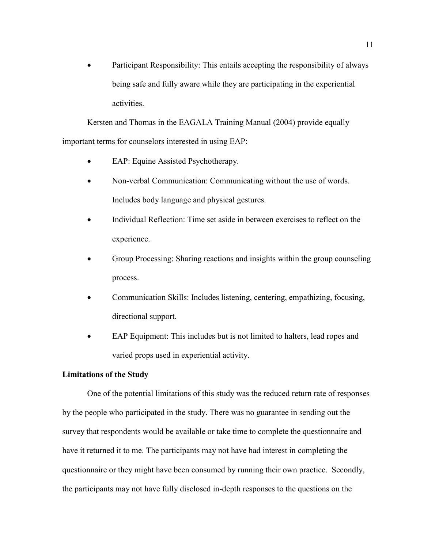• Participant Responsibility: This entails accepting the responsibility of always being safe and fully aware while they are participating in the experiential activities.

Kersten and Thomas in the EAGALA Training Manual (2004) provide equally important terms for counselors interested in using EAP:

- EAP: Equine Assisted Psychotherapy.
- Non-verbal Communication: Communicating without the use of words. Includes body language and physical gestures.
- Individual Reflection: Time set aside in between exercises to reflect on the experience.
- Group Processing: Sharing reactions and insights within the group counseling process.
- Communication Skills: Includes listening, centering, empathizing, focusing, directional support.
- EAP Equipment: This includes but is not limited to halters, lead ropes and varied props used in experiential activity.

#### <span id="page-21-0"></span>**Limitations of the Study**

One of the potential limitations of this study was the reduced return rate of responses by the people who participated in the study. There was no guarantee in sending out the survey that respondents would be available or take time to complete the questionnaire and have it returned it to me. The participants may not have had interest in completing the questionnaire or they might have been consumed by running their own practice. Secondly, the participants may not have fully disclosed in-depth responses to the questions on the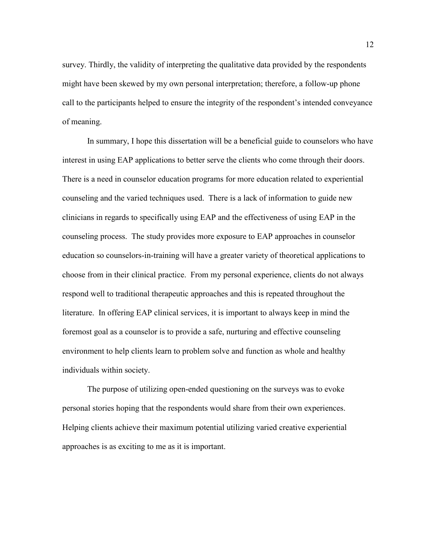survey. Thirdly, the validity of interpreting the qualitative data provided by the respondents might have been skewed by my own personal interpretation; therefore, a follow-up phone call to the participants helped to ensure the integrity of the respondent's intended conveyance of meaning.

In summary, I hope this dissertation will be a beneficial guide to counselors who have interest in using EAP applications to better serve the clients who come through their doors. There is a need in counselor education programs for more education related to experiential counseling and the varied techniques used. There is a lack of information to guide new clinicians in regards to specifically using EAP and the effectiveness of using EAP in the counseling process. The study provides more exposure to EAP approaches in counselor education so counselors-in-training will have a greater variety of theoretical applications to choose from in their clinical practice. From my personal experience, clients do not always respond well to traditional therapeutic approaches and this is repeated throughout the literature. In offering EAP clinical services, it is important to always keep in mind the foremost goal as a counselor is to provide a safe, nurturing and effective counseling environment to help clients learn to problem solve and function as whole and healthy individuals within society.

The purpose of utilizing open-ended questioning on the surveys was to evoke personal stories hoping that the respondents would share from their own experiences. Helping clients achieve their maximum potential utilizing varied creative experiential approaches is as exciting to me as it is important.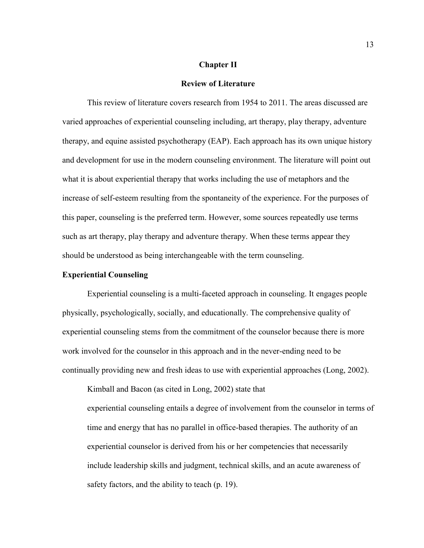#### **Chapter II**

#### **Review of Literature**

<span id="page-23-0"></span>This review of literature covers research from 1954 to 2011. The areas discussed are varied approaches of experiential counseling including, art therapy, play therapy, adventure therapy, and equine assisted psychotherapy (EAP). Each approach has its own unique history and development for use in the modern counseling environment. The literature will point out what it is about experiential therapy that works including the use of metaphors and the increase of self-esteem resulting from the spontaneity of the experience. For the purposes of this paper, counseling is the preferred term. However, some sources repeatedly use terms such as art therapy, play therapy and adventure therapy. When these terms appear they should be understood as being interchangeable with the term counseling.

## <span id="page-23-1"></span>**Experiential Counseling**

Experiential counseling is a multi-faceted approach in counseling. It engages people physically, psychologically, socially, and educationally. The comprehensive quality of experiential counseling stems from the commitment of the counselor because there is more work involved for the counselor in this approach and in the never-ending need to be continually providing new and fresh ideas to use with experiential approaches (Long, 2002).

Kimball and Bacon (as cited in Long, 2002) state that experiential counseling entails a degree of involvement from the counselor in terms of time and energy that has no parallel in office-based therapies. The authority of an experiential counselor is derived from his or her competencies that necessarily include leadership skills and judgment, technical skills, and an acute awareness of safety factors, and the ability to teach (p. 19).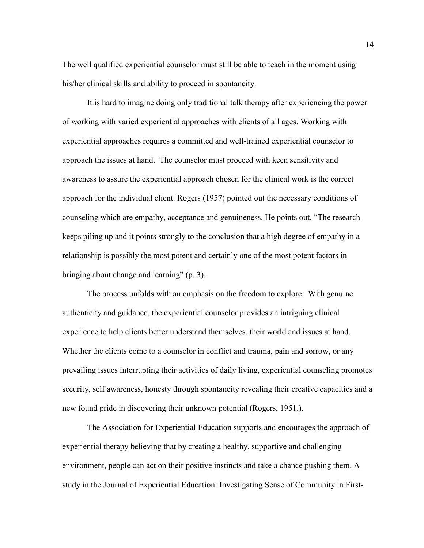The well qualified experiential counselor must still be able to teach in the moment using his/her clinical skills and ability to proceed in spontaneity.

It is hard to imagine doing only traditional talk therapy after experiencing the power of working with varied experiential approaches with clients of all ages. Working with experiential approaches requires a committed and well-trained experiential counselor to approach the issues at hand. The counselor must proceed with keen sensitivity and awareness to assure the experiential approach chosen for the clinical work is the correct approach for the individual client. Rogers (1957) pointed out the necessary conditions of counseling which are empathy, acceptance and genuineness. He points out, "The research keeps piling up and it points strongly to the conclusion that a high degree of empathy in a relationship is possibly the most potent and certainly one of the most potent factors in bringing about change and learning" (p. 3).

The process unfolds with an emphasis on the freedom to explore. With genuine authenticity and guidance, the experiential counselor provides an intriguing clinical experience to help clients better understand themselves, their world and issues at hand. Whether the clients come to a counselor in conflict and trauma, pain and sorrow, or any prevailing issues interrupting their activities of daily living, experiential counseling promotes security, self awareness, honesty through spontaneity revealing their creative capacities and a new found pride in discovering their unknown potential (Rogers, 1951.).

The Association for Experiential Education supports and encourages the approach of experiential therapy believing that by creating a healthy, supportive and challenging environment, people can act on their positive instincts and take a chance pushing them. A study in the Journal of Experiential Education: Investigating Sense of Community in First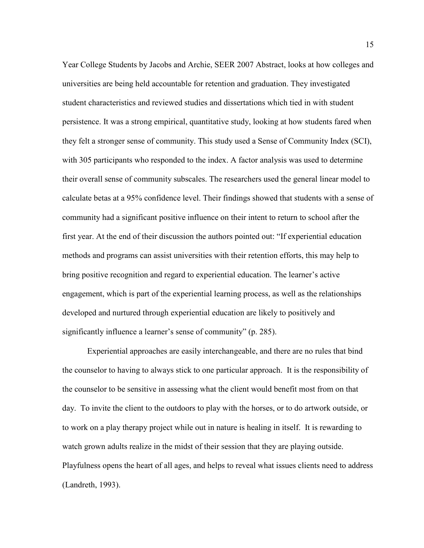Year College Students by Jacobs and Archie, SEER 2007 Abstract, looks at how colleges and universities are being held accountable for retention and graduation. They investigated student characteristics and reviewed studies and dissertations which tied in with student persistence. It was a strong empirical, quantitative study, looking at how students fared when they felt a stronger sense of community. This study used a Sense of Community Index (SCI), with 305 participants who responded to the index. A factor analysis was used to determine their overall sense of community subscales. The researchers used the general linear model to calculate betas at a 95% confidence level. Their findings showed that students with a sense of community had a significant positive influence on their intent to return to school after the first year. At the end of their discussion the authors pointed out: "If experiential education methods and programs can assist universities with their retention efforts, this may help to bring positive recognition and regard to experiential education. The learner's active engagement, which is part of the experiential learning process, as well as the relationships developed and nurtured through experiential education are likely to positively and significantly influence a learner's sense of community" (p. 285).

Experiential approaches are easily interchangeable, and there are no rules that bind the counselor to having to always stick to one particular approach. It is the responsibility of the counselor to be sensitive in assessing what the client would benefit most from on that day. To invite the client to the outdoors to play with the horses, or to do artwork outside, or to work on a play therapy project while out in nature is healing in itself. It is rewarding to watch grown adults realize in the midst of their session that they are playing outside. Playfulness opens the heart of all ages, and helps to reveal what issues clients need to address (Landreth, 1993).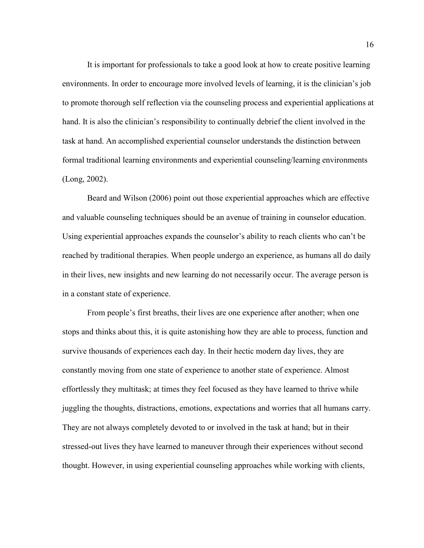It is important for professionals to take a good look at how to create positive learning environments. In order to encourage more involved levels of learning, it is the clinician's job to promote thorough self reflection via the counseling process and experiential applications at hand. It is also the clinician's responsibility to continually debrief the client involved in the task at hand. An accomplished experiential counselor understands the distinction between formal traditional learning environments and experiential counseling/learning environments (Long, 2002).

Beard and Wilson (2006) point out those experiential approaches which are effective and valuable counseling techniques should be an avenue of training in counselor education. Using experiential approaches expands the counselor's ability to reach clients who can't be reached by traditional therapies. When people undergo an experience, as humans all do daily in their lives, new insights and new learning do not necessarily occur. The average person is in a constant state of experience.

From people's first breaths, their lives are one experience after another; when one stops and thinks about this, it is quite astonishing how they are able to process, function and survive thousands of experiences each day. In their hectic modern day lives, they are constantly moving from one state of experience to another state of experience. Almost effortlessly they multitask; at times they feel focused as they have learned to thrive while juggling the thoughts, distractions, emotions, expectations and worries that all humans carry. They are not always completely devoted to or involved in the task at hand; but in their stressed-out lives they have learned to maneuver through their experiences without second thought. However, in using experiential counseling approaches while working with clients,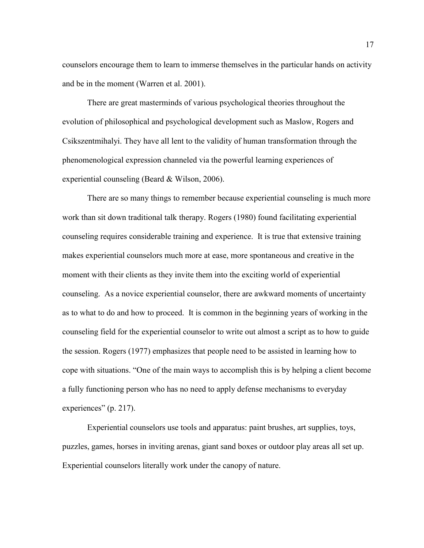counselors encourage them to learn to immerse themselves in the particular hands on activity and be in the moment (Warren et al. 2001).

There are great masterminds of various psychological theories throughout the evolution of philosophical and psychological development such as Maslow, Rogers and Csikszentmihalyi. They have all lent to the validity of human transformation through the phenomenological expression channeled via the powerful learning experiences of experiential counseling (Beard & Wilson, 2006).

There are so many things to remember because experiential counseling is much more work than sit down traditional talk therapy. Rogers (1980) found facilitating experiential counseling requires considerable training and experience. It is true that extensive training makes experiential counselors much more at ease, more spontaneous and creative in the moment with their clients as they invite them into the exciting world of experiential counseling. As a novice experiential counselor, there are awkward moments of uncertainty as to what to do and how to proceed. It is common in the beginning years of working in the counseling field for the experiential counselor to write out almost a script as to how to guide the session. Rogers (1977) emphasizes that people need to be assisted in learning how to cope with situations. "One of the main ways to accomplish this is by helping a client become a fully functioning person who has no need to apply defense mechanisms to everyday experiences" (p. 217).

Experiential counselors use tools and apparatus: paint brushes, art supplies, toys, puzzles, games, horses in inviting arenas, giant sand boxes or outdoor play areas all set up. Experiential counselors literally work under the canopy of nature.

17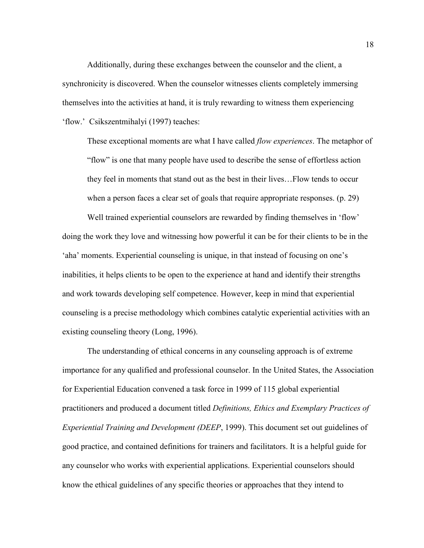Additionally, during these exchanges between the counselor and the client, a synchronicity is discovered. When the counselor witnesses clients completely immersing themselves into the activities at hand, it is truly rewarding to witness them experiencing 'flow.' Csikszentmihalyi (1997) teaches:

These exceptional moments are what I have called *flow experiences*. The metaphor of "flow" is one that many people have used to describe the sense of effortless action they feel in moments that stand out as the best in their lives…Flow tends to occur when a person faces a clear set of goals that require appropriate responses. (p. 29)

Well trained experiential counselors are rewarded by finding themselves in 'flow' doing the work they love and witnessing how powerful it can be for their clients to be in the 'aha' moments. Experiential counseling is unique, in that instead of focusing on one's inabilities, it helps clients to be open to the experience at hand and identify their strengths and work towards developing self competence. However, keep in mind that experiential counseling is a precise methodology which combines catalytic experiential activities with an existing counseling theory (Long, 1996).

The understanding of ethical concerns in any counseling approach is of extreme importance for any qualified and professional counselor. In the United States, the Association for Experiential Education convened a task force in 1999 of 115 global experiential practitioners and produced a document titled *Definitions, Ethics and Exemplary Practices of Experiential Training and Development (DEEP*, 1999). This document set out guidelines of good practice, and contained definitions for trainers and facilitators. It is a helpful guide for any counselor who works with experiential applications. Experiential counselors should know the ethical guidelines of any specific theories or approaches that they intend to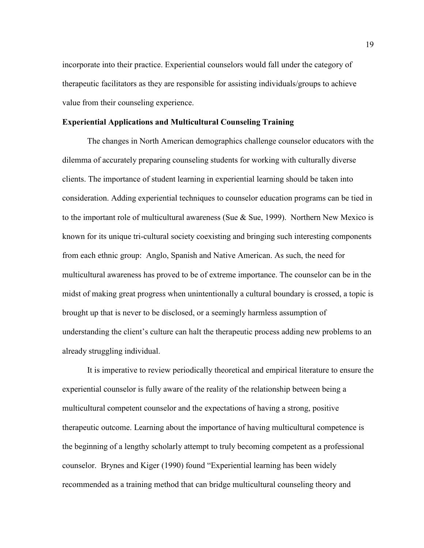incorporate into their practice. Experiential counselors would fall under the category of therapeutic facilitators as they are responsible for assisting individuals/groups to achieve value from their counseling experience.

## <span id="page-29-0"></span>**Experiential Applications and Multicultural Counseling Training**

The changes in North American demographics challenge counselor educators with the dilemma of accurately preparing counseling students for working with culturally diverse clients. The importance of student learning in experiential learning should be taken into consideration. Adding experiential techniques to counselor education programs can be tied in to the important role of multicultural awareness (Sue & Sue, 1999). Northern New Mexico is known for its unique tri-cultural society coexisting and bringing such interesting components from each ethnic group: Anglo, Spanish and Native American. As such, the need for multicultural awareness has proved to be of extreme importance. The counselor can be in the midst of making great progress when unintentionally a cultural boundary is crossed, a topic is brought up that is never to be disclosed, or a seemingly harmless assumption of understanding the client's culture can halt the therapeutic process adding new problems to an already struggling individual.

It is imperative to review periodically theoretical and empirical literature to ensure the experiential counselor is fully aware of the reality of the relationship between being a multicultural competent counselor and the expectations of having a strong, positive therapeutic outcome. Learning about the importance of having multicultural competence is the beginning of a lengthy scholarly attempt to truly becoming competent as a professional counselor. Brynes and Kiger (1990) found "Experiential learning has been widely recommended as a training method that can bridge multicultural counseling theory and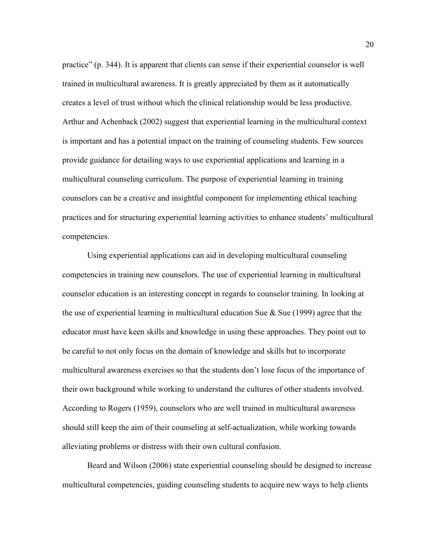practice" (p. 344). It is apparent that clients can sense if their experiential counselor is well trained in multicultural awareness. It is greatly appreciated by them as it automatically creates a level of trust without which the clinical relationship would be less productive. Arthur and Achenback (2002) suggest that experiential learning in the multicultural context is important and has a potential impact on the training of counseling students. Few sources provide guidance for detailing ways to use experiential applications and learning in a multicultural counseling curriculum. The purpose of experiential learning in training counselors can be a creative and insightful component for implementing ethical teaching practices and for structuring experiential learning activities to enhance students' multicultural competencies.

Using experiential applications can aid in developing multicultural counseling competencies in training new counselors. The use of experiential learning in multicultural counselor education is an interesting concept in regards to counselor training. In looking at the use of experiential learning in multicultural education Sue  $\&$  Sue (1999) agree that the educator must have keen skills and knowledge in using these approaches. They point out to be careful to not only focus on the domain of knowledge and skills but to incorporate multicultural awareness exercises so that the students don't lose focus of the importance of their own background while working to understand the cultures of other students involved. According to Rogers (1959), counselors who are well trained in multicultural awareness should still keep the aim of their counseling at self-actualization, while working towards alleviating problems or distress with their own cultural confusion.

Beard and Wilson (2006) state experiential counseling should be designed to increase multicultural competencies, guiding counseling students to acquire new ways to help clients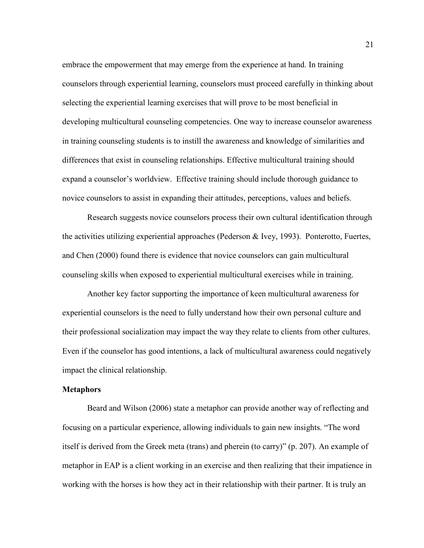embrace the empowerment that may emerge from the experience at hand. In training counselors through experiential learning, counselors must proceed carefully in thinking about selecting the experiential learning exercises that will prove to be most beneficial in developing multicultural counseling competencies. One way to increase counselor awareness in training counseling students is to instill the awareness and knowledge of similarities and differences that exist in counseling relationships. Effective multicultural training should expand a counselor's worldview. Effective training should include thorough guidance to novice counselors to assist in expanding their attitudes, perceptions, values and beliefs.

Research suggests novice counselors process their own cultural identification through the activities utilizing experiential approaches (Pederson & Ivey, 1993). Ponterotto, Fuertes, and Chen (2000) found there is evidence that novice counselors can gain multicultural counseling skills when exposed to experiential multicultural exercises while in training.

Another key factor supporting the importance of keen multicultural awareness for experiential counselors is the need to fully understand how their own personal culture and their professional socialization may impact the way they relate to clients from other cultures. Even if the counselor has good intentions, a lack of multicultural awareness could negatively impact the clinical relationship.

#### <span id="page-31-0"></span>**Metaphors**

Beard and Wilson (2006) state a metaphor can provide another way of reflecting and focusing on a particular experience, allowing individuals to gain new insights. "The word itself is derived from the Greek meta (trans) and pherein (to carry)" (p. 207). An example of metaphor in EAP is a client working in an exercise and then realizing that their impatience in working with the horses is how they act in their relationship with their partner. It is truly an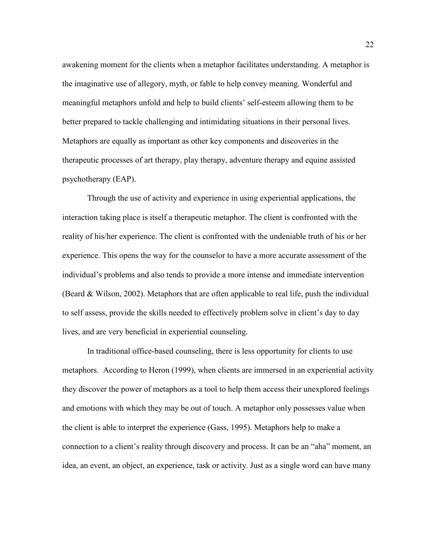awakening moment for the clients when a metaphor facilitates understanding. A metaphor is the imaginative use of allegory, myth, or fable to help convey meaning. Wonderful and meaningful metaphors unfold and help to build clients' self-esteem allowing them to be better prepared to tackle challenging and intimidating situations in their personal lives. Metaphors are equally as important as other key components and discoveries in the therapeutic processes of art therapy, play therapy, adventure therapy and equine assisted psychotherapy (EAP).

Through the use of activity and experience in using experiential applications, the interaction taking place is itself a therapeutic metaphor. The client is confronted with the reality of his/her experience. The client is confronted with the undeniable truth of his or her experience. This opens the way for the counselor to have a more accurate assessment of the individual's problems and also tends to provide a more intense and immediate intervention (Beard & Wilson, 2002). Metaphors that are often applicable to real life, push the individual to self assess, provide the skills needed to effectively problem solve in client's day to day lives, and are very beneficial in experiential counseling.

In traditional office-based counseling, there is less opportunity for clients to use metaphors. According to Heron (1999), when clients are immersed in an experiential activity they discover the power of metaphors as a tool to help them access their unexplored feelings and emotions with which they may be out of touch. A metaphor only possesses value when the client is able to interpret the experience (Gass, 1995). Metaphors help to make a connection to a client's reality through discovery and process. It can be an "aha" moment, an idea, an event, an object, an experience, task or activity. Just as a single word can have many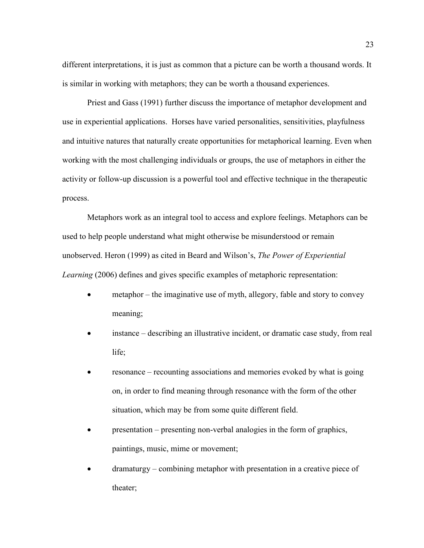different interpretations, it is just as common that a picture can be worth a thousand words. It is similar in working with metaphors; they can be worth a thousand experiences.

Priest and Gass (1991) further discuss the importance of metaphor development and use in experiential applications. Horses have varied personalities, sensitivities, playfulness and intuitive natures that naturally create opportunities for metaphorical learning. Even when working with the most challenging individuals or groups, the use of metaphors in either the activity or follow-up discussion is a powerful tool and effective technique in the therapeutic process.

Metaphors work as an integral tool to access and explore feelings. Metaphors can be used to help people understand what might otherwise be misunderstood or remain unobserved. Heron (1999) as cited in Beard and Wilson's, *The Power of Experiential Learning* (2006) defines and gives specific examples of metaphoric representation:

- metaphor the imaginative use of myth, allegory, fable and story to convey meaning;
- instance describing an illustrative incident, or dramatic case study, from real life;
- resonance recounting associations and memories evoked by what is going on, in order to find meaning through resonance with the form of the other situation, which may be from some quite different field.
- presentation presenting non-verbal analogies in the form of graphics, paintings, music, mime or movement;
- dramaturgy combining metaphor with presentation in a creative piece of theater;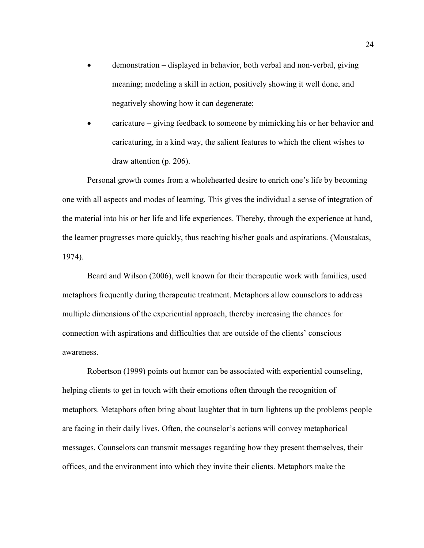- demonstration displayed in behavior, both verbal and non-verbal, giving meaning; modeling a skill in action, positively showing it well done, and negatively showing how it can degenerate;
- caricature giving feedback to someone by mimicking his or her behavior and caricaturing, in a kind way, the salient features to which the client wishes to draw attention (p. 206).

Personal growth comes from a wholehearted desire to enrich one's life by becoming one with all aspects and modes of learning. This gives the individual a sense of integration of the material into his or her life and life experiences. Thereby, through the experience at hand, the learner progresses more quickly, thus reaching his/her goals and aspirations. (Moustakas, 1974).

Beard and Wilson (2006), well known for their therapeutic work with families, used metaphors frequently during therapeutic treatment. Metaphors allow counselors to address multiple dimensions of the experiential approach, thereby increasing the chances for connection with aspirations and difficulties that are outside of the clients' conscious awareness.

Robertson (1999) points out humor can be associated with experiential counseling, helping clients to get in touch with their emotions often through the recognition of metaphors. Metaphors often bring about laughter that in turn lightens up the problems people are facing in their daily lives. Often, the counselor's actions will convey metaphorical messages. Counselors can transmit messages regarding how they present themselves, their offices, and the environment into which they invite their clients. Metaphors make the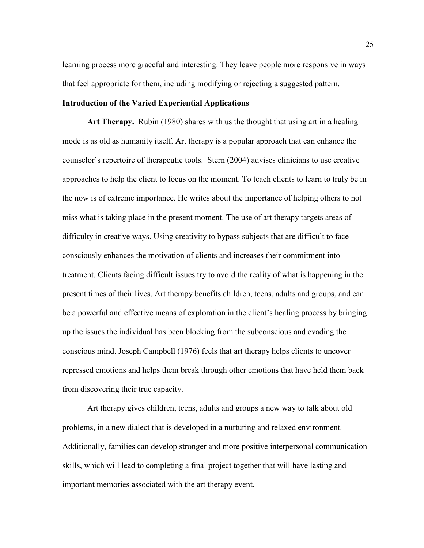learning process more graceful and interesting. They leave people more responsive in ways that feel appropriate for them, including modifying or rejecting a suggested pattern.

## <span id="page-35-0"></span>**Introduction of the Varied Experiential Applications**

<span id="page-35-1"></span>**Art Therapy.** Rubin (1980) shares with us the thought that using art in a healing mode is as old as humanity itself. Art therapy is a popular approach that can enhance the counselor's repertoire of therapeutic tools. Stern (2004) advises clinicians to use creative approaches to help the client to focus on the moment. To teach clients to learn to truly be in the now is of extreme importance. He writes about the importance of helping others to not miss what is taking place in the present moment. The use of art therapy targets areas of difficulty in creative ways. Using creativity to bypass subjects that are difficult to face consciously enhances the motivation of clients and increases their commitment into treatment. Clients facing difficult issues try to avoid the reality of what is happening in the present times of their lives. Art therapy benefits children, teens, adults and groups, and can be a powerful and effective means of exploration in the client's healing process by bringing up the issues the individual has been blocking from the subconscious and evading the conscious mind. Joseph Campbell (1976) feels that art therapy helps clients to uncover repressed emotions and helps them break through other emotions that have held them back from discovering their true capacity.

Art therapy gives children, teens, adults and groups a new way to talk about old problems, in a new dialect that is developed in a nurturing and relaxed environment. Additionally, families can develop stronger and more positive interpersonal communication skills, which will lead to completing a final project together that will have lasting and important memories associated with the art therapy event.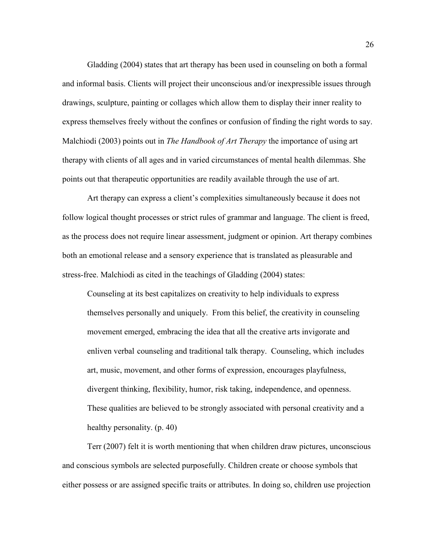Gladding (2004) states that art therapy has been used in counseling on both a formal and informal basis. Clients will project their unconscious and/or inexpressible issues through drawings, sculpture, painting or collages which allow them to display their inner reality to express themselves freely without the confines or confusion of finding the right words to say. Malchiodi (2003) points out in *The Handbook of Art Therapy* the importance of using art therapy with clients of all ages and in varied circumstances of mental health dilemmas. She points out that therapeutic opportunities are readily available through the use of art.

Art therapy can express a client's complexities simultaneously because it does not follow logical thought processes or strict rules of grammar and language. The client is freed, as the process does not require linear assessment, judgment or opinion. Art therapy combines both an emotional release and a sensory experience that is translated as pleasurable and stress-free. Malchiodi as cited in the teachings of Gladding (2004) states:

Counseling at its best capitalizes on creativity to help individuals to express themselves personally and uniquely. From this belief, the creativity in counseling movement emerged, embracing the idea that all the creative arts invigorate and enliven verbal counseling and traditional talk therapy. Counseling, which includes art, music, movement, and other forms of expression, encourages playfulness, divergent thinking, flexibility, humor, risk taking, independence, and openness. These qualities are believed to be strongly associated with personal creativity and a healthy personality. (p. 40)

Terr (2007) felt it is worth mentioning that when children draw pictures, unconscious and conscious symbols are selected purposefully. Children create or choose symbols that either possess or are assigned specific traits or attributes. In doing so, children use projection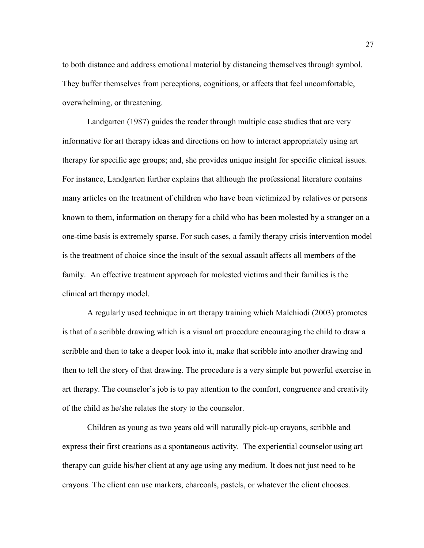to both distance and address emotional material by distancing themselves through symbol. They buffer themselves from perceptions, cognitions, or affects that feel uncomfortable, overwhelming, or threatening.

Landgarten (1987) guides the reader through multiple case studies that are very informative for art therapy ideas and directions on how to interact appropriately using art therapy for specific age groups; and, she provides unique insight for specific clinical issues. For instance, Landgarten further explains that although the professional literature contains many articles on the treatment of children who have been victimized by relatives or persons known to them, information on therapy for a child who has been molested by a stranger on a one-time basis is extremely sparse. For such cases, a family therapy crisis intervention model is the treatment of choice since the insult of the sexual assault affects all members of the family. An effective treatment approach for molested victims and their families is the clinical art therapy model.

A regularly used technique in art therapy training which Malchiodi (2003) promotes is that of a scribble drawing which is a visual art procedure encouraging the child to draw a scribble and then to take a deeper look into it, make that scribble into another drawing and then to tell the story of that drawing. The procedure is a very simple but powerful exercise in art therapy. The counselor's job is to pay attention to the comfort, congruence and creativity of the child as he/she relates the story to the counselor.

Children as young as two years old will naturally pick-up crayons, scribble and express their first creations as a spontaneous activity. The experiential counselor using art therapy can guide his/her client at any age using any medium. It does not just need to be crayons. The client can use markers, charcoals, pastels, or whatever the client chooses.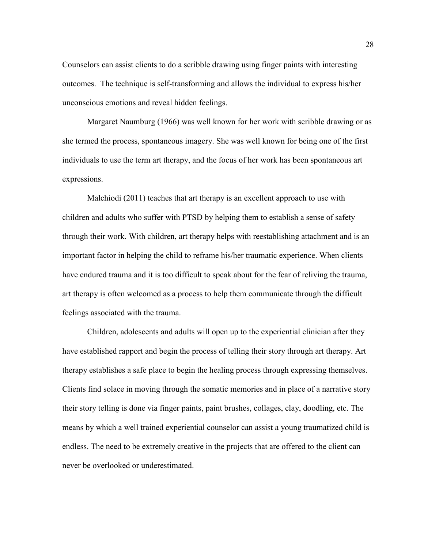Counselors can assist clients to do a scribble drawing using finger paints with interesting outcomes. The technique is self-transforming and allows the individual to express his/her unconscious emotions and reveal hidden feelings.

Margaret Naumburg (1966) was well known for her work with scribble drawing or as she termed the process, spontaneous imagery. She was well known for being one of the first individuals to use the term art therapy, and the focus of her work has been spontaneous art expressions.

Malchiodi (2011) teaches that art therapy is an excellent approach to use with children and adults who suffer with PTSD by helping them to establish a sense of safety through their work. With children, art therapy helps with reestablishing attachment and is an important factor in helping the child to reframe his/her traumatic experience. When clients have endured trauma and it is too difficult to speak about for the fear of reliving the trauma, art therapy is often welcomed as a process to help them communicate through the difficult feelings associated with the trauma.

Children, adolescents and adults will open up to the experiential clinician after they have established rapport and begin the process of telling their story through art therapy. Art therapy establishes a safe place to begin the healing process through expressing themselves. Clients find solace in moving through the somatic memories and in place of a narrative story their story telling is done via finger paints, paint brushes, collages, clay, doodling, etc. The means by which a well trained experiential counselor can assist a young traumatized child is endless. The need to be extremely creative in the projects that are offered to the client can never be overlooked or underestimated.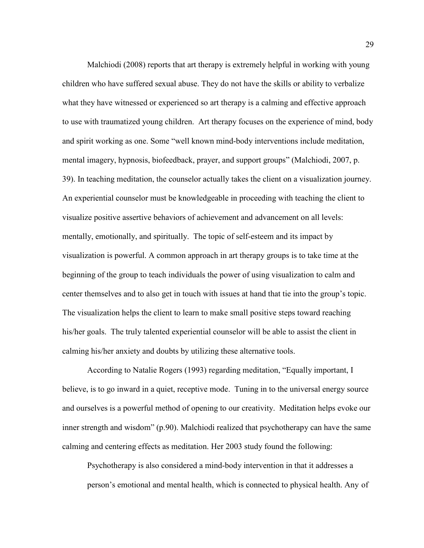Malchiodi (2008) reports that art therapy is extremely helpful in working with young children who have suffered sexual abuse. They do not have the skills or ability to verbalize what they have witnessed or experienced so art therapy is a calming and effective approach to use with traumatized young children. Art therapy focuses on the experience of mind, body and spirit working as one. Some "well known mind-body interventions include meditation, mental imagery, hypnosis, biofeedback, prayer, and support groups" (Malchiodi, 2007, p. 39). In teaching meditation, the counselor actually takes the client on a visualization journey. An experiential counselor must be knowledgeable in proceeding with teaching the client to visualize positive assertive behaviors of achievement and advancement on all levels: mentally, emotionally, and spiritually. The topic of self-esteem and its impact by visualization is powerful. A common approach in art therapy groups is to take time at the beginning of the group to teach individuals the power of using visualization to calm and center themselves and to also get in touch with issues at hand that tie into the group's topic. The visualization helps the client to learn to make small positive steps toward reaching his/her goals. The truly talented experiential counselor will be able to assist the client in calming his/her anxiety and doubts by utilizing these alternative tools.

According to Natalie Rogers (1993) regarding meditation, "Equally important, I believe, is to go inward in a quiet, receptive mode. Tuning in to the universal energy source and ourselves is a powerful method of opening to our creativity. Meditation helps evoke our inner strength and wisdom" (p.90). Malchiodi realized that psychotherapy can have the same calming and centering effects as meditation. Her 2003 study found the following:

Psychotherapy is also considered a mind-body intervention in that it addresses a person's emotional and mental health, which is connected to physical health. Any of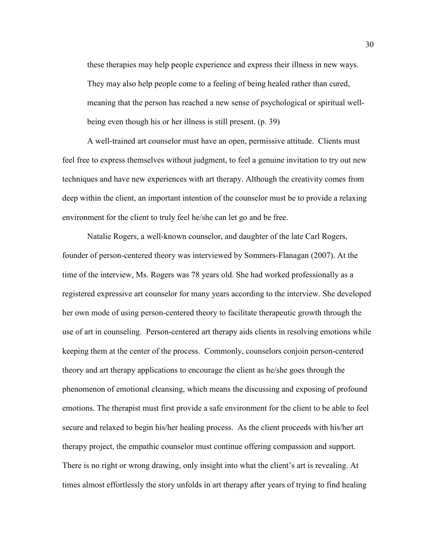these therapies may help people experience and express their illness in new ways. They may also help people come to a feeling of being healed rather than cured, meaning that the person has reached a new sense of psychological or spiritual wellbeing even though his or her illness is still present. (p. 39)

A well-trained art counselor must have an open, permissive attitude. Clients must feel free to express themselves without judgment, to feel a genuine invitation to try out new techniques and have new experiences with art therapy. Although the creativity comes from deep within the client, an important intention of the counselor must be to provide a relaxing environment for the client to truly feel he/she can let go and be free.

Natalie Rogers, a well-known counselor, and daughter of the late Carl Rogers, founder of person-centered theory was interviewed by Sommers-Flanagan (2007). At the time of the interview, Ms. Rogers was 78 years old. She had worked professionally as a registered expressive art counselor for many years according to the interview. She developed her own mode of using person-centered theory to facilitate therapeutic growth through the use of art in counseling. Person-centered art therapy aids clients in resolving emotions while keeping them at the center of the process. Commonly, counselors conjoin person-centered theory and art therapy applications to encourage the client as he/she goes through the phenomenon of emotional cleansing, which means the discussing and exposing of profound emotions. The therapist must first provide a safe environment for the client to be able to feel secure and relaxed to begin his/her healing process. As the client proceeds with his/her art therapy project, the empathic counselor must continue offering compassion and support. There is no right or wrong drawing, only insight into what the client's art is revealing. At times almost effortlessly the story unfolds in art therapy after years of trying to find healing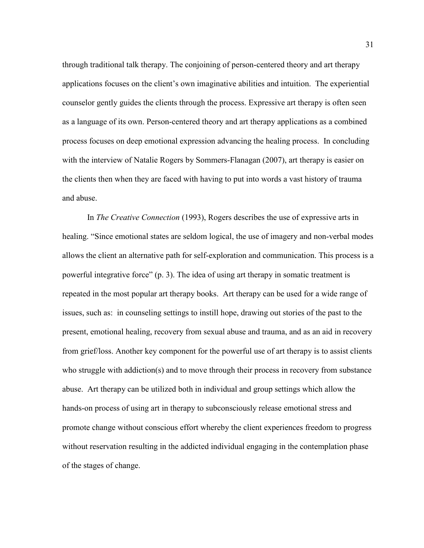through traditional talk therapy. The conjoining of person-centered theory and art therapy applications focuses on the client's own imaginative abilities and intuition. The experiential counselor gently guides the clients through the process. Expressive art therapy is often seen as a language of its own. Person-centered theory and art therapy applications as a combined process focuses on deep emotional expression advancing the healing process. In concluding with the interview of Natalie Rogers by Sommers-Flanagan (2007), art therapy is easier on the clients then when they are faced with having to put into words a vast history of trauma and abuse.

In *The Creative Connection* (1993), Rogers describes the use of expressive arts in healing. "Since emotional states are seldom logical, the use of imagery and non-verbal modes allows the client an alternative path for self-exploration and communication. This process is a powerful integrative force" (p. 3). The idea of using art therapy in somatic treatment is repeated in the most popular art therapy books. Art therapy can be used for a wide range of issues, such as: in counseling settings to instill hope, drawing out stories of the past to the present, emotional healing, recovery from sexual abuse and trauma, and as an aid in recovery from grief/loss. Another key component for the powerful use of art therapy is to assist clients who struggle with addiction(s) and to move through their process in recovery from substance abuse. Art therapy can be utilized both in individual and group settings which allow the hands-on process of using art in therapy to subconsciously release emotional stress and promote change without conscious effort whereby the client experiences freedom to progress without reservation resulting in the addicted individual engaging in the contemplation phase of the stages of change.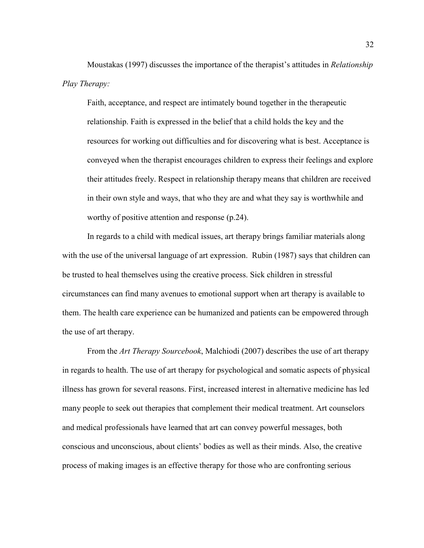Moustakas (1997) discusses the importance of the therapist's attitudes in *Relationship Play Therapy:*

Faith, acceptance, and respect are intimately bound together in the therapeutic relationship. Faith is expressed in the belief that a child holds the key and the resources for working out difficulties and for discovering what is best. Acceptance is conveyed when the therapist encourages children to express their feelings and explore their attitudes freely. Respect in relationship therapy means that children are received in their own style and ways, that who they are and what they say is worthwhile and worthy of positive attention and response (p.24).

In regards to a child with medical issues, art therapy brings familiar materials along with the use of the universal language of art expression. Rubin (1987) says that children can be trusted to heal themselves using the creative process. Sick children in stressful circumstances can find many avenues to emotional support when art therapy is available to them. The health care experience can be humanized and patients can be empowered through the use of art therapy.

From the *Art Therapy Sourcebook*, Malchiodi (2007) describes the use of art therapy in regards to health. The use of art therapy for psychological and somatic aspects of physical illness has grown for several reasons. First, increased interest in alternative medicine has led many people to seek out therapies that complement their medical treatment. Art counselors and medical professionals have learned that art can convey powerful messages, both conscious and unconscious, about clients' bodies as well as their minds. Also, the creative process of making images is an effective therapy for those who are confronting serious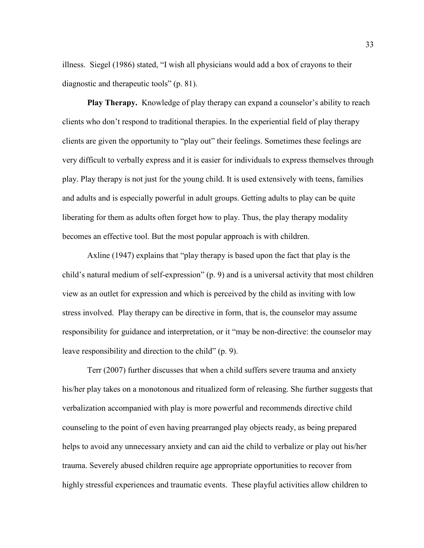illness. Siegel (1986) stated, "I wish all physicians would add a box of crayons to their diagnostic and therapeutic tools" (p. 81).

**Play Therapy.** Knowledge of play therapy can expand a counselor's ability to reach clients who don't respond to traditional therapies. In the experiential field of play therapy clients are given the opportunity to "play out" their feelings. Sometimes these feelings are very difficult to verbally express and it is easier for individuals to express themselves through play. Play therapy is not just for the young child. It is used extensively with teens, families and adults and is especially powerful in adult groups. Getting adults to play can be quite liberating for them as adults often forget how to play. Thus, the play therapy modality becomes an effective tool. But the most popular approach is with children.

Axline (1947) explains that "play therapy is based upon the fact that play is the child's natural medium of self-expression" (p. 9) and is a universal activity that most children view as an outlet for expression and which is perceived by the child as inviting with low stress involved. Play therapy can be directive in form, that is, the counselor may assume responsibility for guidance and interpretation, or it "may be non-directive: the counselor may leave responsibility and direction to the child" (p. 9).

Terr (2007) further discusses that when a child suffers severe trauma and anxiety his/her play takes on a monotonous and ritualized form of releasing. She further suggests that verbalization accompanied with play is more powerful and recommends directive child counseling to the point of even having prearranged play objects ready, as being prepared helps to avoid any unnecessary anxiety and can aid the child to verbalize or play out his/her trauma. Severely abused children require age appropriate opportunities to recover from highly stressful experiences and traumatic events. These playful activities allow children to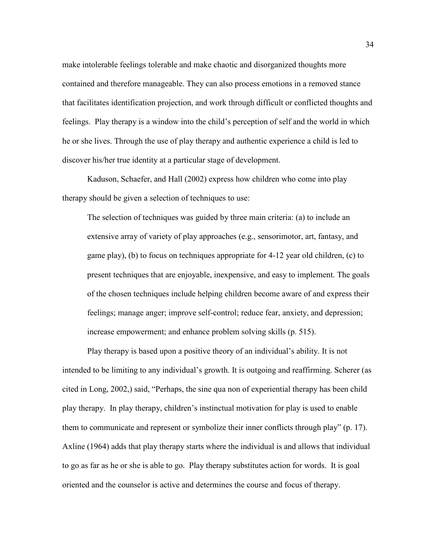make intolerable feelings tolerable and make chaotic and disorganized thoughts more contained and therefore manageable. They can also process emotions in a removed stance that facilitates identification projection, and work through difficult or conflicted thoughts and feelings. Play therapy is a window into the child's perception of self and the world in which he or she lives. Through the use of play therapy and authentic experience a child is led to discover his/her true identity at a particular stage of development.

Kaduson, Schaefer, and Hall (2002) express how children who come into play therapy should be given a selection of techniques to use:

The selection of techniques was guided by three main criteria: (a) to include an extensive array of variety of play approaches (e.g., sensorimotor, art, fantasy, and game play), (b) to focus on techniques appropriate for 4-12 year old children, (c) to present techniques that are enjoyable, inexpensive, and easy to implement. The goals of the chosen techniques include helping children become aware of and express their feelings; manage anger; improve self-control; reduce fear, anxiety, and depression; increase empowerment; and enhance problem solving skills (p. 515).

Play therapy is based upon a positive theory of an individual's ability. It is not intended to be limiting to any individual's growth. It is outgoing and reaffirming. Scherer (as cited in Long, 2002,) said, "Perhaps, the sine qua non of experiential therapy has been child play therapy. In play therapy, children's instinctual motivation for play is used to enable them to communicate and represent or symbolize their inner conflicts through play" (p. 17). Axline (1964) adds that play therapy starts where the individual is and allows that individual to go as far as he or she is able to go. Play therapy substitutes action for words. It is goal oriented and the counselor is active and determines the course and focus of therapy.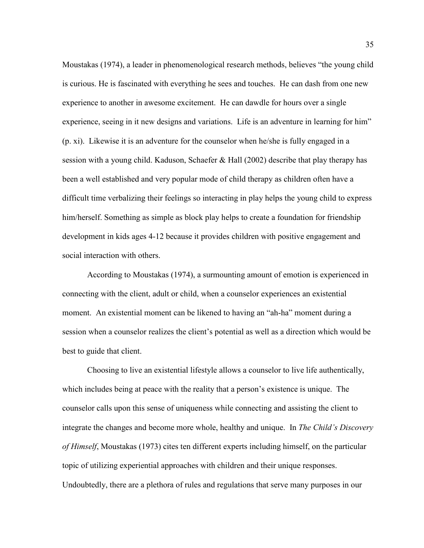Moustakas (1974), a leader in phenomenological research methods, believes "the young child is curious. He is fascinated with everything he sees and touches. He can dash from one new experience to another in awesome excitement. He can dawdle for hours over a single experience, seeing in it new designs and variations. Life is an adventure in learning for him" (p. xi). Likewise it is an adventure for the counselor when he/she is fully engaged in a session with a young child. Kaduson, Schaefer & Hall (2002) describe that play therapy has been a well established and very popular mode of child therapy as children often have a difficult time verbalizing their feelings so interacting in play helps the young child to express him/herself. Something as simple as block play helps to create a foundation for friendship development in kids ages 4-12 because it provides children with positive engagement and social interaction with others.

According to Moustakas (1974), a surmounting amount of emotion is experienced in connecting with the client, adult or child, when a counselor experiences an existential moment. An existential moment can be likened to having an "ah-ha" moment during a session when a counselor realizes the client's potential as well as a direction which would be best to guide that client.

Choosing to live an existential lifestyle allows a counselor to live life authentically, which includes being at peace with the reality that a person's existence is unique. The counselor calls upon this sense of uniqueness while connecting and assisting the client to integrate the changes and become more whole, healthy and unique. In *The Child's Discovery of Himself*, Moustakas (1973) cites ten different experts including himself, on the particular topic of utilizing experiential approaches with children and their unique responses. Undoubtedly, there are a plethora of rules and regulations that serve many purposes in our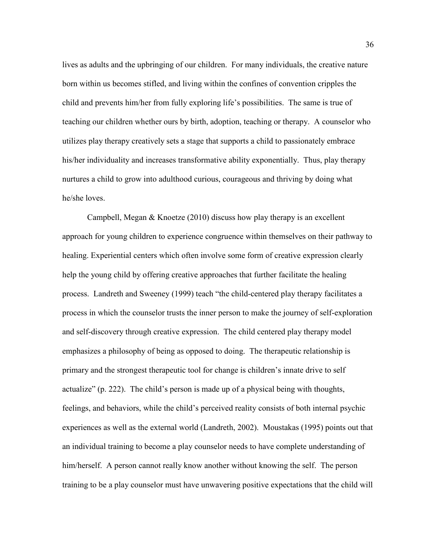lives as adults and the upbringing of our children. For many individuals, the creative nature born within us becomes stifled, and living within the confines of convention cripples the child and prevents him/her from fully exploring life's possibilities. The same is true of teaching our children whether ours by birth, adoption, teaching or therapy. A counselor who utilizes play therapy creatively sets a stage that supports a child to passionately embrace his/her individuality and increases transformative ability exponentially. Thus, play therapy nurtures a child to grow into adulthood curious, courageous and thriving by doing what he/she loves.

Campbell, Megan & Knoetze (2010) discuss how play therapy is an excellent approach for young children to experience congruence within themselves on their pathway to healing. Experiential centers which often involve some form of creative expression clearly help the young child by offering creative approaches that further facilitate the healing process. Landreth and Sweeney (1999) teach "the child-centered play therapy facilitates a process in which the counselor trusts the inner person to make the journey of self-exploration and self-discovery through creative expression. The child centered play therapy model emphasizes a philosophy of being as opposed to doing. The therapeutic relationship is primary and the strongest therapeutic tool for change is children's innate drive to self actualize" (p. 222). The child's person is made up of a physical being with thoughts, feelings, and behaviors, while the child's perceived reality consists of both internal psychic experiences as well as the external world (Landreth, 2002). Moustakas (1995) points out that an individual training to become a play counselor needs to have complete understanding of him/herself. A person cannot really know another without knowing the self. The person training to be a play counselor must have unwavering positive expectations that the child will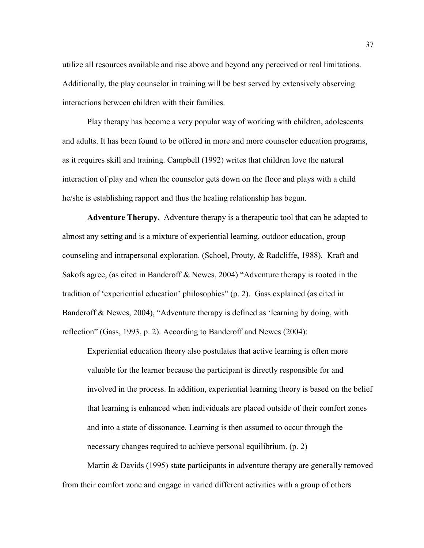utilize all resources available and rise above and beyond any perceived or real limitations. Additionally, the play counselor in training will be best served by extensively observing interactions between children with their families.

Play therapy has become a very popular way of working with children, adolescents and adults. It has been found to be offered in more and more counselor education programs, as it requires skill and training. Campbell (1992) writes that children love the natural interaction of play and when the counselor gets down on the floor and plays with a child he/she is establishing rapport and thus the healing relationship has begun.

**Adventure Therapy.** Adventure therapy is a therapeutic tool that can be adapted to almost any setting and is a mixture of experiential learning, outdoor education, group counseling and intrapersonal exploration. (Schoel, Prouty, & Radcliffe, 1988). Kraft and Sakofs agree, (as cited in Banderoff & Newes, 2004) "Adventure therapy is rooted in the tradition of 'experiential education' philosophies" (p. 2). Gass explained (as cited in Banderoff & Newes, 2004), "Adventure therapy is defined as 'learning by doing, with reflection" (Gass, 1993, p. 2). According to Banderoff and Newes (2004):

Experiential education theory also postulates that active learning is often more valuable for the learner because the participant is directly responsible for and involved in the process. In addition, experiential learning theory is based on the belief that learning is enhanced when individuals are placed outside of their comfort zones and into a state of dissonance. Learning is then assumed to occur through the necessary changes required to achieve personal equilibrium. (p. 2)

Martin & Davids (1995) state participants in adventure therapy are generally removed from their comfort zone and engage in varied different activities with a group of others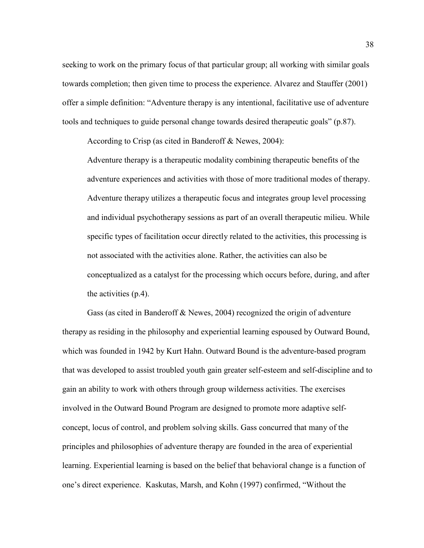seeking to work on the primary focus of that particular group; all working with similar goals towards completion; then given time to process the experience. Alvarez and Stauffer (2001) offer a simple definition: "Adventure therapy is any intentional, facilitative use of adventure tools and techniques to guide personal change towards desired therapeutic goals" (p.87).

According to Crisp (as cited in Banderoff & Newes, 2004):

Adventure therapy is a therapeutic modality combining therapeutic benefits of the adventure experiences and activities with those of more traditional modes of therapy. Adventure therapy utilizes a therapeutic focus and integrates group level processing and individual psychotherapy sessions as part of an overall therapeutic milieu. While specific types of facilitation occur directly related to the activities, this processing is not associated with the activities alone. Rather, the activities can also be conceptualized as a catalyst for the processing which occurs before, during, and after the activities (p.4).

Gass (as cited in Banderoff & Newes, 2004) recognized the origin of adventure therapy as residing in the philosophy and experiential learning espoused by Outward Bound, which was founded in 1942 by Kurt Hahn. Outward Bound is the adventure-based program that was developed to assist troubled youth gain greater self-esteem and self-discipline and to gain an ability to work with others through group wilderness activities. The exercises involved in the Outward Bound Program are designed to promote more adaptive selfconcept, locus of control, and problem solving skills. Gass concurred that many of the principles and philosophies of adventure therapy are founded in the area of experiential learning. Experiential learning is based on the belief that behavioral change is a function of one's direct experience. Kaskutas, Marsh, and Kohn (1997) confirmed, "Without the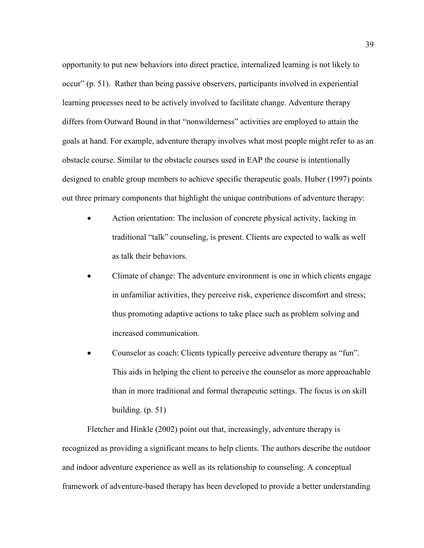opportunity to put new behaviors into direct practice, internalized learning is not likely to occur" (p. 51). Rather than being passive observers, participants involved in experiential learning processes need to be actively involved to facilitate change. Adventure therapy differs from Outward Bound in that "nonwilderness" activities are employed to attain the goals at hand. For example, adventure therapy involves what most people might refer to as an obstacle course. Similar to the obstacle courses used in EAP the course is intentionally designed to enable group members to achieve specific therapeutic goals. Huber (1997) points out three primary components that highlight the unique contributions of adventure therapy:

- Action orientation: The inclusion of concrete physical activity, lacking in traditional "talk" counseling, is present. Clients are expected to walk as well as talk their behaviors.
- Climate of change: The adventure environment is one in which clients engage in unfamiliar activities, they perceive risk, experience discomfort and stress; thus promoting adaptive actions to take place such as problem solving and increased communication.
- Counselor as coach: Clients typically perceive adventure therapy as "fun". This aids in helping the client to perceive the counselor as more approachable than in more traditional and formal therapeutic settings. The focus is on skill building. (p. 51)

Fletcher and Hinkle (2002) point out that, increasingly, adventure therapy is recognized as providing a significant means to help clients. The authors describe the outdoor and indoor adventure experience as well as its relationship to counseling. A conceptual framework of adventure-based therapy has been developed to provide a better understanding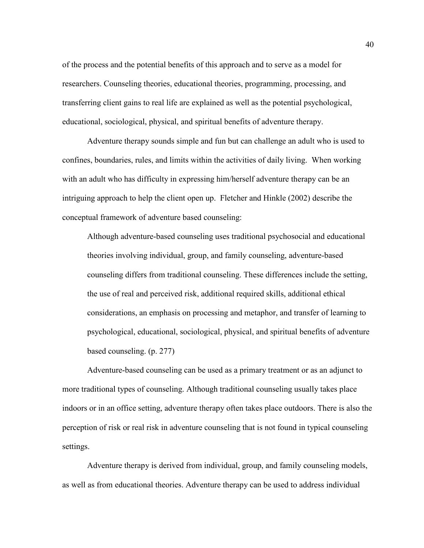of the process and the potential benefits of this approach and to serve as a model for researchers. Counseling theories, educational theories, programming, processing, and transferring client gains to real life are explained as well as the potential psychological, educational, sociological, physical, and spiritual benefits of adventure therapy.

Adventure therapy sounds simple and fun but can challenge an adult who is used to confines, boundaries, rules, and limits within the activities of daily living. When working with an adult who has difficulty in expressing him/herself adventure therapy can be an intriguing approach to help the client open up. Fletcher and Hinkle (2002) describe the conceptual framework of adventure based counseling:

Although adventure-based counseling uses traditional psychosocial and educational theories involving individual, group, and family counseling, adventure-based counseling differs from traditional counseling. These differences include the setting, the use of real and perceived risk, additional required skills, additional ethical considerations, an emphasis on processing and metaphor, and transfer of learning to psychological, educational, sociological, physical, and spiritual benefits of adventure based counseling. (p. 277)

Adventure-based counseling can be used as a primary treatment or as an adjunct to more traditional types of counseling. Although traditional counseling usually takes place indoors or in an office setting, adventure therapy often takes place outdoors. There is also the perception of risk or real risk in adventure counseling that is not found in typical counseling settings.

Adventure therapy is derived from individual, group, and family counseling models, as well as from educational theories. Adventure therapy can be used to address individual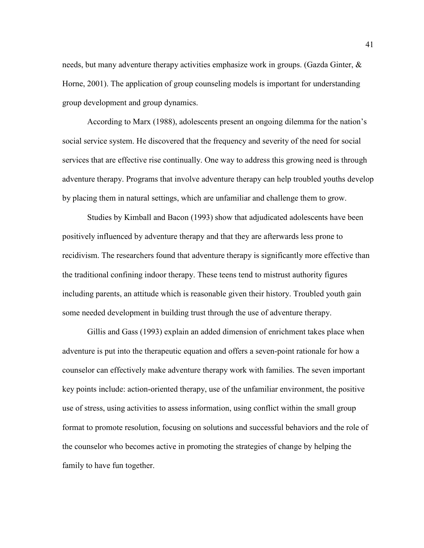needs, but many adventure therapy activities emphasize work in groups. (Gazda Ginter, & Horne, 2001). The application of group counseling models is important for understanding group development and group dynamics.

According to Marx (1988), adolescents present an ongoing dilemma for the nation's social service system. He discovered that the frequency and severity of the need for social services that are effective rise continually. One way to address this growing need is through adventure therapy. Programs that involve adventure therapy can help troubled youths develop by placing them in natural settings, which are unfamiliar and challenge them to grow.

Studies by Kimball and Bacon (1993) show that adjudicated adolescents have been positively influenced by adventure therapy and that they are afterwards less prone to recidivism. The researchers found that adventure therapy is significantly more effective than the traditional confining indoor therapy. These teens tend to mistrust authority figures including parents, an attitude which is reasonable given their history. Troubled youth gain some needed development in building trust through the use of adventure therapy.

Gillis and Gass (1993) explain an added dimension of enrichment takes place when adventure is put into the therapeutic equation and offers a seven-point rationale for how a counselor can effectively make adventure therapy work with families. The seven important key points include: action-oriented therapy, use of the unfamiliar environment, the positive use of stress, using activities to assess information, using conflict within the small group format to promote resolution, focusing on solutions and successful behaviors and the role of the counselor who becomes active in promoting the strategies of change by helping the family to have fun together.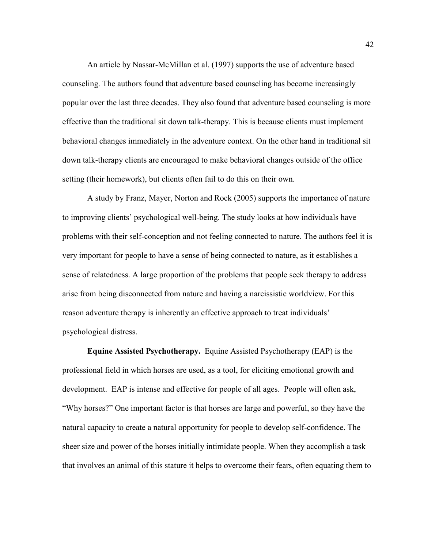An article by Nassar-McMillan et al. (1997) supports the use of adventure based counseling. The authors found that adventure based counseling has become increasingly popular over the last three decades. They also found that adventure based counseling is more effective than the traditional sit down talk-therapy. This is because clients must implement behavioral changes immediately in the adventure context. On the other hand in traditional sit down talk-therapy clients are encouraged to make behavioral changes outside of the office setting (their homework), but clients often fail to do this on their own.

A study by Franz, Mayer, Norton and Rock (2005) supports the importance of nature to improving clients' psychological well-being. The study looks at how individuals have problems with their self-conception and not feeling connected to nature. The authors feel it is very important for people to have a sense of being connected to nature, as it establishes a sense of relatedness. A large proportion of the problems that people seek therapy to address arise from being disconnected from nature and having a narcissistic worldview. For this reason adventure therapy is inherently an effective approach to treat individuals' psychological distress.

**Equine Assisted Psychotherapy.** Equine Assisted Psychotherapy (EAP) is the professional field in which horses are used, as a tool, for eliciting emotional growth and development. EAP is intense and effective for people of all ages. People will often ask, "Why horses?" One important factor is that horses are large and powerful, so they have the natural capacity to create a natural opportunity for people to develop self-confidence. The sheer size and power of the horses initially intimidate people. When they accomplish a task that involves an animal of this stature it helps to overcome their fears, often equating them to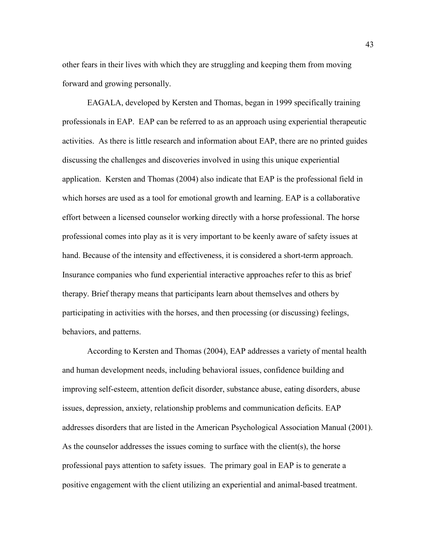other fears in their lives with which they are struggling and keeping them from moving forward and growing personally.

EAGALA, developed by Kersten and Thomas, began in 1999 specifically training professionals in EAP. EAP can be referred to as an approach using experiential therapeutic activities. As there is little research and information about EAP, there are no printed guides discussing the challenges and discoveries involved in using this unique experiential application. Kersten and Thomas (2004) also indicate that EAP is the professional field in which horses are used as a tool for emotional growth and learning. EAP is a collaborative effort between a licensed counselor working directly with a horse professional. The horse professional comes into play as it is very important to be keenly aware of safety issues at hand. Because of the intensity and effectiveness, it is considered a short-term approach. Insurance companies who fund experiential interactive approaches refer to this as brief therapy. Brief therapy means that participants learn about themselves and others by participating in activities with the horses, and then processing (or discussing) feelings, behaviors, and patterns.

According to Kersten and Thomas (2004), EAP addresses a variety of mental health and human development needs, including behavioral issues, confidence building and improving self-esteem, attention deficit disorder, substance abuse, eating disorders, abuse issues, depression, anxiety, relationship problems and communication deficits. EAP addresses disorders that are listed in the American Psychological Association Manual (2001). As the counselor addresses the issues coming to surface with the client(s), the horse professional pays attention to safety issues. The primary goal in EAP is to generate a positive engagement with the client utilizing an experiential and animal-based treatment.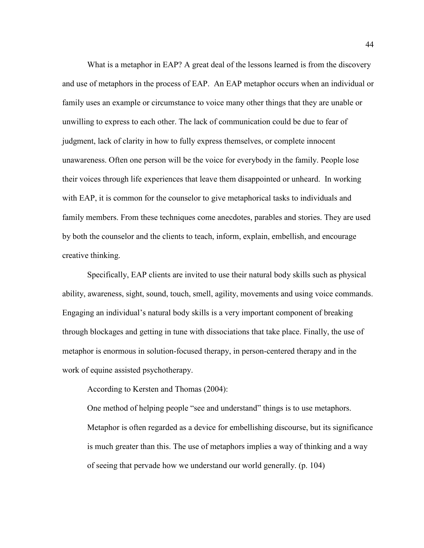What is a metaphor in EAP? A great deal of the lessons learned is from the discovery and use of metaphors in the process of EAP. An EAP metaphor occurs when an individual or family uses an example or circumstance to voice many other things that they are unable or unwilling to express to each other. The lack of communication could be due to fear of judgment, lack of clarity in how to fully express themselves, or complete innocent unawareness. Often one person will be the voice for everybody in the family. People lose their voices through life experiences that leave them disappointed or unheard. In working with EAP, it is common for the counselor to give metaphorical tasks to individuals and family members. From these techniques come anecdotes, parables and stories. They are used by both the counselor and the clients to teach, inform, explain, embellish, and encourage creative thinking.

Specifically, EAP clients are invited to use their natural body skills such as physical ability, awareness, sight, sound, touch, smell, agility, movements and using voice commands. Engaging an individual's natural body skills is a very important component of breaking through blockages and getting in tune with dissociations that take place. Finally, the use of metaphor is enormous in solution-focused therapy, in person-centered therapy and in the work of equine assisted psychotherapy.

According to Kersten and Thomas (2004):

One method of helping people "see and understand" things is to use metaphors. Metaphor is often regarded as a device for embellishing discourse, but its significance is much greater than this. The use of metaphors implies a way of thinking and a way of seeing that pervade how we understand our world generally. (p. 104)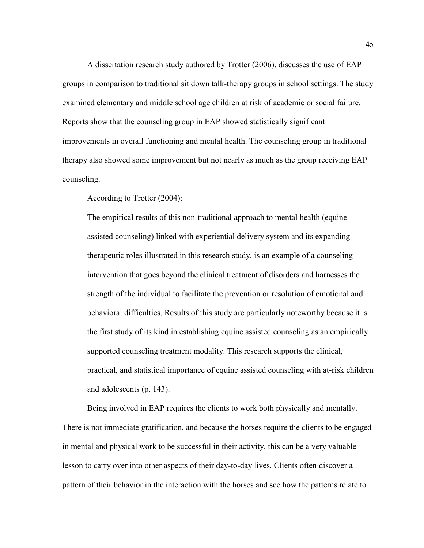A dissertation research study authored by Trotter (2006), discusses the use of EAP groups in comparison to traditional sit down talk-therapy groups in school settings. The study examined elementary and middle school age children at risk of academic or social failure. Reports show that the counseling group in EAP showed statistically significant improvements in overall functioning and mental health. The counseling group in traditional therapy also showed some improvement but not nearly as much as the group receiving EAP counseling.

According to Trotter (2004):

The empirical results of this non-traditional approach to mental health (equine assisted counseling) linked with experiential delivery system and its expanding therapeutic roles illustrated in this research study, is an example of a counseling intervention that goes beyond the clinical treatment of disorders and harnesses the strength of the individual to facilitate the prevention or resolution of emotional and behavioral difficulties. Results of this study are particularly noteworthy because it is the first study of its kind in establishing equine assisted counseling as an empirically supported counseling treatment modality. This research supports the clinical, practical, and statistical importance of equine assisted counseling with at-risk children and adolescents (p. 143).

Being involved in EAP requires the clients to work both physically and mentally. There is not immediate gratification, and because the horses require the clients to be engaged in mental and physical work to be successful in their activity, this can be a very valuable lesson to carry over into other aspects of their day-to-day lives. Clients often discover a pattern of their behavior in the interaction with the horses and see how the patterns relate to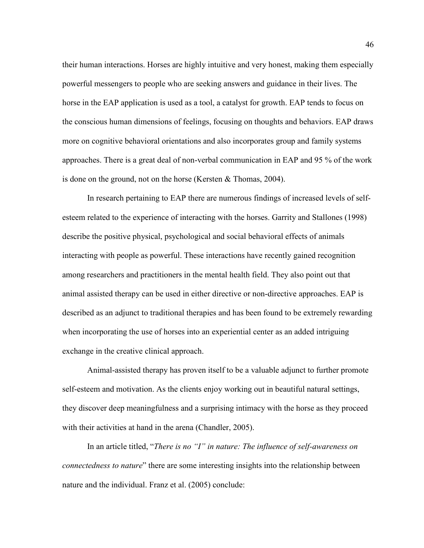their human interactions. Horses are highly intuitive and very honest, making them especially powerful messengers to people who are seeking answers and guidance in their lives. The horse in the EAP application is used as a tool, a catalyst for growth. EAP tends to focus on the conscious human dimensions of feelings, focusing on thoughts and behaviors. EAP draws more on cognitive behavioral orientations and also incorporates group and family systems approaches. There is a great deal of non-verbal communication in EAP and 95 % of the work is done on the ground, not on the horse (Kersten & Thomas, 2004).

In research pertaining to EAP there are numerous findings of increased levels of selfesteem related to the experience of interacting with the horses. Garrity and Stallones (1998) describe the positive physical, psychological and social behavioral effects of animals interacting with people as powerful. These interactions have recently gained recognition among researchers and practitioners in the mental health field. They also point out that animal assisted therapy can be used in either directive or non-directive approaches. EAP is described as an adjunct to traditional therapies and has been found to be extremely rewarding when incorporating the use of horses into an experiential center as an added intriguing exchange in the creative clinical approach.

Animal-assisted therapy has proven itself to be a valuable adjunct to further promote self-esteem and motivation. As the clients enjoy working out in beautiful natural settings, they discover deep meaningfulness and a surprising intimacy with the horse as they proceed with their activities at hand in the arena (Chandler, 2005).

In an article titled, "*There is no "I" in nature: The influence of self-awareness on connectedness to nature*" there are some interesting insights into the relationship between nature and the individual. Franz et al. (2005) conclude: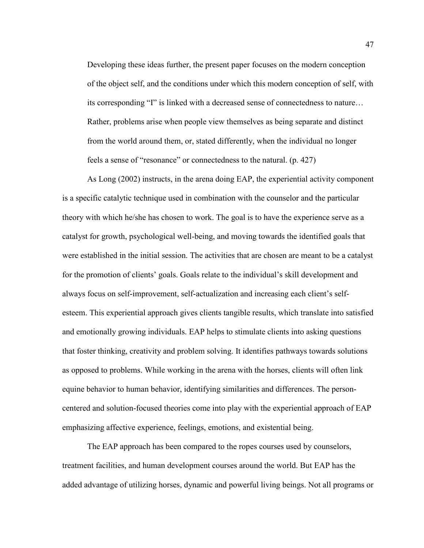Developing these ideas further, the present paper focuses on the modern conception of the object self, and the conditions under which this modern conception of self, with its corresponding "I" is linked with a decreased sense of connectedness to nature… Rather, problems arise when people view themselves as being separate and distinct from the world around them, or, stated differently, when the individual no longer feels a sense of "resonance" or connectedness to the natural. (p. 427)

As Long (2002) instructs, in the arena doing EAP, the experiential activity component is a specific catalytic technique used in combination with the counselor and the particular theory with which he/she has chosen to work. The goal is to have the experience serve as a catalyst for growth, psychological well-being, and moving towards the identified goals that were established in the initial session. The activities that are chosen are meant to be a catalyst for the promotion of clients' goals. Goals relate to the individual's skill development and always focus on self-improvement, self-actualization and increasing each client's selfesteem. This experiential approach gives clients tangible results, which translate into satisfied and emotionally growing individuals. EAP helps to stimulate clients into asking questions that foster thinking, creativity and problem solving. It identifies pathways towards solutions as opposed to problems. While working in the arena with the horses, clients will often link equine behavior to human behavior, identifying similarities and differences. The personcentered and solution-focused theories come into play with the experiential approach of EAP emphasizing affective experience, feelings, emotions, and existential being.

The EAP approach has been compared to the ropes courses used by counselors, treatment facilities, and human development courses around the world. But EAP has the added advantage of utilizing horses, dynamic and powerful living beings. Not all programs or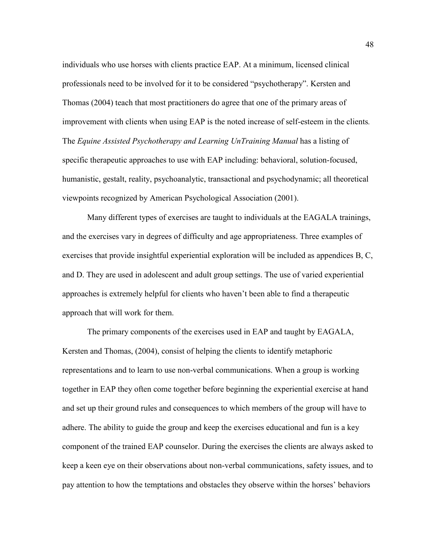individuals who use horses with clients practice EAP. At a minimum, licensed clinical professionals need to be involved for it to be considered "psychotherapy". Kersten and Thomas (2004) teach that most practitioners do agree that one of the primary areas of improvement with clients when using EAP is the noted increase of self-esteem in the clients*.* The *Equine Assisted Psychotherapy and Learning UnTraining Manual* has a listing of specific therapeutic approaches to use with EAP including: behavioral, solution-focused, humanistic, gestalt, reality, psychoanalytic, transactional and psychodynamic; all theoretical viewpoints recognized by American Psychological Association (2001).

Many different types of exercises are taught to individuals at the EAGALA trainings, and the exercises vary in degrees of difficulty and age appropriateness. Three examples of exercises that provide insightful experiential exploration will be included as appendices B, C, and D. They are used in adolescent and adult group settings. The use of varied experiential approaches is extremely helpful for clients who haven't been able to find a therapeutic approach that will work for them.

The primary components of the exercises used in EAP and taught by EAGALA, Kersten and Thomas, (2004), consist of helping the clients to identify metaphoric representations and to learn to use non-verbal communications. When a group is working together in EAP they often come together before beginning the experiential exercise at hand and set up their ground rules and consequences to which members of the group will have to adhere. The ability to guide the group and keep the exercises educational and fun is a key component of the trained EAP counselor. During the exercises the clients are always asked to keep a keen eye on their observations about non-verbal communications, safety issues, and to pay attention to how the temptations and obstacles they observe within the horses' behaviors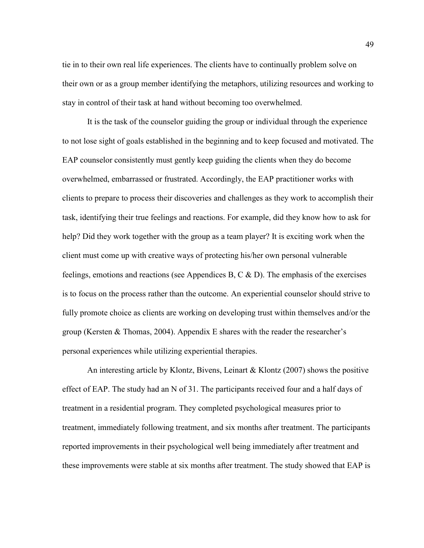tie in to their own real life experiences. The clients have to continually problem solve on their own or as a group member identifying the metaphors, utilizing resources and working to stay in control of their task at hand without becoming too overwhelmed.

It is the task of the counselor guiding the group or individual through the experience to not lose sight of goals established in the beginning and to keep focused and motivated. The EAP counselor consistently must gently keep guiding the clients when they do become overwhelmed, embarrassed or frustrated. Accordingly, the EAP practitioner works with clients to prepare to process their discoveries and challenges as they work to accomplish their task, identifying their true feelings and reactions. For example, did they know how to ask for help? Did they work together with the group as a team player? It is exciting work when the client must come up with creative ways of protecting his/her own personal vulnerable feelings, emotions and reactions (see Appendices B, C  $\&$  D). The emphasis of the exercises is to focus on the process rather than the outcome. An experiential counselor should strive to fully promote choice as clients are working on developing trust within themselves and/or the group (Kersten & Thomas, 2004). Appendix E shares with the reader the researcher's personal experiences while utilizing experiential therapies.

An interesting article by Klontz, Bivens, Leinart & Klontz (2007) shows the positive effect of EAP. The study had an N of 31. The participants received four and a half days of treatment in a residential program. They completed psychological measures prior to treatment, immediately following treatment, and six months after treatment. The participants reported improvements in their psychological well being immediately after treatment and these improvements were stable at six months after treatment. The study showed that EAP is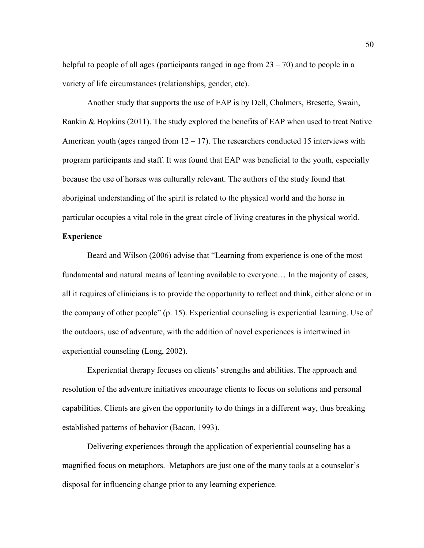helpful to people of all ages (participants ranged in age from  $23 - 70$ ) and to people in a variety of life circumstances (relationships, gender, etc).

Another study that supports the use of EAP is by Dell, Chalmers, Bresette, Swain, Rankin & Hopkins (2011). The study explored the benefits of EAP when used to treat Native American youth (ages ranged from  $12 - 17$ ). The researchers conducted 15 interviews with program participants and staff. It was found that EAP was beneficial to the youth, especially because the use of horses was culturally relevant. The authors of the study found that aboriginal understanding of the spirit is related to the physical world and the horse in particular occupies a vital role in the great circle of living creatures in the physical world.

## **Experience**

Beard and Wilson (2006) advise that "Learning from experience is one of the most fundamental and natural means of learning available to everyone… In the majority of cases, all it requires of clinicians is to provide the opportunity to reflect and think, either alone or in the company of other people" (p. 15). Experiential counseling is experiential learning. Use of the outdoors, use of adventure, with the addition of novel experiences is intertwined in experiential counseling (Long, 2002).

Experiential therapy focuses on clients' strengths and abilities. The approach and resolution of the adventure initiatives encourage clients to focus on solutions and personal capabilities. Clients are given the opportunity to do things in a different way, thus breaking established patterns of behavior (Bacon, 1993).

Delivering experiences through the application of experiential counseling has a magnified focus on metaphors. Metaphors are just one of the many tools at a counselor's disposal for influencing change prior to any learning experience.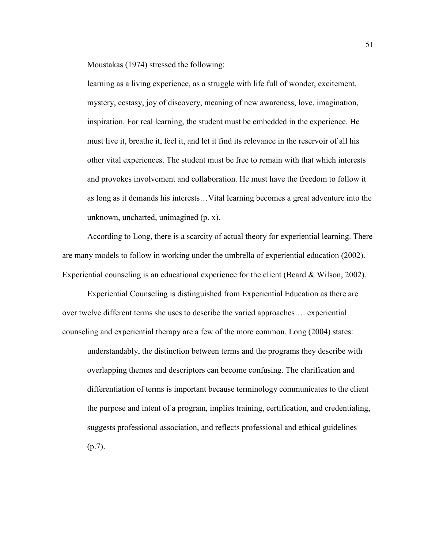Moustakas (1974) stressed the following:

learning as a living experience, as a struggle with life full of wonder, excitement, mystery, ecstasy, joy of discovery, meaning of new awareness, love, imagination, inspiration. For real learning, the student must be embedded in the experience. He must live it, breathe it, feel it, and let it find its relevance in the reservoir of all his other vital experiences. The student must be free to remain with that which interests and provokes involvement and collaboration. He must have the freedom to follow it as long as it demands his interests…Vital learning becomes a great adventure into the unknown, uncharted, unimagined (p. x).

According to Long, there is a scarcity of actual theory for experiential learning. There are many models to follow in working under the umbrella of experiential education (2002). Experiential counseling is an educational experience for the client (Beard & Wilson, 2002).

Experiential Counseling is distinguished from Experiential Education as there are over twelve different terms she uses to describe the varied approaches…. experiential counseling and experiential therapy are a few of the more common. Long (2004) states: understandably, the distinction between terms and the programs they describe with

overlapping themes and descriptors can become confusing. The clarification and differentiation of terms is important because terminology communicates to the client the purpose and intent of a program, implies training, certification, and credentialing, suggests professional association, and reflects professional and ethical guidelines (p.7).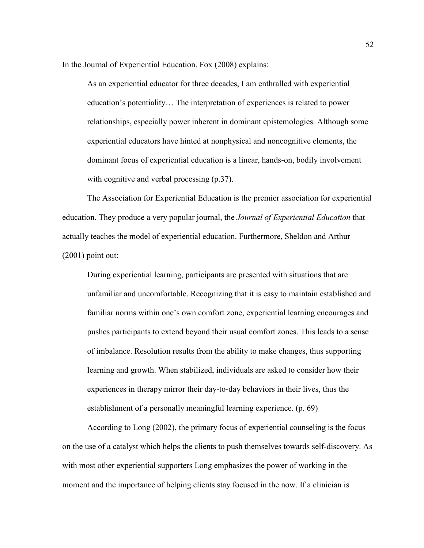In the Journal of Experiential Education, Fox (2008) explains:

As an experiential educator for three decades, I am enthralled with experiential education's potentiality… The interpretation of experiences is related to power relationships, especially power inherent in dominant epistemologies. Although some experiential educators have hinted at nonphysical and noncognitive elements, the dominant focus of experiential education is a linear, hands-on, bodily involvement with cognitive and verbal processing  $(p.37)$ .

The Association for Experiential Education is the premier association for experiential education. They produce a very popular journal, the *Journal of Experiential Education* that actually teaches the model of experiential education. Furthermore, Sheldon and Arthur (2001) point out:

During experiential learning, participants are presented with situations that are unfamiliar and uncomfortable. Recognizing that it is easy to maintain established and familiar norms within one's own comfort zone, experiential learning encourages and pushes participants to extend beyond their usual comfort zones. This leads to a sense of imbalance. Resolution results from the ability to make changes, thus supporting learning and growth. When stabilized, individuals are asked to consider how their experiences in therapy mirror their day-to-day behaviors in their lives, thus the establishment of a personally meaningful learning experience. (p. 69)

According to Long (2002), the primary focus of experiential counseling is the focus on the use of a catalyst which helps the clients to push themselves towards self-discovery. As with most other experiential supporters Long emphasizes the power of working in the moment and the importance of helping clients stay focused in the now. If a clinician is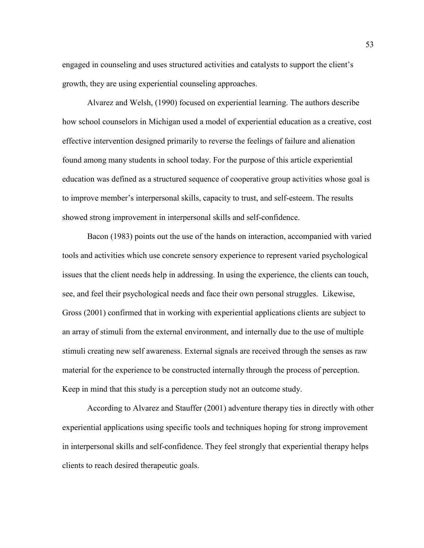engaged in counseling and uses structured activities and catalysts to support the client's growth, they are using experiential counseling approaches.

Alvarez and Welsh, (1990) focused on experiential learning. The authors describe how school counselors in Michigan used a model of experiential education as a creative, cost effective intervention designed primarily to reverse the feelings of failure and alienation found among many students in school today. For the purpose of this article experiential education was defined as a structured sequence of cooperative group activities whose goal is to improve member's interpersonal skills, capacity to trust, and self-esteem. The results showed strong improvement in interpersonal skills and self-confidence.

Bacon (1983) points out the use of the hands on interaction, accompanied with varied tools and activities which use concrete sensory experience to represent varied psychological issues that the client needs help in addressing. In using the experience, the clients can touch, see, and feel their psychological needs and face their own personal struggles. Likewise, Gross (2001) confirmed that in working with experiential applications clients are subject to an array of stimuli from the external environment, and internally due to the use of multiple stimuli creating new self awareness. External signals are received through the senses as raw material for the experience to be constructed internally through the process of perception. Keep in mind that this study is a perception study not an outcome study.

According to Alvarez and Stauffer (2001) adventure therapy ties in directly with other experiential applications using specific tools and techniques hoping for strong improvement in interpersonal skills and self-confidence. They feel strongly that experiential therapy helps clients to reach desired therapeutic goals.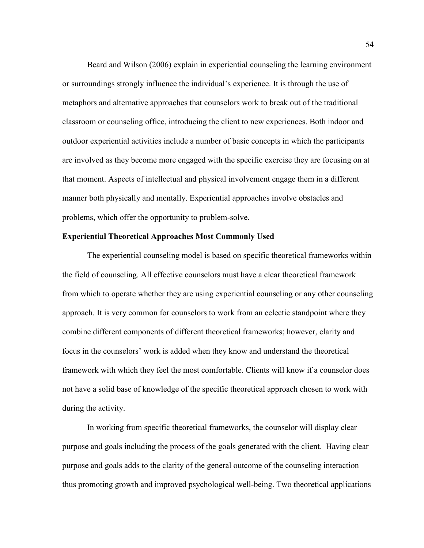Beard and Wilson (2006) explain in experiential counseling the learning environment or surroundings strongly influence the individual's experience. It is through the use of metaphors and alternative approaches that counselors work to break out of the traditional classroom or counseling office, introducing the client to new experiences. Both indoor and outdoor experiential activities include a number of basic concepts in which the participants are involved as they become more engaged with the specific exercise they are focusing on at that moment. Aspects of intellectual and physical involvement engage them in a different manner both physically and mentally. Experiential approaches involve obstacles and problems, which offer the opportunity to problem-solve.

## **Experiential Theoretical Approaches Most Commonly Used**

The experiential counseling model is based on specific theoretical frameworks within the field of counseling. All effective counselors must have a clear theoretical framework from which to operate whether they are using experiential counseling or any other counseling approach. It is very common for counselors to work from an eclectic standpoint where they combine different components of different theoretical frameworks; however, clarity and focus in the counselors' work is added when they know and understand the theoretical framework with which they feel the most comfortable. Clients will know if a counselor does not have a solid base of knowledge of the specific theoretical approach chosen to work with during the activity.

In working from specific theoretical frameworks, the counselor will display clear purpose and goals including the process of the goals generated with the client. Having clear purpose and goals adds to the clarity of the general outcome of the counseling interaction thus promoting growth and improved psychological well-being. Two theoretical applications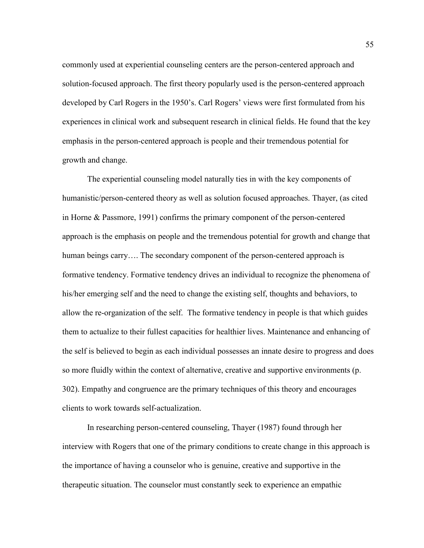commonly used at experiential counseling centers are the person-centered approach and solution-focused approach. The first theory popularly used is the person-centered approach developed by Carl Rogers in the 1950's. Carl Rogers' views were first formulated from his experiences in clinical work and subsequent research in clinical fields. He found that the key emphasis in the person-centered approach is people and their tremendous potential for growth and change.

The experiential counseling model naturally ties in with the key components of humanistic/person-centered theory as well as solution focused approaches. Thayer, (as cited in Horne & Passmore, 1991) confirms the primary component of the person-centered approach is the emphasis on people and the tremendous potential for growth and change that human beings carry.... The secondary component of the person-centered approach is formative tendency. Formative tendency drives an individual to recognize the phenomena of his/her emerging self and the need to change the existing self, thoughts and behaviors, to allow the re-organization of the self. The formative tendency in people is that which guides them to actualize to their fullest capacities for healthier lives. Maintenance and enhancing of the self is believed to begin as each individual possesses an innate desire to progress and does so more fluidly within the context of alternative, creative and supportive environments (p. 302). Empathy and congruence are the primary techniques of this theory and encourages clients to work towards self-actualization.

In researching person-centered counseling, Thayer (1987) found through her interview with Rogers that one of the primary conditions to create change in this approach is the importance of having a counselor who is genuine, creative and supportive in the therapeutic situation. The counselor must constantly seek to experience an empathic

55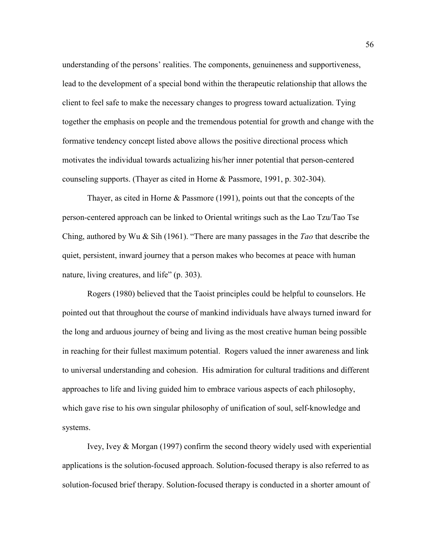understanding of the persons' realities. The components, genuineness and supportiveness, lead to the development of a special bond within the therapeutic relationship that allows the client to feel safe to make the necessary changes to progress toward actualization. Tying together the emphasis on people and the tremendous potential for growth and change with the formative tendency concept listed above allows the positive directional process which motivates the individual towards actualizing his/her inner potential that person-centered counseling supports. (Thayer as cited in Horne & Passmore, 1991, p. 302-304).

Thayer, as cited in Horne & Passmore (1991), points out that the concepts of the person-centered approach can be linked to Oriental writings such as the Lao Tzu/Tao Tse Ching, authored by Wu & Sih (1961). "There are many passages in the *Tao* that describe the quiet, persistent, inward journey that a person makes who becomes at peace with human nature, living creatures, and life" (p. 303).

Rogers (1980) believed that the Taoist principles could be helpful to counselors. He pointed out that throughout the course of mankind individuals have always turned inward for the long and arduous journey of being and living as the most creative human being possible in reaching for their fullest maximum potential. Rogers valued the inner awareness and link to universal understanding and cohesion. His admiration for cultural traditions and different approaches to life and living guided him to embrace various aspects of each philosophy, which gave rise to his own singular philosophy of unification of soul, self-knowledge and systems.

Ivey, Ivey & Morgan (1997) confirm the second theory widely used with experiential applications is the solution-focused approach. Solution-focused therapy is also referred to as solution-focused brief therapy. Solution-focused therapy is conducted in a shorter amount of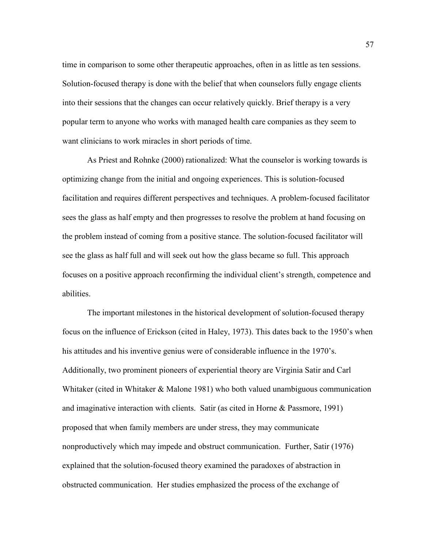time in comparison to some other therapeutic approaches, often in as little as ten sessions. Solution-focused therapy is done with the belief that when counselors fully engage clients into their sessions that the changes can occur relatively quickly. Brief therapy is a very popular term to anyone who works with managed health care companies as they seem to want clinicians to work miracles in short periods of time.

As Priest and Rohnke (2000) rationalized: What the counselor is working towards is optimizing change from the initial and ongoing experiences. This is solution-focused facilitation and requires different perspectives and techniques. A problem-focused facilitator sees the glass as half empty and then progresses to resolve the problem at hand focusing on the problem instead of coming from a positive stance. The solution-focused facilitator will see the glass as half full and will seek out how the glass became so full. This approach focuses on a positive approach reconfirming the individual client's strength, competence and abilities.

The important milestones in the historical development of solution-focused therapy focus on the influence of Erickson (cited in Haley, 1973). This dates back to the 1950's when his attitudes and his inventive genius were of considerable influence in the 1970's. Additionally, two prominent pioneers of experiential theory are Virginia Satir and Carl Whitaker (cited in Whitaker & Malone 1981) who both valued unambiguous communication and imaginative interaction with clients. Satir (as cited in Horne & Passmore, 1991) proposed that when family members are under stress, they may communicate nonproductively which may impede and obstruct communication. Further, Satir (1976) explained that the solution-focused theory examined the paradoxes of abstraction in obstructed communication. Her studies emphasized the process of the exchange of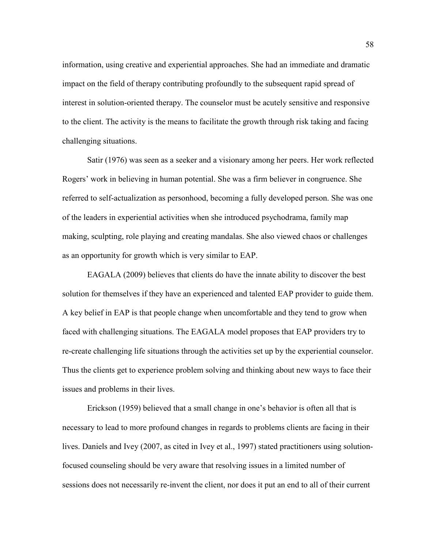information, using creative and experiential approaches. She had an immediate and dramatic impact on the field of therapy contributing profoundly to the subsequent rapid spread of interest in solution-oriented therapy. The counselor must be acutely sensitive and responsive to the client. The activity is the means to facilitate the growth through risk taking and facing challenging situations.

Satir (1976) was seen as a seeker and a visionary among her peers. Her work reflected Rogers' work in believing in human potential. She was a firm believer in congruence. She referred to self-actualization as personhood, becoming a fully developed person. She was one of the leaders in experiential activities when she introduced psychodrama, family map making, sculpting, role playing and creating mandalas. She also viewed chaos or challenges as an opportunity for growth which is very similar to EAP.

EAGALA (2009) believes that clients do have the innate ability to discover the best solution for themselves if they have an experienced and talented EAP provider to guide them. A key belief in EAP is that people change when uncomfortable and they tend to grow when faced with challenging situations. The EAGALA model proposes that EAP providers try to re-create challenging life situations through the activities set up by the experiential counselor. Thus the clients get to experience problem solving and thinking about new ways to face their issues and problems in their lives.

Erickson (1959) believed that a small change in one's behavior is often all that is necessary to lead to more profound changes in regards to problems clients are facing in their lives. Daniels and Ivey (2007, as cited in Ivey et al., 1997) stated practitioners using solutionfocused counseling should be very aware that resolving issues in a limited number of sessions does not necessarily re-invent the client, nor does it put an end to all of their current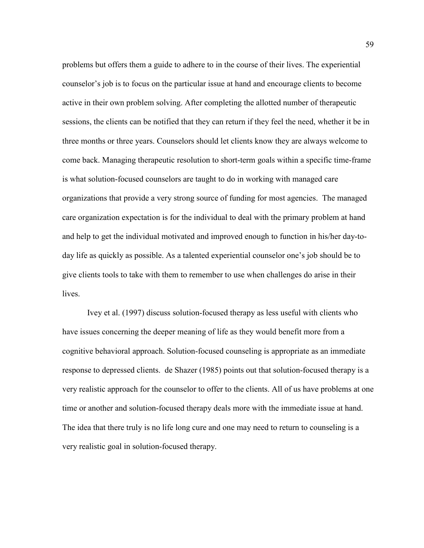problems but offers them a guide to adhere to in the course of their lives. The experiential counselor's job is to focus on the particular issue at hand and encourage clients to become active in their own problem solving. After completing the allotted number of therapeutic sessions, the clients can be notified that they can return if they feel the need, whether it be in three months or three years. Counselors should let clients know they are always welcome to come back. Managing therapeutic resolution to short-term goals within a specific time-frame is what solution-focused counselors are taught to do in working with managed care organizations that provide a very strong source of funding for most agencies. The managed care organization expectation is for the individual to deal with the primary problem at hand and help to get the individual motivated and improved enough to function in his/her day-today life as quickly as possible. As a talented experiential counselor one's job should be to give clients tools to take with them to remember to use when challenges do arise in their lives.

Ivey et al. (1997) discuss solution-focused therapy as less useful with clients who have issues concerning the deeper meaning of life as they would benefit more from a cognitive behavioral approach. Solution-focused counseling is appropriate as an immediate response to depressed clients. de Shazer (1985) points out that solution-focused therapy is a very realistic approach for the counselor to offer to the clients. All of us have problems at one time or another and solution-focused therapy deals more with the immediate issue at hand. The idea that there truly is no life long cure and one may need to return to counseling is a very realistic goal in solution-focused therapy.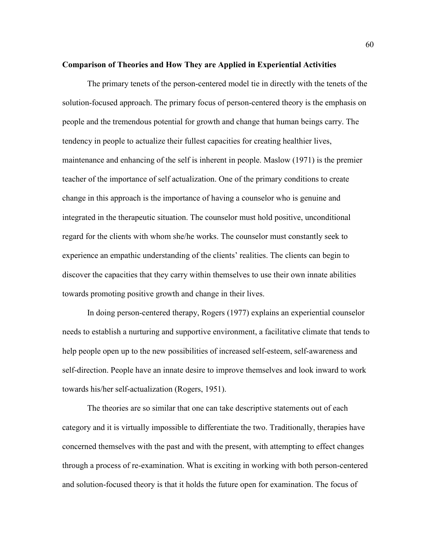## **Comparison of Theories and How They are Applied in Experiential Activities**

The primary tenets of the person-centered model tie in directly with the tenets of the solution-focused approach. The primary focus of person-centered theory is the emphasis on people and the tremendous potential for growth and change that human beings carry. The tendency in people to actualize their fullest capacities for creating healthier lives, maintenance and enhancing of the self is inherent in people. Maslow (1971) is the premier teacher of the importance of self actualization. One of the primary conditions to create change in this approach is the importance of having a counselor who is genuine and integrated in the therapeutic situation. The counselor must hold positive, unconditional regard for the clients with whom she/he works. The counselor must constantly seek to experience an empathic understanding of the clients' realities. The clients can begin to discover the capacities that they carry within themselves to use their own innate abilities towards promoting positive growth and change in their lives.

In doing person-centered therapy, Rogers (1977) explains an experiential counselor needs to establish a nurturing and supportive environment, a facilitative climate that tends to help people open up to the new possibilities of increased self-esteem, self-awareness and self-direction. People have an innate desire to improve themselves and look inward to work towards his/her self-actualization (Rogers, 1951).

The theories are so similar that one can take descriptive statements out of each category and it is virtually impossible to differentiate the two. Traditionally, therapies have concerned themselves with the past and with the present, with attempting to effect changes through a process of re-examination. What is exciting in working with both person-centered and solution-focused theory is that it holds the future open for examination. The focus of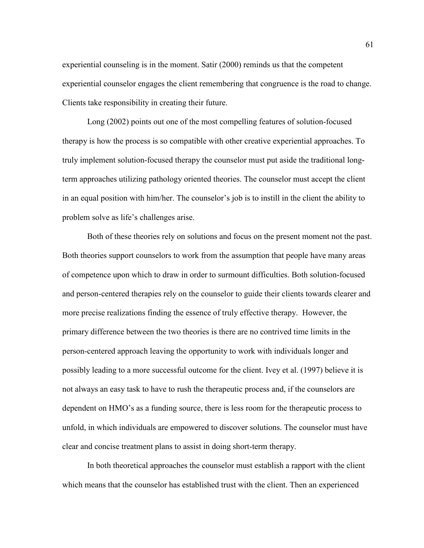experiential counseling is in the moment. Satir (2000) reminds us that the competent experiential counselor engages the client remembering that congruence is the road to change. Clients take responsibility in creating their future.

Long (2002) points out one of the most compelling features of solution-focused therapy is how the process is so compatible with other creative experiential approaches. To truly implement solution-focused therapy the counselor must put aside the traditional longterm approaches utilizing pathology oriented theories. The counselor must accept the client in an equal position with him/her. The counselor's job is to instill in the client the ability to problem solve as life's challenges arise.

Both of these theories rely on solutions and focus on the present moment not the past. Both theories support counselors to work from the assumption that people have many areas of competence upon which to draw in order to surmount difficulties. Both solution-focused and person-centered therapies rely on the counselor to guide their clients towards clearer and more precise realizations finding the essence of truly effective therapy. However, the primary difference between the two theories is there are no contrived time limits in the person-centered approach leaving the opportunity to work with individuals longer and possibly leading to a more successful outcome for the client. Ivey et al. (1997) believe it is not always an easy task to have to rush the therapeutic process and, if the counselors are dependent on HMO's as a funding source, there is less room for the therapeutic process to unfold, in which individuals are empowered to discover solutions. The counselor must have clear and concise treatment plans to assist in doing short-term therapy.

In both theoretical approaches the counselor must establish a rapport with the client which means that the counselor has established trust with the client. Then an experienced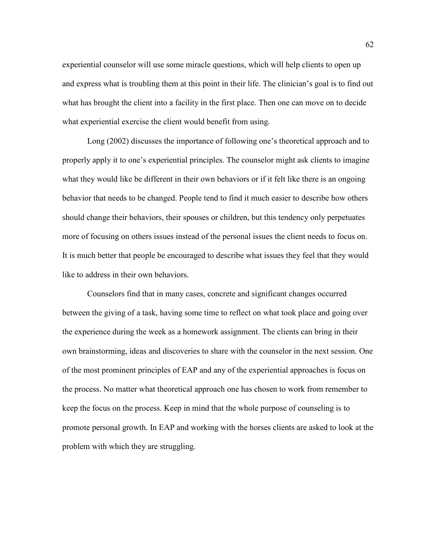experiential counselor will use some miracle questions, which will help clients to open up and express what is troubling them at this point in their life. The clinician's goal is to find out what has brought the client into a facility in the first place. Then one can move on to decide what experiential exercise the client would benefit from using.

Long (2002) discusses the importance of following one's theoretical approach and to properly apply it to one's experiential principles. The counselor might ask clients to imagine what they would like be different in their own behaviors or if it felt like there is an ongoing behavior that needs to be changed. People tend to find it much easier to describe how others should change their behaviors, their spouses or children, but this tendency only perpetuates more of focusing on others issues instead of the personal issues the client needs to focus on. It is much better that people be encouraged to describe what issues they feel that they would like to address in their own behaviors.

Counselors find that in many cases, concrete and significant changes occurred between the giving of a task, having some time to reflect on what took place and going over the experience during the week as a homework assignment. The clients can bring in their own brainstorming, ideas and discoveries to share with the counselor in the next session. One of the most prominent principles of EAP and any of the experiential approaches is focus on the process. No matter what theoretical approach one has chosen to work from remember to keep the focus on the process. Keep in mind that the whole purpose of counseling is to promote personal growth. In EAP and working with the horses clients are asked to look at the problem with which they are struggling.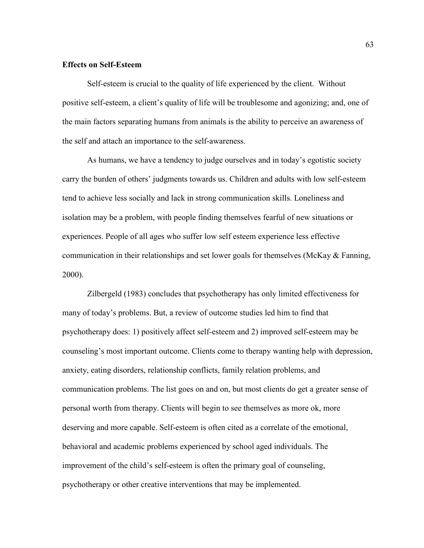## **Effects on Self-Esteem**

Self-esteem is crucial to the quality of life experienced by the client. Without positive self-esteem, a client's quality of life will be troublesome and agonizing; and, one of the main factors separating humans from animals is the ability to perceive an awareness of the self and attach an importance to the self-awareness.

As humans, we have a tendency to judge ourselves and in today's egotistic society carry the burden of others' judgments towards us. Children and adults with low self-esteem tend to achieve less socially and lack in strong communication skills. Loneliness and isolation may be a problem, with people finding themselves fearful of new situations or experiences. People of all ages who suffer low self esteem experience less effective communication in their relationships and set lower goals for themselves (McKay & Fanning, 2000).

Zilbergeld (1983) concludes that psychotherapy has only limited effectiveness for many of today's problems. But, a review of outcome studies led him to find that psychotherapy does: 1) positively affect self-esteem and 2) improved self-esteem may be counseling's most important outcome. Clients come to therapy wanting help with depression, anxiety, eating disorders, relationship conflicts, family relation problems, and communication problems. The list goes on and on, but most clients do get a greater sense of personal worth from therapy. Clients will begin to see themselves as more ok, more deserving and more capable. Self-esteem is often cited as a correlate of the emotional, behavioral and academic problems experienced by school aged individuals. The improvement of the child's self-esteem is often the primary goal of counseling, psychotherapy or other creative interventions that may be implemented.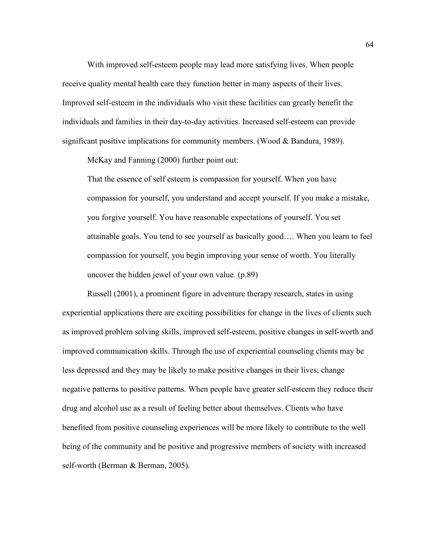With improved self-esteem people may lead more satisfying lives. When people receive quality mental health care they function better in many aspects of their lives. Improved self-esteem in the individuals who visit these facilities can greatly benefit the individuals and families in their day-to-day activities. Increased self-esteem can provide significant positive implications for community members. (Wood & Bandura, 1989).

McKay and Fanning (2000) further point out:

That the essence of self esteem is compassion for yourself. When you have compassion for yourself, you understand and accept yourself. If you make a mistake, you forgive yourself. You have reasonable expectations of yourself. You set attainable goals. You tend to see yourself as basically good…. When you learn to feel compassion for yourself, you begin improving your sense of worth. You literally uncover the hidden jewel of your own value. (p.89)

Russell (2001), a prominent figure in adventure therapy research, states in using experiential applications there are exciting possibilities for change in the lives of clients such as improved problem solving skills, improved self-esteem, positive changes in self-worth and improved communication skills. Through the use of experiential counseling clients may be less depressed and they may be likely to make positive changes in their lives; change negative patterns to positive patterns. When people have greater self-esteem they reduce their drug and alcohol use as a result of feeling better about themselves. Clients who have benefited from positive counseling experiences will be more likely to contribute to the well being of the community and be positive and progressive members of society with increased self-worth (Berman & Berman, 2005).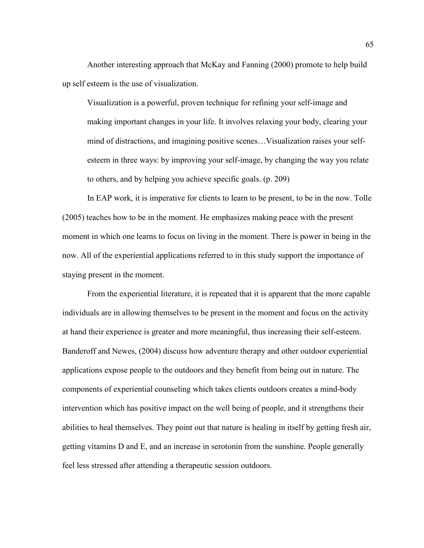Another interesting approach that McKay and Fanning (2000) promote to help build up self esteem is the use of visualization.

Visualization is a powerful, proven technique for refining your self-image and making important changes in your life. It involves relaxing your body, clearing your mind of distractions, and imagining positive scenes…Visualization raises your selfesteem in three ways: by improving your self-image, by changing the way you relate to others, and by helping you achieve specific goals. (p. 209)

In EAP work, it is imperative for clients to learn to be present, to be in the now. Tolle (2005) teaches how to be in the moment. He emphasizes making peace with the present moment in which one learns to focus on living in the moment. There is power in being in the now. All of the experiential applications referred to in this study support the importance of staying present in the moment.

From the experiential literature, it is repeated that it is apparent that the more capable individuals are in allowing themselves to be present in the moment and focus on the activity at hand their experience is greater and more meaningful, thus increasing their self-esteem. Banderoff and Newes, (2004) discuss how adventure therapy and other outdoor experiential applications expose people to the outdoors and they benefit from being out in nature. The components of experiential counseling which takes clients outdoors creates a mind-body intervention which has positive impact on the well being of people, and it strengthens their abilities to heal themselves. They point out that nature is healing in itself by getting fresh air, getting vitamins D and E, and an increase in serotonin from the sunshine. People generally feel less stressed after attending a therapeutic session outdoors.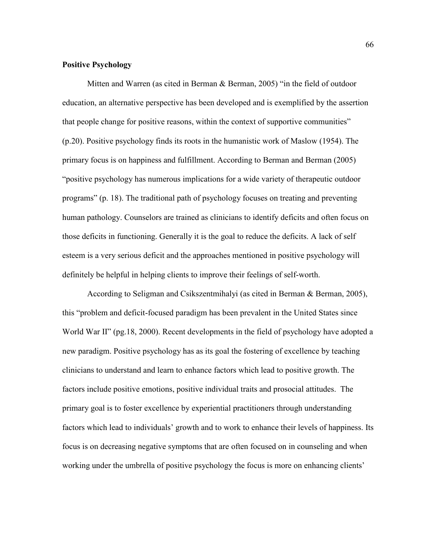# **Positive Psychology**

Mitten and Warren (as cited in Berman & Berman, 2005) "in the field of outdoor education, an alternative perspective has been developed and is exemplified by the assertion that people change for positive reasons, within the context of supportive communities" (p.20). Positive psychology finds its roots in the humanistic work of Maslow (1954). The primary focus is on happiness and fulfillment. According to Berman and Berman (2005) "positive psychology has numerous implications for a wide variety of therapeutic outdoor programs" (p. 18). The traditional path of psychology focuses on treating and preventing human pathology. Counselors are trained as clinicians to identify deficits and often focus on those deficits in functioning. Generally it is the goal to reduce the deficits. A lack of self esteem is a very serious deficit and the approaches mentioned in positive psychology will definitely be helpful in helping clients to improve their feelings of self-worth.

According to Seligman and Csikszentmihalyi (as cited in Berman & Berman, 2005), this "problem and deficit-focused paradigm has been prevalent in the United States since World War II" (pg. 18, 2000). Recent developments in the field of psychology have adopted a new paradigm. Positive psychology has as its goal the fostering of excellence by teaching clinicians to understand and learn to enhance factors which lead to positive growth. The factors include positive emotions, positive individual traits and prosocial attitudes. The primary goal is to foster excellence by experiential practitioners through understanding factors which lead to individuals' growth and to work to enhance their levels of happiness. Its focus is on decreasing negative symptoms that are often focused on in counseling and when working under the umbrella of positive psychology the focus is more on enhancing clients'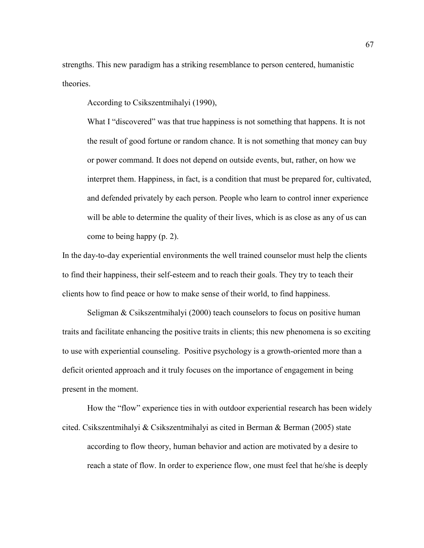strengths. This new paradigm has a striking resemblance to person centered, humanistic theories.

According to Csikszentmihalyi (1990),

What I "discovered" was that true happiness is not something that happens. It is not the result of good fortune or random chance. It is not something that money can buy or power command. It does not depend on outside events, but, rather, on how we interpret them. Happiness, in fact, is a condition that must be prepared for, cultivated, and defended privately by each person. People who learn to control inner experience will be able to determine the quality of their lives, which is as close as any of us can come to being happy (p. 2).

In the day-to-day experiential environments the well trained counselor must help the clients to find their happiness, their self-esteem and to reach their goals. They try to teach their clients how to find peace or how to make sense of their world, to find happiness.

Seligman & Csikszentmihalyi (2000) teach counselors to focus on positive human traits and facilitate enhancing the positive traits in clients; this new phenomena is so exciting to use with experiential counseling. Positive psychology is a growth-oriented more than a deficit oriented approach and it truly focuses on the importance of engagement in being present in the moment.

How the "flow" experience ties in with outdoor experiential research has been widely cited. Csikszentmihalyi & Csikszentmihalyi as cited in Berman & Berman (2005) state according to flow theory, human behavior and action are motivated by a desire to reach a state of flow. In order to experience flow, one must feel that he/she is deeply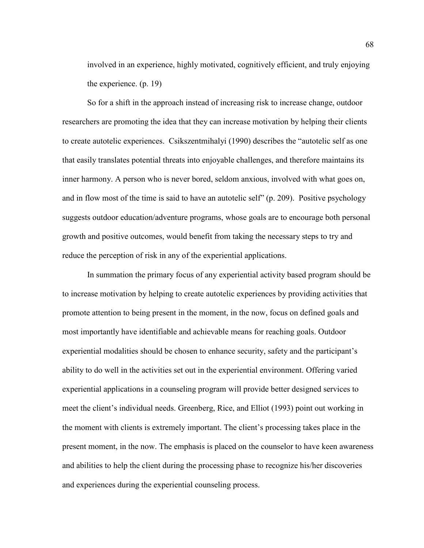involved in an experience, highly motivated, cognitively efficient, and truly enjoying the experience. (p. 19)

So for a shift in the approach instead of increasing risk to increase change, outdoor researchers are promoting the idea that they can increase motivation by helping their clients to create autotelic experiences. Csikszentmihalyi (1990) describes the "autotelic self as one that easily translates potential threats into enjoyable challenges, and therefore maintains its inner harmony. A person who is never bored, seldom anxious, involved with what goes on, and in flow most of the time is said to have an autotelic self" (p. 209). Positive psychology suggests outdoor education/adventure programs, whose goals are to encourage both personal growth and positive outcomes, would benefit from taking the necessary steps to try and reduce the perception of risk in any of the experiential applications.

In summation the primary focus of any experiential activity based program should be to increase motivation by helping to create autotelic experiences by providing activities that promote attention to being present in the moment, in the now, focus on defined goals and most importantly have identifiable and achievable means for reaching goals. Outdoor experiential modalities should be chosen to enhance security, safety and the participant's ability to do well in the activities set out in the experiential environment. Offering varied experiential applications in a counseling program will provide better designed services to meet the client's individual needs. Greenberg, Rice, and Elliot (1993) point out working in the moment with clients is extremely important. The client's processing takes place in the present moment, in the now. The emphasis is placed on the counselor to have keen awareness and abilities to help the client during the processing phase to recognize his/her discoveries and experiences during the experiential counseling process.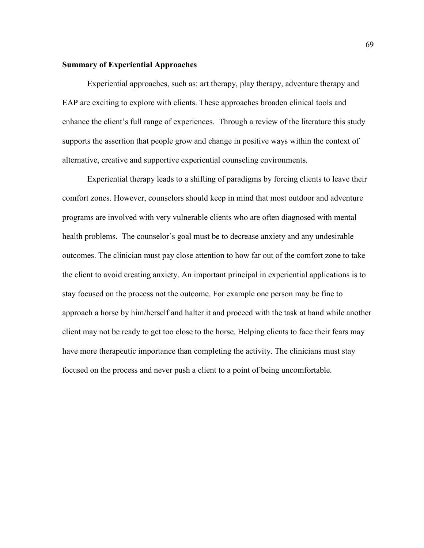## **Summary of Experiential Approaches**

Experiential approaches, such as: art therapy, play therapy, adventure therapy and EAP are exciting to explore with clients. These approaches broaden clinical tools and enhance the client's full range of experiences. Through a review of the literature this study supports the assertion that people grow and change in positive ways within the context of alternative, creative and supportive experiential counseling environments.

Experiential therapy leads to a shifting of paradigms by forcing clients to leave their comfort zones. However, counselors should keep in mind that most outdoor and adventure programs are involved with very vulnerable clients who are often diagnosed with mental health problems. The counselor's goal must be to decrease anxiety and any undesirable outcomes. The clinician must pay close attention to how far out of the comfort zone to take the client to avoid creating anxiety. An important principal in experiential applications is to stay focused on the process not the outcome. For example one person may be fine to approach a horse by him/herself and halter it and proceed with the task at hand while another client may not be ready to get too close to the horse. Helping clients to face their fears may have more therapeutic importance than completing the activity. The clinicians must stay focused on the process and never push a client to a point of being uncomfortable.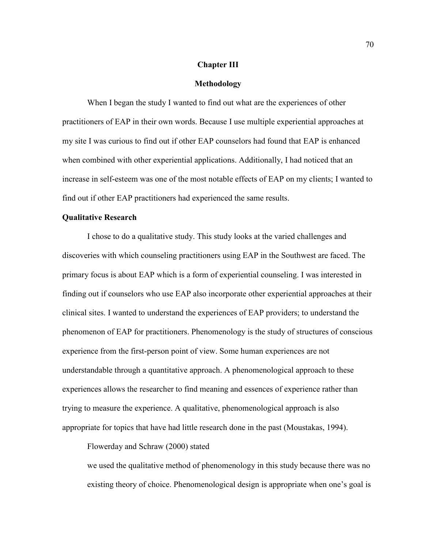### **Chapter III**

#### **Methodology**

When I began the study I wanted to find out what are the experiences of other practitioners of EAP in their own words. Because I use multiple experiential approaches at my site I was curious to find out if other EAP counselors had found that EAP is enhanced when combined with other experiential applications. Additionally, I had noticed that an increase in self-esteem was one of the most notable effects of EAP on my clients; I wanted to find out if other EAP practitioners had experienced the same results.

#### **Qualitative Research**

I chose to do a qualitative study. This study looks at the varied challenges and discoveries with which counseling practitioners using EAP in the Southwest are faced. The primary focus is about EAP which is a form of experiential counseling. I was interested in finding out if counselors who use EAP also incorporate other experiential approaches at their clinical sites. I wanted to understand the experiences of EAP providers; to understand the phenomenon of EAP for practitioners. Phenomenology is the study of structures of conscious experience from the first-person point of view. Some human experiences are not understandable through a quantitative approach. A phenomenological approach to these experiences allows the researcher to find meaning and essences of experience rather than trying to measure the experience. A qualitative, phenomenological approach is also appropriate for topics that have had little research done in the past (Moustakas, 1994).

Flowerday and Schraw (2000) stated

we used the qualitative method of phenomenology in this study because there was no existing theory of choice. Phenomenological design is appropriate when one's goal is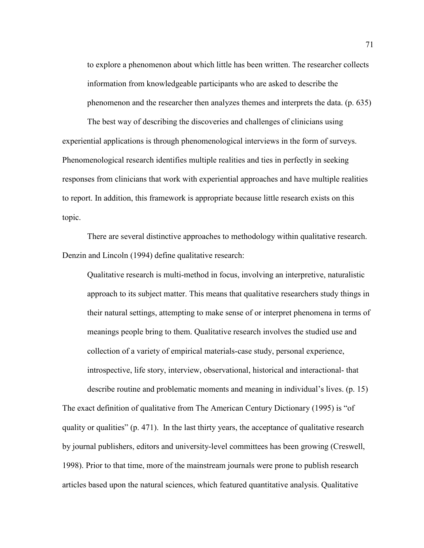to explore a phenomenon about which little has been written. The researcher collects information from knowledgeable participants who are asked to describe the phenomenon and the researcher then analyzes themes and interprets the data. (p. 635)

The best way of describing the discoveries and challenges of clinicians using experiential applications is through phenomenological interviews in the form of surveys. Phenomenological research identifies multiple realities and ties in perfectly in seeking responses from clinicians that work with experiential approaches and have multiple realities to report. In addition, this framework is appropriate because little research exists on this topic.

There are several distinctive approaches to methodology within qualitative research. Denzin and Lincoln (1994) define qualitative research:

Qualitative research is multi-method in focus, involving an interpretive, naturalistic approach to its subject matter. This means that qualitative researchers study things in their natural settings, attempting to make sense of or interpret phenomena in terms of meanings people bring to them. Qualitative research involves the studied use and collection of a variety of empirical materials-case study, personal experience, introspective, life story, interview, observational, historical and interactional- that

describe routine and problematic moments and meaning in individual's lives. (p. 15) The exact definition of qualitative from The American Century Dictionary (1995) is "of quality or qualities"  $(p. 471)$ . In the last thirty years, the acceptance of qualitative research by journal publishers, editors and university-level committees has been growing (Creswell, 1998). Prior to that time, more of the mainstream journals were prone to publish research articles based upon the natural sciences, which featured quantitative analysis. Qualitative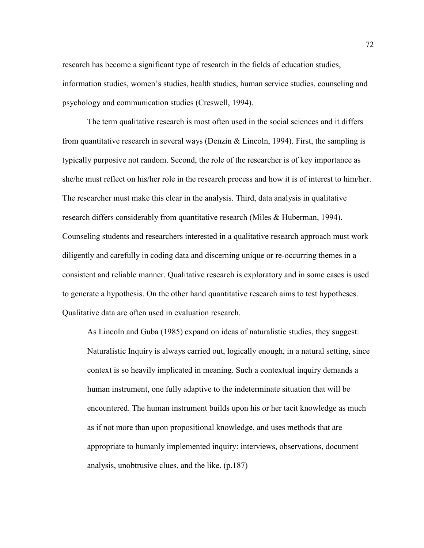research has become a significant type of research in the fields of education studies, information studies, women's studies, health studies, human service studies, counseling and psychology and communication studies (Creswell, 1994).

The term qualitative research is most often used in the social sciences and it differs from quantitative research in several ways (Denzin & Lincoln, 1994). First, the sampling is typically purposive not random. Second, the role of the researcher is of key importance as she/he must reflect on his/her role in the research process and how it is of interest to him/her. The researcher must make this clear in the analysis. Third, data analysis in qualitative research differs considerably from quantitative research (Miles & Huberman, 1994). Counseling students and researchers interested in a qualitative research approach must work diligently and carefully in coding data and discerning unique or re-occurring themes in a consistent and reliable manner. Qualitative research is exploratory and in some cases is used to generate a hypothesis. On the other hand quantitative research aims to test hypotheses. Qualitative data are often used in evaluation research.

As Lincoln and Guba (1985) expand on ideas of naturalistic studies, they suggest: Naturalistic Inquiry is always carried out, logically enough, in a natural setting, since context is so heavily implicated in meaning. Such a contextual inquiry demands a human instrument, one fully adaptive to the indeterminate situation that will be encountered. The human instrument builds upon his or her tacit knowledge as much as if not more than upon propositional knowledge, and uses methods that are appropriate to humanly implemented inquiry: interviews, observations, document analysis, unobtrusive clues, and the like. (p.187)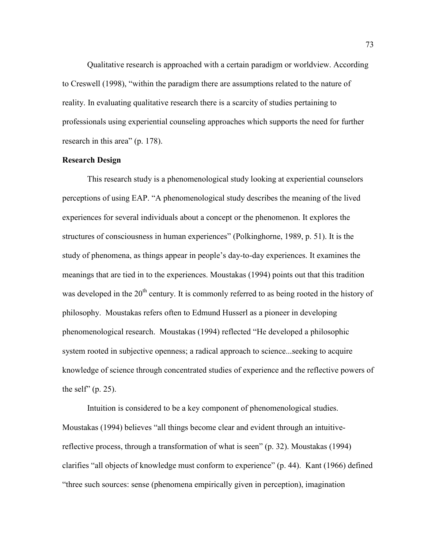Qualitative research is approached with a certain paradigm or worldview. According to Creswell (1998), "within the paradigm there are assumptions related to the nature of reality. In evaluating qualitative research there is a scarcity of studies pertaining to professionals using experiential counseling approaches which supports the need for further research in this area" (p. 178).

## **Research Design**

This research study is a phenomenological study looking at experiential counselors perceptions of using EAP. "A phenomenological study describes the meaning of the lived experiences for several individuals about a concept or the phenomenon. It explores the structures of consciousness in human experiences" (Polkinghorne, 1989, p. 51). It is the study of phenomena, as things appear in people's day-to-day experiences. It examines the meanings that are tied in to the experiences. Moustakas (1994) points out that this tradition was developed in the 20<sup>th</sup> century. It is commonly referred to as being rooted in the history of philosophy. Moustakas refers often to Edmund Husserl as a pioneer in developing phenomenological research. Moustakas (1994) reflected "He developed a philosophic system rooted in subjective openness; a radical approach to science...seeking to acquire knowledge of science through concentrated studies of experience and the reflective powers of the self"  $(p. 25)$ .

Intuition is considered to be a key component of phenomenological studies. Moustakas (1994) believes "all things become clear and evident through an intuitivereflective process, through a transformation of what is seen" (p. 32). Moustakas (1994) clarifies "all objects of knowledge must conform to experience" (p. 44). Kant (1966) defined "three such sources: sense (phenomena empirically given in perception), imagination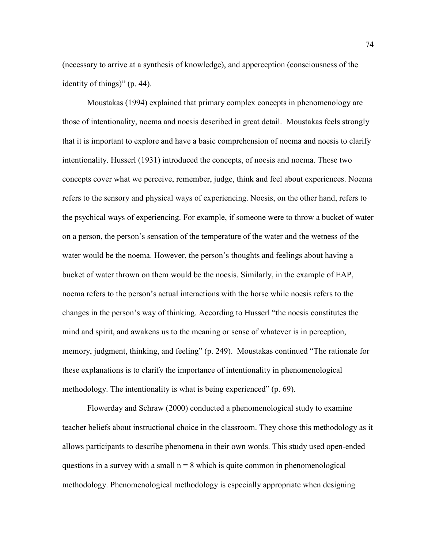(necessary to arrive at a synthesis of knowledge), and apperception (consciousness of the identity of things)" (p. 44).

Moustakas (1994) explained that primary complex concepts in phenomenology are those of intentionality, noema and noesis described in great detail. Moustakas feels strongly that it is important to explore and have a basic comprehension of noema and noesis to clarify intentionality. Husserl (1931) introduced the concepts, of noesis and noema. These two concepts cover what we perceive, remember, judge, think and feel about experiences. Noema refers to the sensory and physical ways of experiencing. Noesis, on the other hand, refers to the psychical ways of experiencing. For example, if someone were to throw a bucket of water on a person, the person's sensation of the temperature of the water and the wetness of the water would be the noema. However, the person's thoughts and feelings about having a bucket of water thrown on them would be the noesis. Similarly, in the example of EAP, noema refers to the person's actual interactions with the horse while noesis refers to the changes in the person's way of thinking. According to Husserl "the noesis constitutes the mind and spirit, and awakens us to the meaning or sense of whatever is in perception, memory, judgment, thinking, and feeling" (p. 249). Moustakas continued "The rationale for these explanations is to clarify the importance of intentionality in phenomenological methodology. The intentionality is what is being experienced" (p. 69).

Flowerday and Schraw (2000) conducted a phenomenological study to examine teacher beliefs about instructional choice in the classroom. They chose this methodology as it allows participants to describe phenomena in their own words. This study used open-ended questions in a survey with a small  $n = 8$  which is quite common in phenomenological methodology. Phenomenological methodology is especially appropriate when designing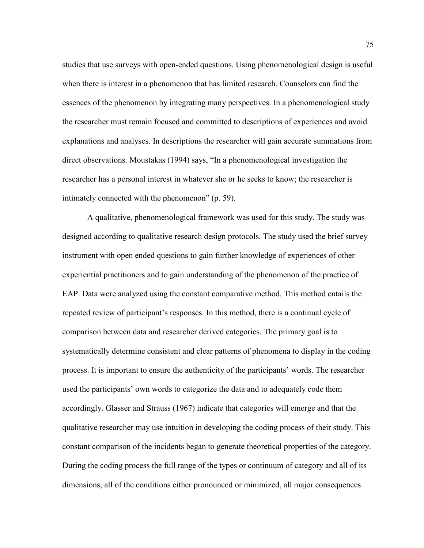studies that use surveys with open-ended questions. Using phenomenological design is useful when there is interest in a phenomenon that has limited research. Counselors can find the essences of the phenomenon by integrating many perspectives. In a phenomenological study the researcher must remain focused and committed to descriptions of experiences and avoid explanations and analyses. In descriptions the researcher will gain accurate summations from direct observations. Moustakas (1994) says, "In a phenomenological investigation the researcher has a personal interest in whatever she or he seeks to know; the researcher is intimately connected with the phenomenon" (p. 59).

A qualitative, phenomenological framework was used for this study. The study was designed according to qualitative research design protocols. The study used the brief survey instrument with open ended questions to gain further knowledge of experiences of other experiential practitioners and to gain understanding of the phenomenon of the practice of EAP. Data were analyzed using the constant comparative method. This method entails the repeated review of participant's responses. In this method, there is a continual cycle of comparison between data and researcher derived categories. The primary goal is to systematically determine consistent and clear patterns of phenomena to display in the coding process. It is important to ensure the authenticity of the participants' words. The researcher used the participants' own words to categorize the data and to adequately code them accordingly. Glasser and Strauss (1967) indicate that categories will emerge and that the qualitative researcher may use intuition in developing the coding process of their study. This constant comparison of the incidents began to generate theoretical properties of the category. During the coding process the full range of the types or continuum of category and all of its dimensions, all of the conditions either pronounced or minimized, all major consequences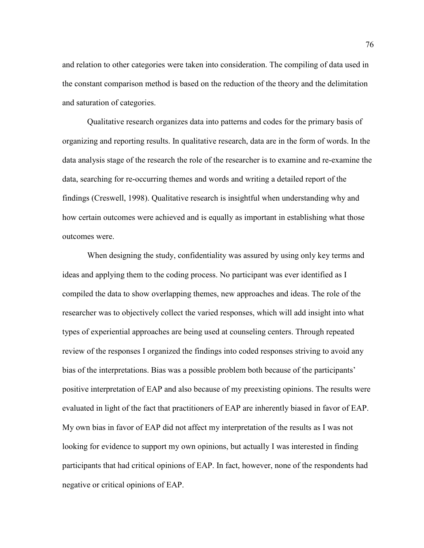and relation to other categories were taken into consideration. The compiling of data used in the constant comparison method is based on the reduction of the theory and the delimitation and saturation of categories.

Qualitative research organizes data into patterns and codes for the primary basis of organizing and reporting results. In qualitative research, data are in the form of words. In the data analysis stage of the research the role of the researcher is to examine and re-examine the data, searching for re-occurring themes and words and writing a detailed report of the findings (Creswell, 1998). Qualitative research is insightful when understanding why and how certain outcomes were achieved and is equally as important in establishing what those outcomes were.

When designing the study, confidentiality was assured by using only key terms and ideas and applying them to the coding process. No participant was ever identified as I compiled the data to show overlapping themes, new approaches and ideas. The role of the researcher was to objectively collect the varied responses, which will add insight into what types of experiential approaches are being used at counseling centers. Through repeated review of the responses I organized the findings into coded responses striving to avoid any bias of the interpretations. Bias was a possible problem both because of the participants' positive interpretation of EAP and also because of my preexisting opinions. The results were evaluated in light of the fact that practitioners of EAP are inherently biased in favor of EAP. My own bias in favor of EAP did not affect my interpretation of the results as I was not looking for evidence to support my own opinions, but actually I was interested in finding participants that had critical opinions of EAP. In fact, however, none of the respondents had negative or critical opinions of EAP.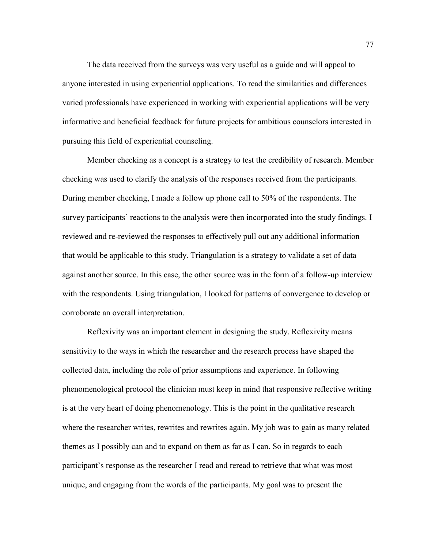The data received from the surveys was very useful as a guide and will appeal to anyone interested in using experiential applications. To read the similarities and differences varied professionals have experienced in working with experiential applications will be very informative and beneficial feedback for future projects for ambitious counselors interested in pursuing this field of experiential counseling.

Member checking as a concept is a strategy to test the credibility of research. Member checking was used to clarify the analysis of the responses received from the participants. During member checking, I made a follow up phone call to 50% of the respondents. The survey participants' reactions to the analysis were then incorporated into the study findings. I reviewed and re-reviewed the responses to effectively pull out any additional information that would be applicable to this study. Triangulation is a strategy to validate a set of data against another source. In this case, the other source was in the form of a follow-up interview with the respondents. Using triangulation, I looked for patterns of convergence to develop or corroborate an overall interpretation.

Reflexivity was an important element in designing the study. Reflexivity means sensitivity to the ways in which the researcher and the research process have shaped the collected data, including the role of prior assumptions and experience. In following phenomenological protocol the clinician must keep in mind that responsive reflective writing is at the very heart of doing phenomenology. This is the point in the qualitative research where the researcher writes, rewrites and rewrites again. My job was to gain as many related themes as I possibly can and to expand on them as far as I can. So in regards to each participant's response as the researcher I read and reread to retrieve that what was most unique, and engaging from the words of the participants. My goal was to present the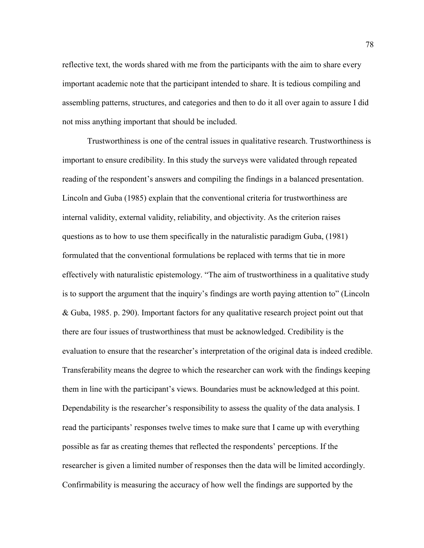reflective text, the words shared with me from the participants with the aim to share every important academic note that the participant intended to share. It is tedious compiling and assembling patterns, structures, and categories and then to do it all over again to assure I did not miss anything important that should be included.

Trustworthiness is one of the central issues in qualitative research. Trustworthiness is important to ensure credibility. In this study the surveys were validated through repeated reading of the respondent's answers and compiling the findings in a balanced presentation. Lincoln and Guba (1985) explain that the conventional criteria for trustworthiness are internal validity, external validity, reliability, and objectivity. As the criterion raises questions as to how to use them specifically in the naturalistic paradigm Guba, (1981) formulated that the conventional formulations be replaced with terms that tie in more effectively with naturalistic epistemology. "The aim of trustworthiness in a qualitative study is to support the argument that the inquiry's findings are worth paying attention to" (Lincoln & Guba, 1985. p. 290). Important factors for any qualitative research project point out that there are four issues of trustworthiness that must be acknowledged. Credibility is the evaluation to ensure that the researcher's interpretation of the original data is indeed credible. Transferability means the degree to which the researcher can work with the findings keeping them in line with the participant's views. Boundaries must be acknowledged at this point. Dependability is the researcher's responsibility to assess the quality of the data analysis. I read the participants' responses twelve times to make sure that I came up with everything possible as far as creating themes that reflected the respondents' perceptions. If the researcher is given a limited number of responses then the data will be limited accordingly. Confirmability is measuring the accuracy of how well the findings are supported by the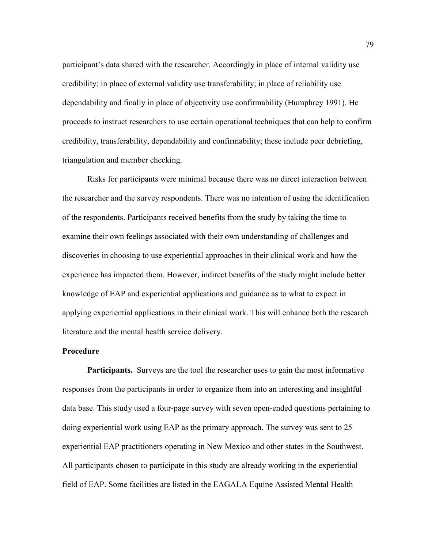participant's data shared with the researcher. Accordingly in place of internal validity use credibility; in place of external validity use transferability; in place of reliability use dependability and finally in place of objectivity use confirmability (Humphrey 1991). He proceeds to instruct researchers to use certain operational techniques that can help to confirm credibility, transferability, dependability and confirmability; these include peer debriefing, triangulation and member checking.

Risks for participants were minimal because there was no direct interaction between the researcher and the survey respondents. There was no intention of using the identification of the respondents. Participants received benefits from the study by taking the time to examine their own feelings associated with their own understanding of challenges and discoveries in choosing to use experiential approaches in their clinical work and how the experience has impacted them. However, indirect benefits of the study might include better knowledge of EAP and experiential applications and guidance as to what to expect in applying experiential applications in their clinical work. This will enhance both the research literature and the mental health service delivery.

### **Procedure**

**Participants.** Surveys are the tool the researcher uses to gain the most informative responses from the participants in order to organize them into an interesting and insightful data base. This study used a four-page survey with seven open-ended questions pertaining to doing experiential work using EAP as the primary approach. The survey was sent to 25 experiential EAP practitioners operating in New Mexico and other states in the Southwest. All participants chosen to participate in this study are already working in the experiential field of EAP. Some facilities are listed in the EAGALA Equine Assisted Mental Health

79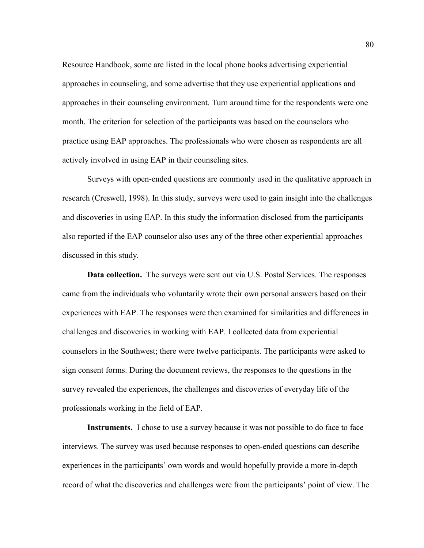Resource Handbook, some are listed in the local phone books advertising experiential approaches in counseling, and some advertise that they use experiential applications and approaches in their counseling environment. Turn around time for the respondents were one month. The criterion for selection of the participants was based on the counselors who practice using EAP approaches. The professionals who were chosen as respondents are all actively involved in using EAP in their counseling sites.

Surveys with open-ended questions are commonly used in the qualitative approach in research (Creswell, 1998). In this study, surveys were used to gain insight into the challenges and discoveries in using EAP. In this study the information disclosed from the participants also reported if the EAP counselor also uses any of the three other experiential approaches discussed in this study.

**Data collection.** The surveys were sent out via U.S. Postal Services. The responses came from the individuals who voluntarily wrote their own personal answers based on their experiences with EAP. The responses were then examined for similarities and differences in challenges and discoveries in working with EAP. I collected data from experiential counselors in the Southwest; there were twelve participants. The participants were asked to sign consent forms. During the document reviews, the responses to the questions in the survey revealed the experiences, the challenges and discoveries of everyday life of the professionals working in the field of EAP.

**Instruments.** I chose to use a survey because it was not possible to do face to face interviews. The survey was used because responses to open-ended questions can describe experiences in the participants' own words and would hopefully provide a more in-depth record of what the discoveries and challenges were from the participants' point of view. The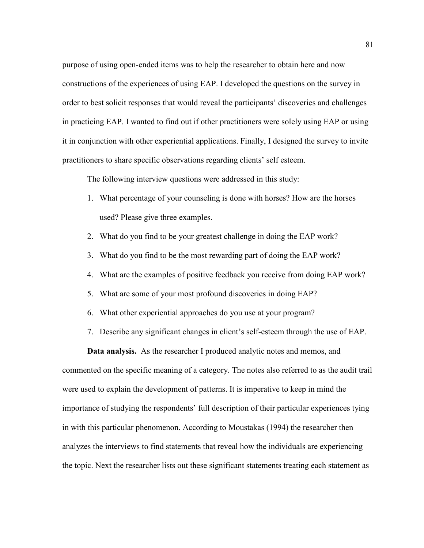purpose of using open-ended items was to help the researcher to obtain here and now constructions of the experiences of using EAP. I developed the questions on the survey in order to best solicit responses that would reveal the participants' discoveries and challenges in practicing EAP. I wanted to find out if other practitioners were solely using EAP or using it in conjunction with other experiential applications. Finally, I designed the survey to invite practitioners to share specific observations regarding clients' self esteem.

The following interview questions were addressed in this study:

- 1. What percentage of your counseling is done with horses? How are the horses used? Please give three examples.
- 2. What do you find to be your greatest challenge in doing the EAP work?
- 3. What do you find to be the most rewarding part of doing the EAP work?
- 4. What are the examples of positive feedback you receive from doing EAP work?
- 5. What are some of your most profound discoveries in doing EAP?
- 6. What other experiential approaches do you use at your program?
- 7. Describe any significant changes in client's self-esteem through the use of EAP.

**Data analysis.** As the researcher I produced analytic notes and memos, and commented on the specific meaning of a category. The notes also referred to as the audit trail were used to explain the development of patterns. It is imperative to keep in mind the importance of studying the respondents' full description of their particular experiences tying in with this particular phenomenon. According to Moustakas (1994) the researcher then analyzes the interviews to find statements that reveal how the individuals are experiencing the topic. Next the researcher lists out these significant statements treating each statement as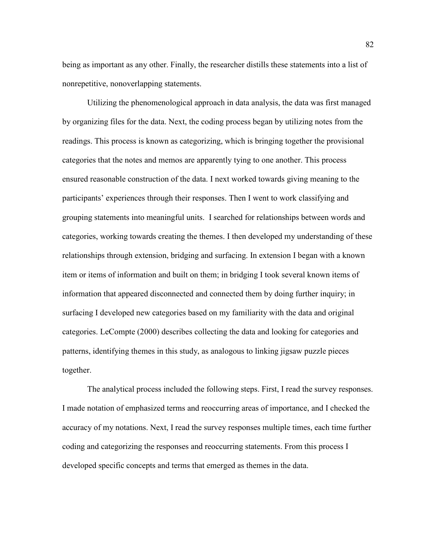being as important as any other. Finally, the researcher distills these statements into a list of nonrepetitive, nonoverlapping statements.

Utilizing the phenomenological approach in data analysis, the data was first managed by organizing files for the data. Next, the coding process began by utilizing notes from the readings. This process is known as categorizing, which is bringing together the provisional categories that the notes and memos are apparently tying to one another. This process ensured reasonable construction of the data. I next worked towards giving meaning to the participants' experiences through their responses. Then I went to work classifying and grouping statements into meaningful units. I searched for relationships between words and categories, working towards creating the themes. I then developed my understanding of these relationships through extension, bridging and surfacing. In extension I began with a known item or items of information and built on them; in bridging I took several known items of information that appeared disconnected and connected them by doing further inquiry; in surfacing I developed new categories based on my familiarity with the data and original categories. LeCompte (2000) describes collecting the data and looking for categories and patterns, identifying themes in this study, as analogous to linking jigsaw puzzle pieces together.

The analytical process included the following steps. First, I read the survey responses. I made notation of emphasized terms and reoccurring areas of importance, and I checked the accuracy of my notations. Next, I read the survey responses multiple times, each time further coding and categorizing the responses and reoccurring statements. From this process I developed specific concepts and terms that emerged as themes in the data.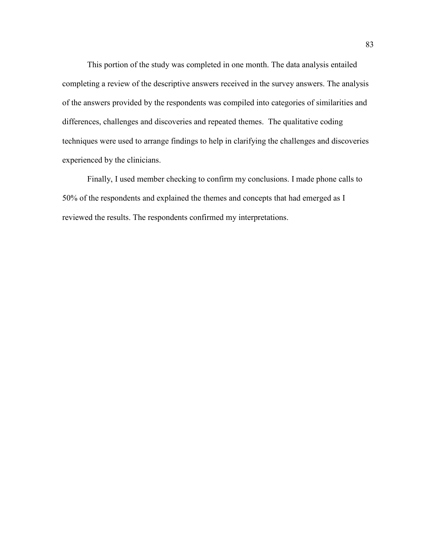This portion of the study was completed in one month. The data analysis entailed completing a review of the descriptive answers received in the survey answers. The analysis of the answers provided by the respondents was compiled into categories of similarities and differences, challenges and discoveries and repeated themes. The qualitative coding techniques were used to arrange findings to help in clarifying the challenges and discoveries experienced by the clinicians.

Finally, I used member checking to confirm my conclusions. I made phone calls to 50% of the respondents and explained the themes and concepts that had emerged as I reviewed the results. The respondents confirmed my interpretations.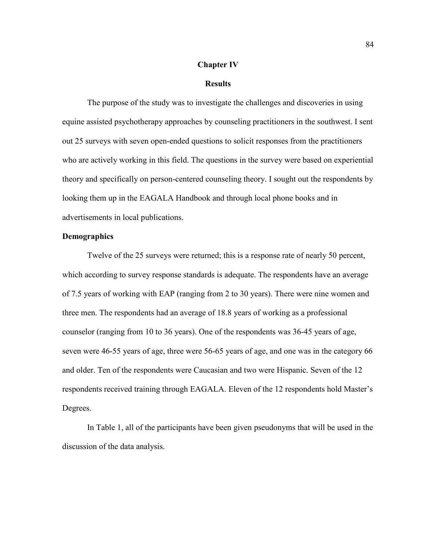### **Chapter IV**

### **Results**

The purpose of the study was to investigate the challenges and discoveries in using equine assisted psychotherapy approaches by counseling practitioners in the southwest. I sent out 25 surveys with seven open-ended questions to solicit responses from the practitioners who are actively working in this field. The questions in the survey were based on experiential theory and specifically on person-centered counseling theory. I sought out the respondents by looking them up in the EAGALA Handbook and through local phone books and in advertisements in local publications.

## **Demographics**

Twelve of the 25 surveys were returned; this is a response rate of nearly 50 percent, which according to survey response standards is adequate. The respondents have an average of 7.5 years of working with EAP (ranging from 2 to 30 years). There were nine women and three men. The respondents had an average of 18.8 years of working as a professional counselor (ranging from 10 to 36 years). One of the respondents was 36-45 years of age, seven were 46-55 years of age, three were 56-65 years of age, and one was in the category 66 and older. Ten of the respondents were Caucasian and two were Hispanic. Seven of the 12 respondents received training through EAGALA. Eleven of the 12 respondents hold Master's Degrees.

In Table 1, all of the participants have been given pseudonyms that will be used in the discussion of the data analysis.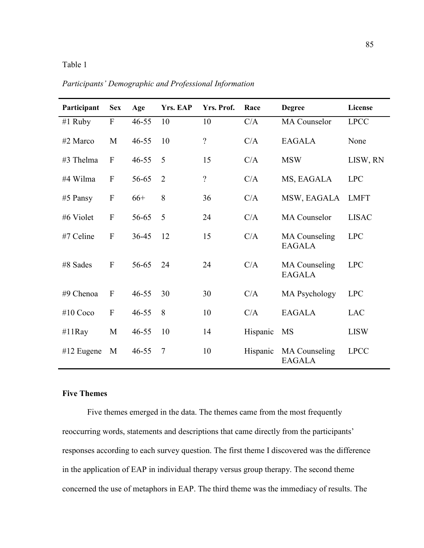## Table 1

| Participant  | <b>Sex</b>       | Age       | Yrs. EAP       | Yrs. Prof.               | Race     | <b>Degree</b>                         | License      |
|--------------|------------------|-----------|----------------|--------------------------|----------|---------------------------------------|--------------|
| #1 Ruby      | ${\bf F}$        | $46 - 55$ | 10             | 10                       | C/A      | <b>MA</b> Counselor                   | <b>LPCC</b>  |
| #2 Marco     | $\mathbf M$      | $46 - 55$ | 10             | $\overline{\mathcal{L}}$ | C/A      | <b>EAGALA</b>                         | None         |
| #3 Thelma    | $\overline{F}$   | $46 - 55$ | 5              | 15                       | C/A      | <b>MSW</b>                            | LISW, RN     |
| #4 Wilma     | $\mathbf{F}$     | 56-65     | $\overline{2}$ | $\gamma$                 | C/A      | MS, EAGALA                            | <b>LPC</b>   |
| $#5$ Pansy   | $\boldsymbol{F}$ | $66+$     | 8              | 36                       | C/A      | MSW, EAGALA                           | <b>LMFT</b>  |
| #6 Violet    | ${\bf F}$        | 56-65     | 5              | 24                       | C/A      | <b>MA</b> Counselor                   | <b>LISAC</b> |
| #7 Celine    | $\mathbf{F}$     | 36-45     | 12             | 15                       | C/A      | <b>MA</b> Counseling<br><b>EAGALA</b> | <b>LPC</b>   |
| #8 Sades     | $\mathbf{F}$     | 56-65     | 24             | 24                       | C/A      | <b>MA</b> Counseling<br><b>EAGALA</b> | <b>LPC</b>   |
| #9 Chenoa    | $\mathbf{F}$     | $46 - 55$ | 30             | 30                       | C/A      | <b>MA Psychology</b>                  | <b>LPC</b>   |
| #10 $Coco$   | $\mathbf{F}$     | $46 - 55$ | 8              | 10                       | C/A      | <b>EAGALA</b>                         | <b>LAC</b>   |
| #11 $Ray$    | M                | $46 - 55$ | 10             | 14                       | Hispanic | <b>MS</b>                             | <b>LISW</b>  |
| $#12$ Eugene | M                | $46 - 55$ | $\overline{7}$ | 10                       | Hispanic | <b>MA</b> Counseling<br><b>EAGALA</b> | <b>LPCC</b>  |

*Participants' Demographic and Professional Information*

# **Five Themes**

Five themes emerged in the data. The themes came from the most frequently reoccurring words, statements and descriptions that came directly from the participants' responses according to each survey question. The first theme I discovered was the difference in the application of EAP in individual therapy versus group therapy. The second theme concerned the use of metaphors in EAP. The third theme was the immediacy of results. The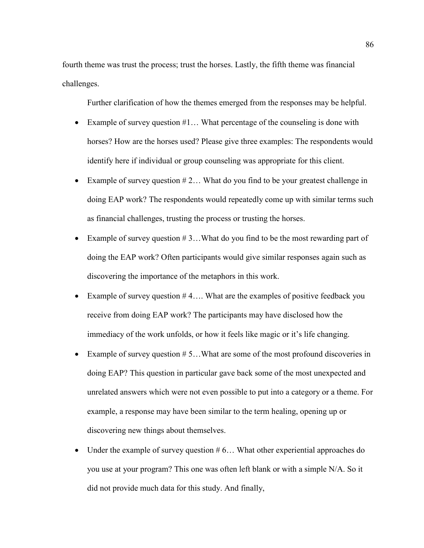fourth theme was trust the process; trust the horses. Lastly, the fifth theme was financial challenges.

Further clarification of how the themes emerged from the responses may be helpful.

- Example of survey question  $#1...$  What percentage of the counseling is done with horses? How are the horses used? Please give three examples: The respondents would identify here if individual or group counseling was appropriate for this client.
- Example of survey question  $# 2...$  What do you find to be your greatest challenge in doing EAP work? The respondents would repeatedly come up with similar terms such as financial challenges, trusting the process or trusting the horses.
- Example of survey question  $# 3...$  What do you find to be the most rewarding part of doing the EAP work? Often participants would give similar responses again such as discovering the importance of the metaphors in this work.
- Example of survey question #4... What are the examples of positive feedback you receive from doing EAP work? The participants may have disclosed how the immediacy of the work unfolds, or how it feels like magic or it's life changing.
- Example of survey question  $# 5...$  What are some of the most profound discoveries in doing EAP? This question in particular gave back some of the most unexpected and unrelated answers which were not even possible to put into a category or a theme. For example, a response may have been similar to the term healing, opening up or discovering new things about themselves.
- Under the example of survey question  $# 6...$  What other experiential approaches do you use at your program? This one was often left blank or with a simple N/A. So it did not provide much data for this study. And finally,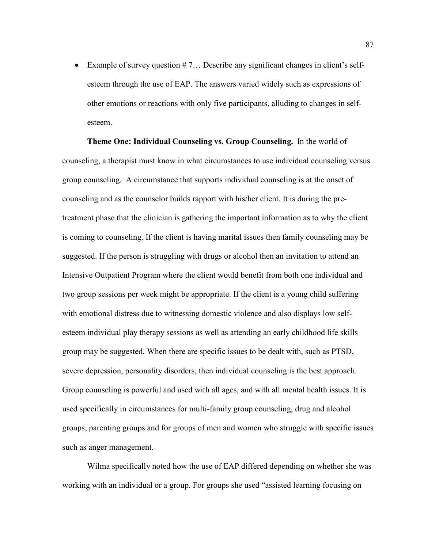• Example of survey question  $# 7...$  Describe any significant changes in client's selfesteem through the use of EAP. The answers varied widely such as expressions of other emotions or reactions with only five participants, alluding to changes in selfesteem.

**Theme One: Individual Counseling vs. Group Counseling.** In the world of counseling, a therapist must know in what circumstances to use individual counseling versus group counseling. A circumstance that supports individual counseling is at the onset of counseling and as the counselor builds rapport with his/her client. It is during the pretreatment phase that the clinician is gathering the important information as to why the client is coming to counseling. If the client is having marital issues then family counseling may be suggested. If the person is struggling with drugs or alcohol then an invitation to attend an Intensive Outpatient Program where the client would benefit from both one individual and two group sessions per week might be appropriate. If the client is a young child suffering with emotional distress due to witnessing domestic violence and also displays low selfesteem individual play therapy sessions as well as attending an early childhood life skills group may be suggested. When there are specific issues to be dealt with, such as PTSD, severe depression, personality disorders, then individual counseling is the best approach. Group counseling is powerful and used with all ages, and with all mental health issues. It is used specifically in circumstances for multi-family group counseling, drug and alcohol groups, parenting groups and for groups of men and women who struggle with specific issues such as anger management.

Wilma specifically noted how the use of EAP differed depending on whether she was working with an individual or a group. For groups she used "assisted learning focusing on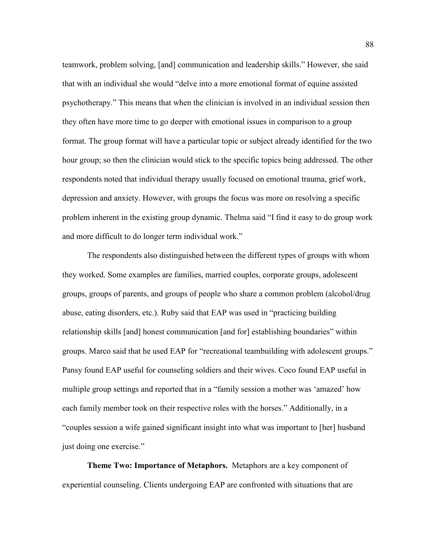teamwork, problem solving, [and] communication and leadership skills." However, she said that with an individual she would "delve into a more emotional format of equine assisted psychotherapy." This means that when the clinician is involved in an individual session then they often have more time to go deeper with emotional issues in comparison to a group format. The group format will have a particular topic or subject already identified for the two hour group; so then the clinician would stick to the specific topics being addressed. The other respondents noted that individual therapy usually focused on emotional trauma, grief work, depression and anxiety. However, with groups the focus was more on resolving a specific problem inherent in the existing group dynamic. Thelma said "I find it easy to do group work and more difficult to do longer term individual work."

The respondents also distinguished between the different types of groups with whom they worked. Some examples are families, married couples, corporate groups, adolescent groups, groups of parents, and groups of people who share a common problem (alcohol/drug abuse, eating disorders, etc.). Ruby said that EAP was used in "practicing building relationship skills [and] honest communication [and for] establishing boundaries" within groups. Marco said that he used EAP for "recreational teambuilding with adolescent groups." Pansy found EAP useful for counseling soldiers and their wives. Coco found EAP useful in multiple group settings and reported that in a "family session a mother was 'amazed' how each family member took on their respective roles with the horses." Additionally, in a "couples session a wife gained significant insight into what was important to [her] husband just doing one exercise."

**Theme Two: Importance of Metaphors.** Metaphors are a key component of experiential counseling. Clients undergoing EAP are confronted with situations that are 88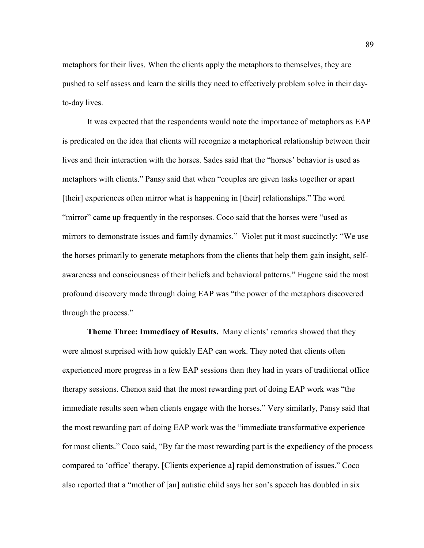metaphors for their lives. When the clients apply the metaphors to themselves, they are pushed to self assess and learn the skills they need to effectively problem solve in their dayto-day lives.

It was expected that the respondents would note the importance of metaphors as EAP is predicated on the idea that clients will recognize a metaphorical relationship between their lives and their interaction with the horses. Sades said that the "horses' behavior is used as metaphors with clients." Pansy said that when "couples are given tasks together or apart [their] experiences often mirror what is happening in [their] relationships." The word "mirror" came up frequently in the responses. Coco said that the horses were "used as mirrors to demonstrate issues and family dynamics." Violet put it most succinctly: "We use the horses primarily to generate metaphors from the clients that help them gain insight, selfawareness and consciousness of their beliefs and behavioral patterns." Eugene said the most profound discovery made through doing EAP was "the power of the metaphors discovered through the process."

**Theme Three: Immediacy of Results.** Many clients' remarks showed that they were almost surprised with how quickly EAP can work. They noted that clients often experienced more progress in a few EAP sessions than they had in years of traditional office therapy sessions. Chenoa said that the most rewarding part of doing EAP work was "the immediate results seen when clients engage with the horses." Very similarly, Pansy said that the most rewarding part of doing EAP work was the "immediate transformative experience for most clients." Coco said, "By far the most rewarding part is the expediency of the process compared to 'office' therapy. [Clients experience a] rapid demonstration of issues." Coco also reported that a "mother of [an] autistic child says her son's speech has doubled in six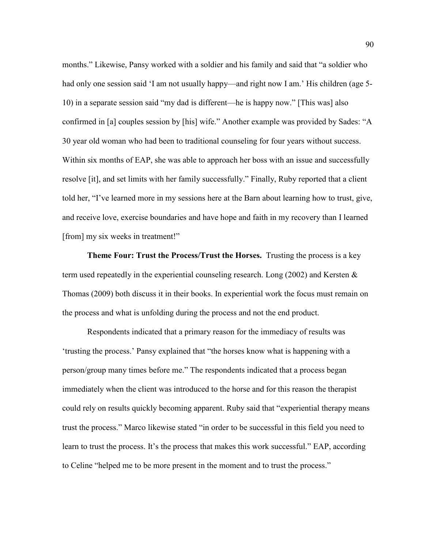months." Likewise, Pansy worked with a soldier and his family and said that "a soldier who had only one session said 'I am not usually happy—and right now I am.' His children (age 5-10) in a separate session said "my dad is different—he is happy now." [This was] also confirmed in [a] couples session by [his] wife." Another example was provided by Sades: "A 30 year old woman who had been to traditional counseling for four years without success. Within six months of EAP, she was able to approach her boss with an issue and successfully resolve [it], and set limits with her family successfully." Finally, Ruby reported that a client told her, "I've learned more in my sessions here at the Barn about learning how to trust, give, and receive love, exercise boundaries and have hope and faith in my recovery than I learned [from] my six weeks in treatment!"

**Theme Four: Trust the Process/Trust the Horses.** Trusting the process is a key term used repeatedly in the experiential counseling research. Long (2002) and Kersten & Thomas (2009) both discuss it in their books. In experiential work the focus must remain on the process and what is unfolding during the process and not the end product.

Respondents indicated that a primary reason for the immediacy of results was 'trusting the process.' Pansy explained that "the horses know what is happening with a person/group many times before me." The respondents indicated that a process began immediately when the client was introduced to the horse and for this reason the therapist could rely on results quickly becoming apparent. Ruby said that "experiential therapy means trust the process." Marco likewise stated "in order to be successful in this field you need to learn to trust the process. It's the process that makes this work successful." EAP, according to Celine "helped me to be more present in the moment and to trust the process."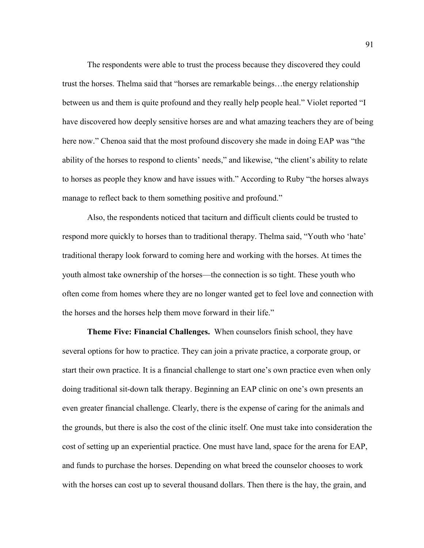The respondents were able to trust the process because they discovered they could trust the horses. Thelma said that "horses are remarkable beings…the energy relationship between us and them is quite profound and they really help people heal." Violet reported "I have discovered how deeply sensitive horses are and what amazing teachers they are of being here now." Chenoa said that the most profound discovery she made in doing EAP was "the ability of the horses to respond to clients' needs," and likewise, "the client's ability to relate to horses as people they know and have issues with." According to Ruby "the horses always manage to reflect back to them something positive and profound."

Also, the respondents noticed that taciturn and difficult clients could be trusted to respond more quickly to horses than to traditional therapy. Thelma said, "Youth who 'hate' traditional therapy look forward to coming here and working with the horses. At times the youth almost take ownership of the horses—the connection is so tight. These youth who often come from homes where they are no longer wanted get to feel love and connection with the horses and the horses help them move forward in their life."

**Theme Five: Financial Challenges.** When counselors finish school, they have several options for how to practice. They can join a private practice, a corporate group, or start their own practice. It is a financial challenge to start one's own practice even when only doing traditional sit-down talk therapy. Beginning an EAP clinic on one's own presents an even greater financial challenge. Clearly, there is the expense of caring for the animals and the grounds, but there is also the cost of the clinic itself. One must take into consideration the cost of setting up an experiential practice. One must have land, space for the arena for EAP, and funds to purchase the horses. Depending on what breed the counselor chooses to work with the horses can cost up to several thousand dollars. Then there is the hay, the grain, and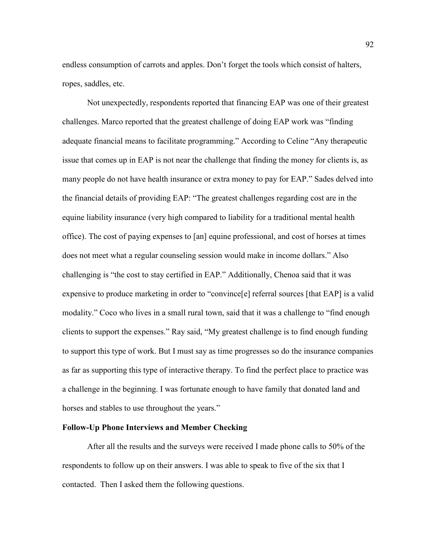endless consumption of carrots and apples. Don't forget the tools which consist of halters, ropes, saddles, etc.

Not unexpectedly, respondents reported that financing EAP was one of their greatest challenges. Marco reported that the greatest challenge of doing EAP work was "finding adequate financial means to facilitate programming." According to Celine "Any therapeutic issue that comes up in EAP is not near the challenge that finding the money for clients is, as many people do not have health insurance or extra money to pay for EAP." Sades delved into the financial details of providing EAP: "The greatest challenges regarding cost are in the equine liability insurance (very high compared to liability for a traditional mental health office). The cost of paying expenses to [an] equine professional, and cost of horses at times does not meet what a regular counseling session would make in income dollars." Also challenging is "the cost to stay certified in EAP." Additionally, Chenoa said that it was expensive to produce marketing in order to "convince[e] referral sources [that EAP] is a valid modality." Coco who lives in a small rural town, said that it was a challenge to "find enough clients to support the expenses." Ray said, "My greatest challenge is to find enough funding to support this type of work. But I must say as time progresses so do the insurance companies as far as supporting this type of interactive therapy. To find the perfect place to practice was a challenge in the beginning. I was fortunate enough to have family that donated land and horses and stables to use throughout the years."

### **Follow-Up Phone Interviews and Member Checking**

After all the results and the surveys were received I made phone calls to 50% of the respondents to follow up on their answers. I was able to speak to five of the six that I contacted. Then I asked them the following questions.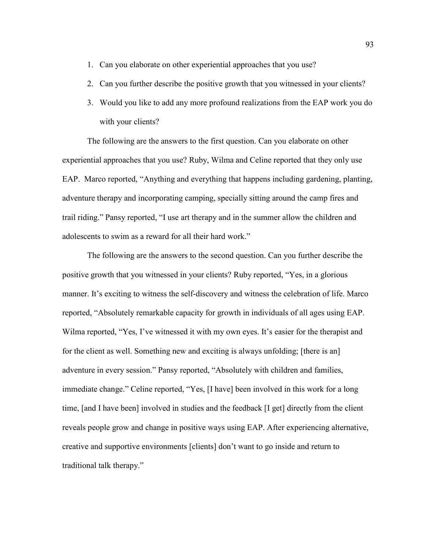- 1. Can you elaborate on other experiential approaches that you use?
- 2. Can you further describe the positive growth that you witnessed in your clients?
- 3. Would you like to add any more profound realizations from the EAP work you do with your clients?

The following are the answers to the first question. Can you elaborate on other experiential approaches that you use? Ruby, Wilma and Celine reported that they only use EAP. Marco reported, "Anything and everything that happens including gardening, planting, adventure therapy and incorporating camping, specially sitting around the camp fires and trail riding." Pansy reported, "I use art therapy and in the summer allow the children and adolescents to swim as a reward for all their hard work."

The following are the answers to the second question. Can you further describe the positive growth that you witnessed in your clients? Ruby reported, "Yes, in a glorious manner. It's exciting to witness the self-discovery and witness the celebration of life. Marco reported, "Absolutely remarkable capacity for growth in individuals of all ages using EAP. Wilma reported, "Yes, I've witnessed it with my own eyes. It's easier for the therapist and for the client as well. Something new and exciting is always unfolding; [there is an] adventure in every session." Pansy reported, "Absolutely with children and families, immediate change." Celine reported, "Yes, [I have] been involved in this work for a long time, [and I have been] involved in studies and the feedback [I get] directly from the client reveals people grow and change in positive ways using EAP. After experiencing alternative, creative and supportive environments [clients] don't want to go inside and return to traditional talk therapy."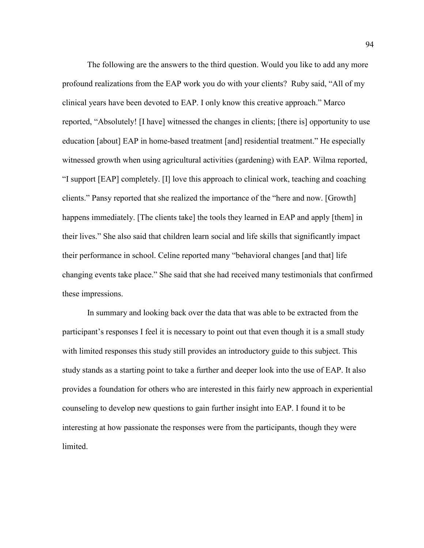The following are the answers to the third question. Would you like to add any more profound realizations from the EAP work you do with your clients? Ruby said, "All of my clinical years have been devoted to EAP. I only know this creative approach." Marco reported, "Absolutely! [I have] witnessed the changes in clients; [there is] opportunity to use education [about] EAP in home-based treatment [and] residential treatment." He especially witnessed growth when using agricultural activities (gardening) with EAP. Wilma reported, "I support [EAP] completely. [I] love this approach to clinical work, teaching and coaching clients." Pansy reported that she realized the importance of the "here and now. [Growth] happens immediately. [The clients take] the tools they learned in EAP and apply [them] in their lives." She also said that children learn social and life skills that significantly impact their performance in school. Celine reported many "behavioral changes [and that] life changing events take place." She said that she had received many testimonials that confirmed these impressions.

In summary and looking back over the data that was able to be extracted from the participant's responses I feel it is necessary to point out that even though it is a small study with limited responses this study still provides an introductory guide to this subject. This study stands as a starting point to take a further and deeper look into the use of EAP. It also provides a foundation for others who are interested in this fairly new approach in experiential counseling to develop new questions to gain further insight into EAP. I found it to be interesting at how passionate the responses were from the participants, though they were limited.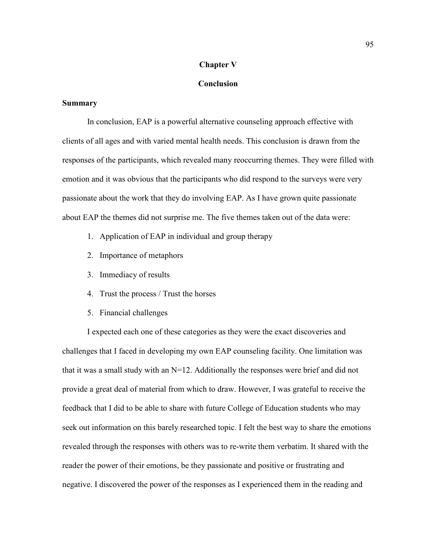### **Chapter V**

## **Conclusion**

#### **Summary**

In conclusion, EAP is a powerful alternative counseling approach effective with clients of all ages and with varied mental health needs. This conclusion is drawn from the responses of the participants, which revealed many reoccurring themes. They were filled with emotion and it was obvious that the participants who did respond to the surveys were very passionate about the work that they do involving EAP. As I have grown quite passionate about EAP the themes did not surprise me. The five themes taken out of the data were:

- 1. Application of EAP in individual and group therapy
- 2. Importance of metaphors
- 3. Immediacy of results
- 4. Trust the process / Trust the horses
- 5. Financial challenges

I expected each one of these categories as they were the exact discoveries and challenges that I faced in developing my own EAP counseling facility. One limitation was that it was a small study with an N=12. Additionally the responses were brief and did not provide a great deal of material from which to draw. However, I was grateful to receive the feedback that I did to be able to share with future College of Education students who may seek out information on this barely researched topic. I felt the best way to share the emotions revealed through the responses with others was to re-write them verbatim. It shared with the reader the power of their emotions, be they passionate and positive or frustrating and negative. I discovered the power of the responses as I experienced them in the reading and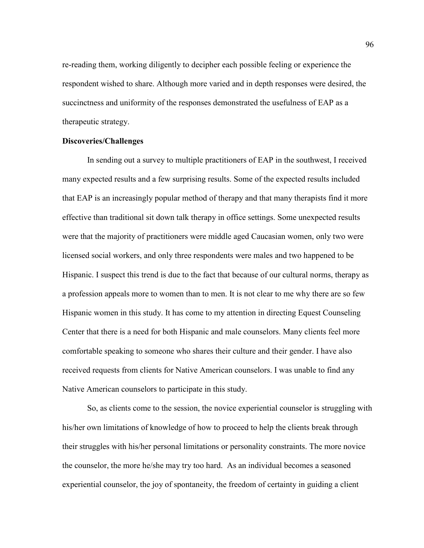re-reading them, working diligently to decipher each possible feeling or experience the respondent wished to share. Although more varied and in depth responses were desired, the succinctness and uniformity of the responses demonstrated the usefulness of EAP as a therapeutic strategy.

### **Discoveries/Challenges**

In sending out a survey to multiple practitioners of EAP in the southwest, I received many expected results and a few surprising results. Some of the expected results included that EAP is an increasingly popular method of therapy and that many therapists find it more effective than traditional sit down talk therapy in office settings. Some unexpected results were that the majority of practitioners were middle aged Caucasian women, only two were licensed social workers, and only three respondents were males and two happened to be Hispanic. I suspect this trend is due to the fact that because of our cultural norms, therapy as a profession appeals more to women than to men. It is not clear to me why there are so few Hispanic women in this study. It has come to my attention in directing Equest Counseling Center that there is a need for both Hispanic and male counselors. Many clients feel more comfortable speaking to someone who shares their culture and their gender. I have also received requests from clients for Native American counselors. I was unable to find any Native American counselors to participate in this study.

So, as clients come to the session, the novice experiential counselor is struggling with his/her own limitations of knowledge of how to proceed to help the clients break through their struggles with his/her personal limitations or personality constraints. The more novice the counselor, the more he/she may try too hard. As an individual becomes a seasoned experiential counselor, the joy of spontaneity, the freedom of certainty in guiding a client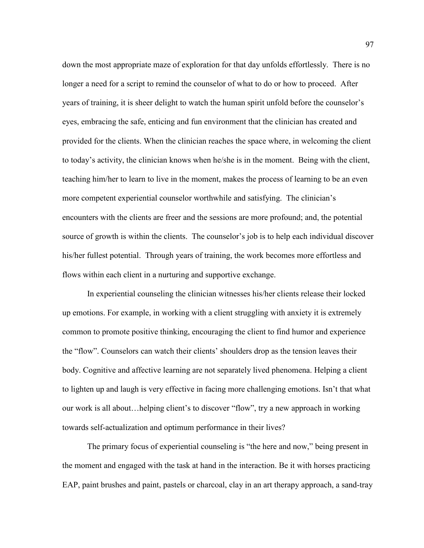down the most appropriate maze of exploration for that day unfolds effortlessly. There is no longer a need for a script to remind the counselor of what to do or how to proceed. After years of training, it is sheer delight to watch the human spirit unfold before the counselor's eyes, embracing the safe, enticing and fun environment that the clinician has created and provided for the clients. When the clinician reaches the space where, in welcoming the client to today's activity, the clinician knows when he/she is in the moment. Being with the client, teaching him/her to learn to live in the moment, makes the process of learning to be an even more competent experiential counselor worthwhile and satisfying. The clinician's encounters with the clients are freer and the sessions are more profound; and, the potential source of growth is within the clients. The counselor's job is to help each individual discover his/her fullest potential. Through years of training, the work becomes more effortless and flows within each client in a nurturing and supportive exchange.

In experiential counseling the clinician witnesses his/her clients release their locked up emotions. For example, in working with a client struggling with anxiety it is extremely common to promote positive thinking, encouraging the client to find humor and experience the "flow". Counselors can watch their clients' shoulders drop as the tension leaves their body. Cognitive and affective learning are not separately lived phenomena. Helping a client to lighten up and laugh is very effective in facing more challenging emotions. Isn't that what our work is all about…helping client's to discover "flow", try a new approach in working towards self-actualization and optimum performance in their lives?

The primary focus of experiential counseling is "the here and now," being present in the moment and engaged with the task at hand in the interaction. Be it with horses practicing EAP, paint brushes and paint, pastels or charcoal, clay in an art therapy approach, a sand-tray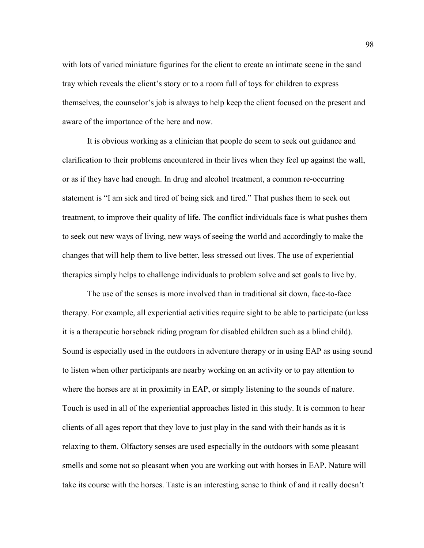with lots of varied miniature figurines for the client to create an intimate scene in the sand tray which reveals the client's story or to a room full of toys for children to express themselves, the counselor's job is always to help keep the client focused on the present and aware of the importance of the here and now.

It is obvious working as a clinician that people do seem to seek out guidance and clarification to their problems encountered in their lives when they feel up against the wall, or as if they have had enough. In drug and alcohol treatment, a common re-occurring statement is "I am sick and tired of being sick and tired." That pushes them to seek out treatment, to improve their quality of life. The conflict individuals face is what pushes them to seek out new ways of living, new ways of seeing the world and accordingly to make the changes that will help them to live better, less stressed out lives. The use of experiential therapies simply helps to challenge individuals to problem solve and set goals to live by.

The use of the senses is more involved than in traditional sit down, face-to-face therapy. For example, all experiential activities require sight to be able to participate (unless it is a therapeutic horseback riding program for disabled children such as a blind child). Sound is especially used in the outdoors in adventure therapy or in using EAP as using sound to listen when other participants are nearby working on an activity or to pay attention to where the horses are at in proximity in EAP, or simply listening to the sounds of nature. Touch is used in all of the experiential approaches listed in this study. It is common to hear clients of all ages report that they love to just play in the sand with their hands as it is relaxing to them. Olfactory senses are used especially in the outdoors with some pleasant smells and some not so pleasant when you are working out with horses in EAP. Nature will take its course with the horses. Taste is an interesting sense to think of and it really doesn't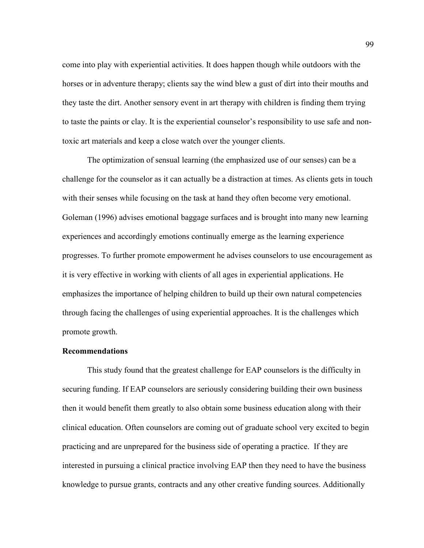come into play with experiential activities. It does happen though while outdoors with the horses or in adventure therapy; clients say the wind blew a gust of dirt into their mouths and they taste the dirt. Another sensory event in art therapy with children is finding them trying to taste the paints or clay. It is the experiential counselor's responsibility to use safe and nontoxic art materials and keep a close watch over the younger clients.

The optimization of sensual learning (the emphasized use of our senses) can be a challenge for the counselor as it can actually be a distraction at times. As clients gets in touch with their senses while focusing on the task at hand they often become very emotional. Goleman (1996) advises emotional baggage surfaces and is brought into many new learning experiences and accordingly emotions continually emerge as the learning experience progresses. To further promote empowerment he advises counselors to use encouragement as it is very effective in working with clients of all ages in experiential applications. He emphasizes the importance of helping children to build up their own natural competencies through facing the challenges of using experiential approaches. It is the challenges which promote growth.

#### **Recommendations**

This study found that the greatest challenge for EAP counselors is the difficulty in securing funding. If EAP counselors are seriously considering building their own business then it would benefit them greatly to also obtain some business education along with their clinical education. Often counselors are coming out of graduate school very excited to begin practicing and are unprepared for the business side of operating a practice. If they are interested in pursuing a clinical practice involving EAP then they need to have the business knowledge to pursue grants, contracts and any other creative funding sources. Additionally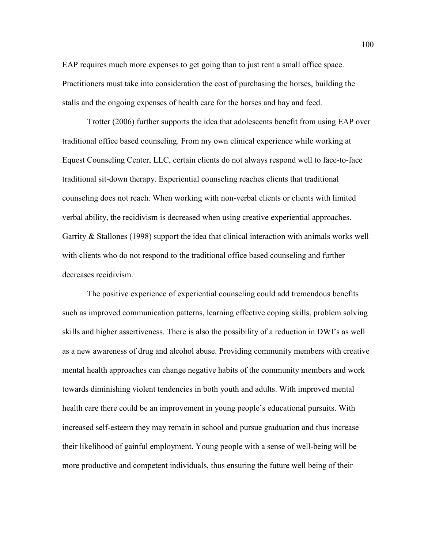EAP requires much more expenses to get going than to just rent a small office space. Practitioners must take into consideration the cost of purchasing the horses, building the stalls and the ongoing expenses of health care for the horses and hay and feed.

Trotter (2006) further supports the idea that adolescents benefit from using EAP over traditional office based counseling. From my own clinical experience while working at Equest Counseling Center, LLC, certain clients do not always respond well to face-to-face traditional sit-down therapy. Experiential counseling reaches clients that traditional counseling does not reach. When working with non-verbal clients or clients with limited verbal ability, the recidivism is decreased when using creative experiential approaches. Garrity & Stallones (1998) support the idea that clinical interaction with animals works well with clients who do not respond to the traditional office based counseling and further decreases recidivism.

The positive experience of experiential counseling could add tremendous benefits such as improved communication patterns, learning effective coping skills, problem solving skills and higher assertiveness. There is also the possibility of a reduction in DWI's as well as a new awareness of drug and alcohol abuse. Providing community members with creative mental health approaches can change negative habits of the community members and work towards diminishing violent tendencies in both youth and adults. With improved mental health care there could be an improvement in young people's educational pursuits. With increased self-esteem they may remain in school and pursue graduation and thus increase their likelihood of gainful employment. Young people with a sense of well-being will be more productive and competent individuals, thus ensuring the future well being of their

100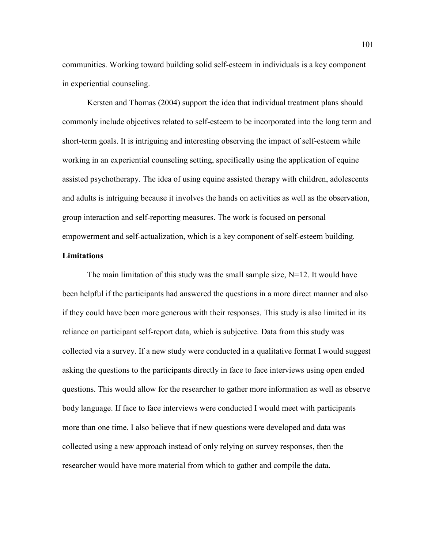communities. Working toward building solid self-esteem in individuals is a key component in experiential counseling.

Kersten and Thomas (2004) support the idea that individual treatment plans should commonly include objectives related to self-esteem to be incorporated into the long term and short-term goals. It is intriguing and interesting observing the impact of self-esteem while working in an experiential counseling setting, specifically using the application of equine assisted psychotherapy. The idea of using equine assisted therapy with children, adolescents and adults is intriguing because it involves the hands on activities as well as the observation, group interaction and self-reporting measures. The work is focused on personal empowerment and self-actualization, which is a key component of self-esteem building.

## **Limitations**

The main limitation of this study was the small sample size,  $N=12$ . It would have been helpful if the participants had answered the questions in a more direct manner and also if they could have been more generous with their responses. This study is also limited in its reliance on participant self-report data, which is subjective. Data from this study was collected via a survey. If a new study were conducted in a qualitative format I would suggest asking the questions to the participants directly in face to face interviews using open ended questions. This would allow for the researcher to gather more information as well as observe body language. If face to face interviews were conducted I would meet with participants more than one time. I also believe that if new questions were developed and data was collected using a new approach instead of only relying on survey responses, then the researcher would have more material from which to gather and compile the data.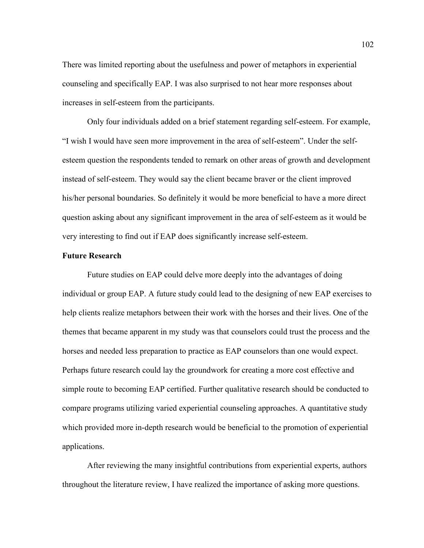There was limited reporting about the usefulness and power of metaphors in experiential counseling and specifically EAP. I was also surprised to not hear more responses about increases in self-esteem from the participants.

Only four individuals added on a brief statement regarding self-esteem. For example, "I wish I would have seen more improvement in the area of self-esteem". Under the selfesteem question the respondents tended to remark on other areas of growth and development instead of self-esteem. They would say the client became braver or the client improved his/her personal boundaries. So definitely it would be more beneficial to have a more direct question asking about any significant improvement in the area of self-esteem as it would be very interesting to find out if EAP does significantly increase self-esteem.

### **Future Research**

Future studies on EAP could delve more deeply into the advantages of doing individual or group EAP. A future study could lead to the designing of new EAP exercises to help clients realize metaphors between their work with the horses and their lives. One of the themes that became apparent in my study was that counselors could trust the process and the horses and needed less preparation to practice as EAP counselors than one would expect. Perhaps future research could lay the groundwork for creating a more cost effective and simple route to becoming EAP certified. Further qualitative research should be conducted to compare programs utilizing varied experiential counseling approaches. A quantitative study which provided more in-depth research would be beneficial to the promotion of experiential applications.

After reviewing the many insightful contributions from experiential experts, authors throughout the literature review, I have realized the importance of asking more questions.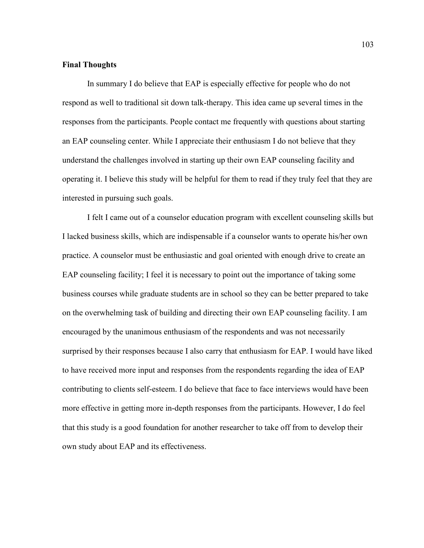### **Final Thoughts**

In summary I do believe that EAP is especially effective for people who do not respond as well to traditional sit down talk-therapy. This idea came up several times in the responses from the participants. People contact me frequently with questions about starting an EAP counseling center. While I appreciate their enthusiasm I do not believe that they understand the challenges involved in starting up their own EAP counseling facility and operating it. I believe this study will be helpful for them to read if they truly feel that they are interested in pursuing such goals.

I felt I came out of a counselor education program with excellent counseling skills but I lacked business skills, which are indispensable if a counselor wants to operate his/her own practice. A counselor must be enthusiastic and goal oriented with enough drive to create an EAP counseling facility; I feel it is necessary to point out the importance of taking some business courses while graduate students are in school so they can be better prepared to take on the overwhelming task of building and directing their own EAP counseling facility. I am encouraged by the unanimous enthusiasm of the respondents and was not necessarily surprised by their responses because I also carry that enthusiasm for EAP. I would have liked to have received more input and responses from the respondents regarding the idea of EAP contributing to clients self-esteem. I do believe that face to face interviews would have been more effective in getting more in-depth responses from the participants. However, I do feel that this study is a good foundation for another researcher to take off from to develop their own study about EAP and its effectiveness.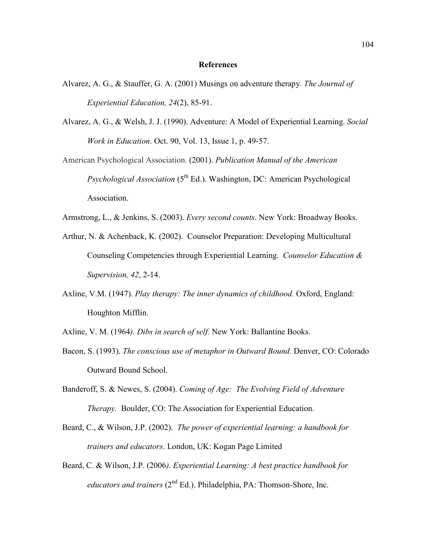#### **References**

- Alvarez, A. G., & Stauffer, G. A. (2001) Musings on adventure therapy. *The Journal of Experiential Education, 24*(2), 85-91.
- Alvarez, A. G., & Welsh, J. J. (1990). Adventure: A Model of Experiential Learning. *Social Work in Education*. Oct. 90, Vol. 13, Issue 1, p. 49-57.
- American Psychological Association. (2001). *Publication Manual of the American Psychological Association* (5<sup>th</sup> Ed.). Washington, DC: American Psychological Association.
- Armstrong, L., & Jenkins, S. (2003). *Every second counts*. New York: Broadway Books.
- Arthur, N. & Achenback, K. (2002). Counselor Preparation: Developing Multicultural Counseling Competencies through Experiential Learning. *Counselor Education & Supervision, 42*, 2-14.
- Axline, V.M. (1947). *Play therapy: The inner dynamics of childhood.* Oxford, England: Houghton Mifflin.
- Axline, V. M. (1964*). Dibs in search of self.* New York: Ballantine Books.
- Bacon, S. (1993). *The conscious use of metaphor in Outward Bound*. Denver, CO: Colorado Outward Bound School.
- Banderoff, S. & Newes, S. (2004). *Coming of Age: The Evolving Field of Adventure Therapy.* Boulder, CO: The Association for Experiential Education.
- Beard, C., & Wilson, J.P. (2002). *The power of experiential learning: a handbook for trainers and educators*. London, UK: Kogan Page Limited
- Beard, C. & Wilson, J.P. (2006*). Experiential Learning: A best practice handbook for educators and trainers* (2<sup>nd</sup> Ed.). Philadelphia, PA: Thomson-Shore, Inc.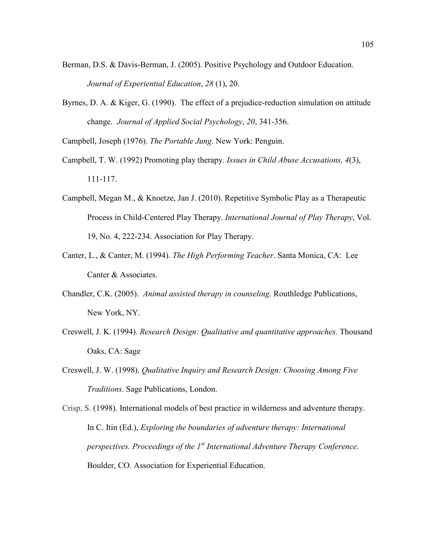- Berman, D.S. & Davis-Berman, J. (2005). Positive Psychology and Outdoor Education. *Journal of Experiential Education*, *28* (1), 20.
- Byrnes, D. A. & Kiger, G. (1990). The effect of a prejudice-reduction simulation on attitude change. *Journal of Applied Social Psychology*, *20*, 341-356.

Campbell, Joseph (1976). *The Portable Jung*. New York: Penguin.

- Campbell, T. W. (1992) Promoting play therapy. *Issues in Child Abuse Accusations, 4*(3), 111-117.
- Campbell, Megan M., & Knoetze, Jan J. (2010). Repetitive Symbolic Play as a Therapeutic Process in Child-Centered Play Therapy. *International Journal of Play Therapy*, Vol. 19, No. 4, 222-234. Association for Play Therapy.
- Canter, L., & Canter, M. (1994). *The High Performing Teacher*. Santa Monica, CA: Lee Canter & Associates.
- Chandler, C.K. (2005). *Animal assisted therapy in counseling.* Routhledge Publications, New York, NY.
- Creswell, J. K. (1994). *Research Design: Qualitative and quantitative approaches.* Thousand Oaks, CA: Sage
- Creswell, J. W. (1998). *Qualitative Inquiry and Research Design: Choosing Among Five Traditions.* Sage Publications, London.

Crisp, S. (1998). International models of best practice in wilderness and adventure therapy. In C. Itin (Ed.), *Exploring the boundaries of adventure therapy: International perspectives. Proceedings of the 1st International Adventure Therapy Conference.* Boulder, CO. Association for Experiential Education.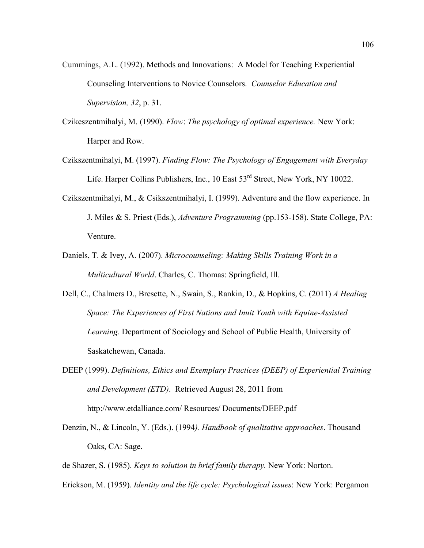- Cummings, A.L. (1992). Methods and Innovations: A Model for Teaching Experiential Counseling Interventions to Novice Counselors. *Counselor Education and Supervision, 32*, p. 31.
- Czikeszentmihalyi, M. (1990). *Flow*: *The psychology of optimal experience.* New York: Harper and Row.
- Czikszentmihalyi, M. (1997). *Finding Flow: The Psychology of Engagement with Everyday* Life. Harper Collins Publishers, Inc., 10 East 53<sup>rd</sup> Street, New York, NY 10022.
- Czikszentmihalyi, M., & Csikszentmihalyi, I. (1999). Adventure and the flow experience. In J. Miles & S. Priest (Eds.), *Adventure Programming* (pp.153-158). State College, PA: Venture.
- Daniels, T. & Ivey, A. (2007). *Microcounseling: Making Skills Training Work in a Multicultural World*. Charles, C. Thomas: Springfield, Ill.
- Dell, C., Chalmers D., Bresette, N., Swain, S., Rankin, D., & Hopkins, C. (2011) *A Healing Space: The Experiences of First Nations and Inuit Youth with Equine-Assisted Learning.* Department of Sociology and School of Public Health, University of Saskatchewan, Canada.
- DEEP (1999). *Definitions, Ethics and Exemplary Practices (DEEP) of Experiential Training and Development (ETD)*. Retrieved August 28, 2011 from http://www.etdalliance.com/ Resources/ Documents/DEEP.pdf
- Denzin, N., & Lincoln, Y. (Eds.). (1994*). Handbook of qualitative approaches*. Thousand Oaks, CA: Sage.
- de Shazer, S. (1985). *Keys to solution in brief family therapy.* New York: Norton.
- Erickson, M. (1959). *Identity and the life cycle: Psychological issues*: New York: Pergamon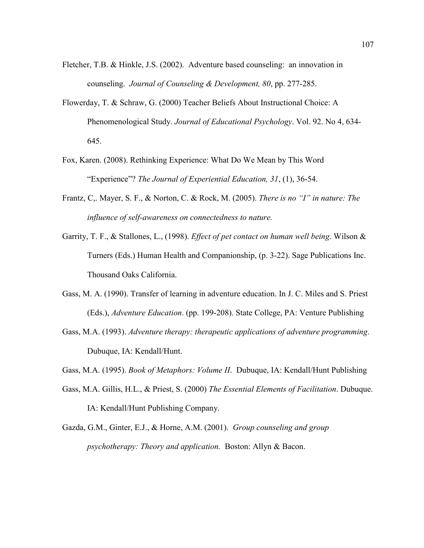- Fletcher, T.B. & Hinkle, J.S. (2002). Adventure based counseling: an innovation in counseling. *Journal of Counseling & Development, 80*, pp. 277-285.
- Flowerday, T. & Schraw, G. (2000) Teacher Beliefs About Instructional Choice: A Phenomenological Study. *Journal of Educational Psychology*. Vol. 92. No 4, 634- 645.
- Fox, Karen. (2008). Rethinking Experience: What Do We Mean by This Word "Experience"? *The Journal of Experiential Education, 31*, (1), 36-54.
- Frantz, C,. Mayer, S. F., & Norton, C. & Rock, M. (2005). *There is no "I" in nature: The influence of self-awareness on connectedness to nature.*
- Garrity, T. F., & Stallones, L., (1998). *Effect of pet contact on human well being*. Wilson & Turners (Eds.) Human Health and Companionship, (p. 3-22). Sage Publications Inc. Thousand Oaks California.
- Gass, M. A. (1990). Transfer of learning in adventure education. In J. C. Miles and S. Priest (Eds.), *Adventure Education*. (pp. 199-208). State College, PA: Venture Publishing
- Gass, M.A. (1993). *Adventure therapy: therapeutic applications of adventure programming*. Dubuque, IA: Kendall/Hunt.

Gass, M.A. (1995). *Book of Metaphors: Volume II*. Dubuque, IA: Kendall/Hunt Publishing

- Gass, M.A. Gillis, H.L., & Priest, S. (2000) *The Essential Elements of Facilitation*. Dubuque. IA: Kendall/Hunt Publishing Company.
- Gazda, G.M., Ginter, E.J., & Horne, A.M. (2001). *Group counseling and group psychotherapy: Theory and application.* Boston: Allyn & Bacon.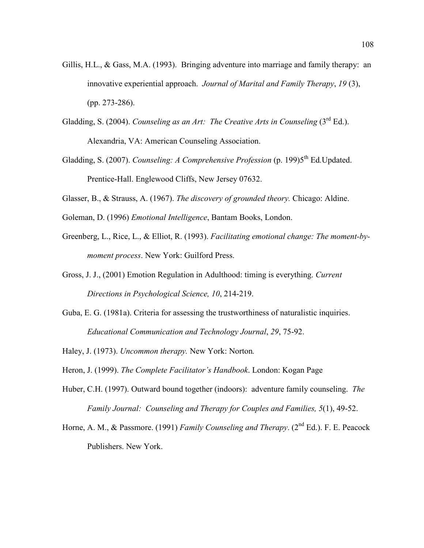- Gillis, H.L., & Gass, M.A. (1993). Bringing adventure into marriage and family therapy: an innovative experiential approach. *Journal of Marital and Family Therapy*, *19* (3), (pp. 273-286).
- Gladding, S. (2004). *Counseling as an Art: The Creative Arts in Counseling* (3<sup>rd</sup> Ed.). Alexandria, VA: American Counseling Association.
- Gladding, S. (2007). *Counseling: A Comprehensive Profession* (p. 199)5<sup>th</sup> Ed. Updated. Prentice-Hall. Englewood Cliffs, New Jersey 07632.
- Glasser, B., & Strauss, A. (1967). *The discovery of grounded theory.* Chicago: Aldine.
- Goleman, D. (1996) *Emotional Intelligence*, Bantam Books, London.
- Greenberg, L., Rice, L., & Elliot, R. (1993). *Facilitating emotional change: The moment-bymoment process*. New York: Guilford Press.
- Gross, J. J., (2001) Emotion Regulation in Adulthood: timing is everything. *Current Directions in Psychological Science, 10*, 214-219.
- Guba, E. G. (1981a). Criteria for assessing the trustworthiness of naturalistic inquiries. *Educational Communication and Technology Journal*, *29*, 75-92.
- Haley, J. (1973). *Uncommon therapy.* New York: Norton*.*
- Heron, J. (1999). *The Complete Facilitator's Handbook*. London: Kogan Page
- Huber, C.H. (1997). Outward bound together (indoors): adventure family counseling. *The Family Journal: Counseling and Therapy for Couples and Families, 5*(1), 49-52.
- Horne, A. M., & Passmore. (1991) *Family Counseling and Therapy*. (2<sup>nd</sup> Ed.). F. E. Peacock Publishers. New York.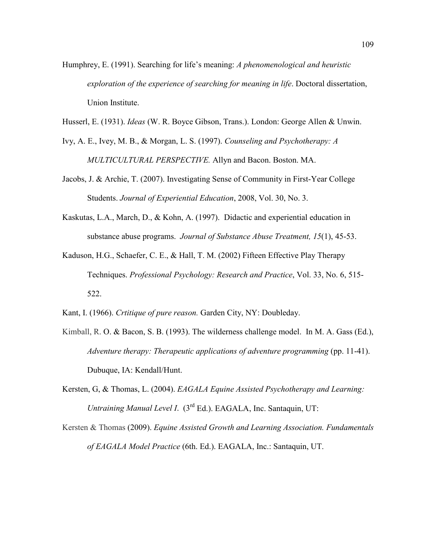- Humphrey, E. (1991). Searching for life's meaning: *A phenomenological and heuristic exploration of the experience of searching for meaning in life*. Doctoral dissertation, Union Institute.
- Husserl, E. (1931). *Ideas* (W. R. Boyce Gibson, Trans.). London: George Allen & Unwin.
- Ivy, A. E., Ivey, M. B., & Morgan, L. S. (1997). *Counseling and Psychotherapy: A MULTICULTURAL PERSPECTIVE.* Allyn and Bacon. Boston. MA.
- Jacobs, J. & Archie, T. (2007). Investigating Sense of Community in First-Year College Students. *Journal of Experiential Education*, 2008, Vol. 30, No. 3.
- Kaskutas, L.A., March, D., & Kohn, A. (1997). Didactic and experiential education in substance abuse programs. *Journal of Substance Abuse Treatment, 15*(1), 45-53.
- Kaduson, H.G., Schaefer, C. E., & Hall, T. M. (2002) Fifteen Effective Play Therapy Techniques. *Professional Psychology: Research and Practice*, Vol. 33, No. 6, 515- 522.
- Kant, I. (1966). *Crtitique of pure reason.* Garden City, NY: Doubleday.
- Kimball, R. O. & Bacon, S. B. (1993). The wilderness challenge model. In M. A. Gass (Ed.), *Adventure therapy: Therapeutic applications of adventure programming* (pp. 11-41). Dubuque, IA: Kendall/Hunt.
- Kersten, G, & Thomas, L. (2004). *EAGALA Equine Assisted Psychotherapy and Learning: Untraining Manual Level I.* (3<sup>rd</sup> Ed.). EAGALA, Inc. Santaquin, UT:
- Kersten & Thomas (2009). *Equine Assisted Growth and Learning Association. Fundamentals of EAGALA Model Practice* (6th. Ed.). EAGALA, Inc.: Santaquin, UT.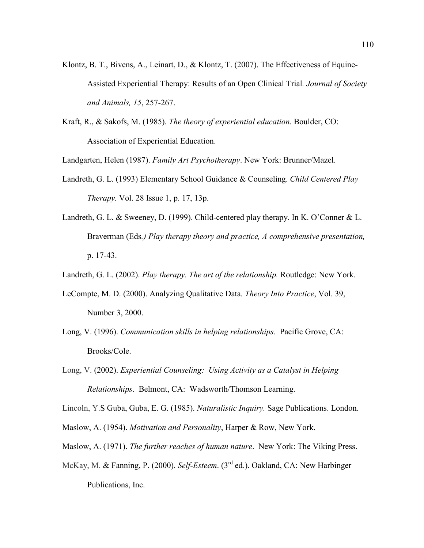- Klontz, B. T., Bivens, A., Leinart, D., & Klontz, T. (2007). The Effectiveness of Equine-Assisted Experiential Therapy: Results of an Open Clinical Trial*. Journal of Society and Animals, 15*, 257-267.
- Kraft, R., & Sakofs, M. (1985). *The theory of experiential education*. Boulder, CO: Association of Experiential Education.

Landgarten, Helen (1987). *Family Art Psychotherapy*. New York: Brunner/Mazel.

- Landreth, G. L. (1993) Elementary School Guidance & Counseling. *Child Centered Play Therapy.* Vol. 28 Issue 1, p. 17, 13p.
- Landreth, G. L. & Sweeney, D. (1999). Child-centered play therapy. In K. O'Conner & L. Braverman (Eds*.) Play therapy theory and practice, A comprehensive presentation,* p. 17-43.
- Landreth, G. L. (2002). *Play therapy. The art of the relationship.* Routledge: New York.
- LeCompte, M. D. (2000). Analyzing Qualitative Data*. Theory Into Practice*, Vol. 39, Number 3, 2000.
- Long, V. (1996). *Communication skills in helping relationships*. Pacific Grove, CA: Brooks/Cole.
- Long, V. (2002). *Experiential Counseling: Using Activity as a Catalyst in Helping Relationships*. Belmont, CA: Wadsworth/Thomson Learning.

Lincoln, Y.S Guba, Guba, E. G. (1985). *Naturalistic Inquiry.* Sage Publications. London.

- Maslow, A. (1954). *Motivation and Personality*, Harper & Row, New York.
- Maslow, A. (1971). *The further reaches of human nature*. New York: The Viking Press.
- McKay, M. & Fanning, P. (2000). *Self-Esteem*. (3rd ed.). Oakland, CA: New Harbinger Publications, Inc.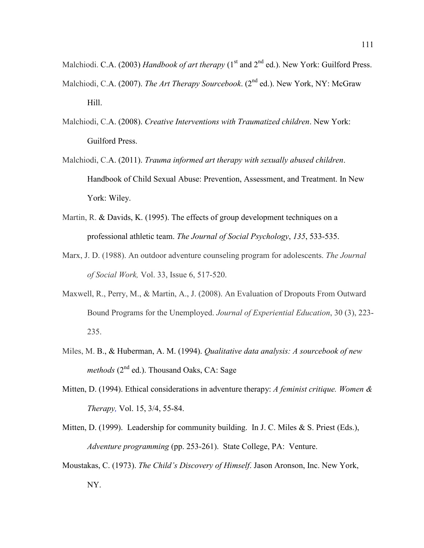Malchiodi. C.A. (2003) *Handbook of art therapy* (1<sup>st</sup> and 2<sup>nd</sup> ed.). New York: Guilford Press.

- Malchiodi, C.A. (2007). *The Art Therapy Sourcebook*. (2<sup>nd</sup> ed.). New York, NY: McGraw Hill.
- Malchiodi, C.A. (2008). *Creative Interventions with Traumatized children*. New York: Guilford Press.
- Malchiodi, C.A. (2011). *Trauma informed art therapy with sexually abused children*. Handbook of Child Sexual Abuse: Prevention, Assessment, and Treatment. In New York: Wiley.
- Martin, R. & Davids, K. (1995). The effects of group development techniques on a professional athletic team. *The Journal of Social Psychology*, *135*, 533-535.
- Marx, J. D. (1988). An outdoor adventure counseling program for adolescents. *The Journal of Social Work,* Vol. 33, Issue 6, 517-520.
- Maxwell, R., Perry, M., & Martin, A., J. (2008). An Evaluation of Dropouts From Outward Bound Programs for the Unemployed. *Journal of Experiential Education*, 30 (3), 223- 235.
- Miles, M. B., & Huberman, A. M. (1994). *Qualitative data analysis: A sourcebook of new methods* (2<sup>nd</sup> ed.). Thousand Oaks, CA: Sage
- Mitten, D. (1994). Ethical considerations in adventure therapy: *A feminist critique. Women & Therapy,* Vol. 15, 3/4, 55-84.
- Mitten, D. (1999). Leadership for community building. In J. C. Miles & S. Priest (Eds.), *Adventure programming* (pp. 253-261). State College, PA: Venture.
- Moustakas, C. (1973). *The Child's Discovery of Himself*. Jason Aronson, Inc. New York, NY.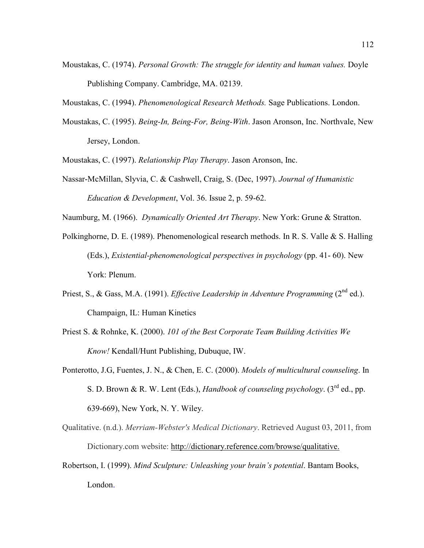Moustakas, C. (1974). *Personal Growth: The struggle for identity and human values.* Doyle Publishing Company. Cambridge, MA. 02139.

Moustakas, C. (1994). *Phenomenological Research Methods.* Sage Publications. London.

Moustakas, C. (1995). *Being-In, Being-For, Being-With*. Jason Aronson, Inc. Northvale, New Jersey, London.

Moustakas, C. (1997). *Relationship Play Therapy*. Jason Aronson, Inc.

Nassar-McMillan, Slyvia, C. & Cashwell, Craig, S. (Dec, 1997). *Journal of Humanistic Education & Development*, Vol. 36. Issue 2, p. 59-62.

Naumburg, M. (1966). *Dynamically Oriented Art Therapy*. New York: Grune & Stratton.

- Polkinghorne, D. E. (1989). Phenomenological research methods. In R. S. Valle & S. Halling (Eds.), *Existential-phenomenological perspectives in psychology* (pp. 41- 60). New York: Plenum.
- Priest, S., & Gass, M.A. (1991). *Effective Leadership in Adventure Programming* (2<sup>nd</sup> ed.). Champaign, IL: Human Kinetics
- Priest S. & Rohnke, K. (2000). *101 of the Best Corporate Team Building Activities We Know!* Kendall/Hunt Publishing, Dubuque, IW.
- Ponterotto, J.G, Fuentes, J. N., & Chen, E. C. (2000). *Models of multicultural counseling*. In S. D. Brown & R. W. Lent (Eds.), *Handbook of counseling psychology*. (3rd ed., pp. 639-669), New York, N. Y. Wiley.
- Qualitative. (n.d.). *Merriam-Webster's Medical Dictionary*. Retrieved August 03, 2011, from Dictionary.com website: [http://dictionary.reference.com/browse/qualitative.](http://dictionary.reference.com/browse/qualitative)
- Robertson, I. (1999). *Mind Sculpture: Unleashing your brain's potential*. Bantam Books, London.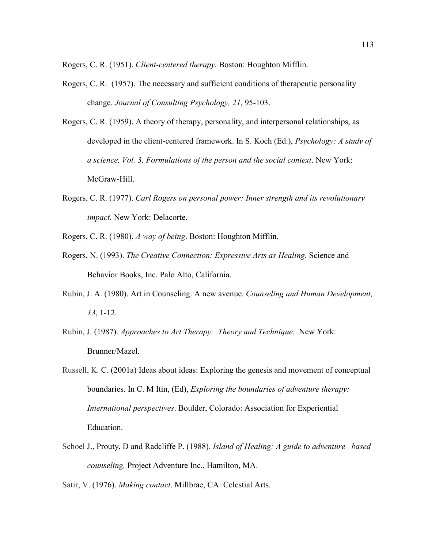Rogers, C. R. (1951). *Client-centered therapy*. Boston: Houghton Mifflin.

- Rogers, C. R. (1957). The necessary and sufficient conditions of therapeutic personality change. *Journal of Consulting Psychology, 21*, 95-103.
- Rogers, C. R. (1959). A theory of therapy, personality, and interpersonal relationships, as developed in the client-centered framework. In S. Koch (Ed.), *Psychology: A study of a science, Vol. 3, Formulations of the person and the social context*. New York: McGraw-Hill.
- Rogers, C. R. (1977). *Carl Rogers on personal power: Inner strength and its revolutionary impact.* New York: Delacorte.
- Rogers, C. R. (1980). *A way of being*. Boston: Houghton Mifflin.
- Rogers, N. (1993). *The Creative Connection: Expressive Arts as Healing.* Science and Behavior Books, Inc. Palo Alto, California.
- Rubin, J. A. (1980). Art in Counseling. A new avenue. *Counseling and Human Development, 13*, 1-12.
- Rubin, J. (1987). *Approaches to Art Therapy: Theory and Technique*. New York: Brunner/Mazel.
- Russell, K. C. (2001a) Ideas about ideas: Exploring the genesis and movement of conceptual boundaries. In C. M Itin, (Ed), *Exploring the boundaries of adventure therapy: International perspectives*. Boulder, Colorado: Association for Experiential Education.
- Schoel J., Prouty, D and Radcliffe P. (1988)*. Island of Healing: A guide to adventure –based counseling,* Project Adventure Inc., Hamilton, MA.

Satir, V. (1976). *Making contact*. Millbrae, CA: Celestial Arts.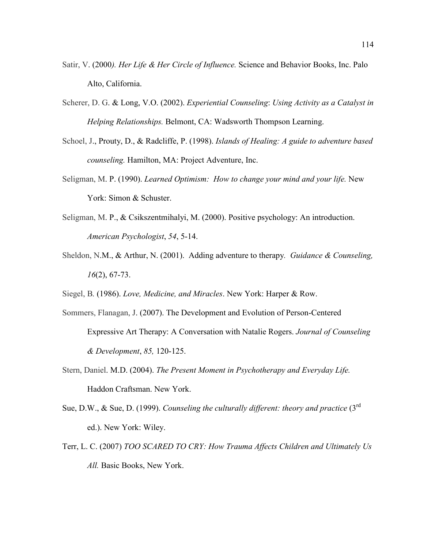- Satir, V. (2000*). Her Life & Her Circle of Influence.* Science and Behavior Books, Inc. Palo Alto, California.
- Scherer, D. G. & Long, V.O. (2002). *Experiential Counseling*: *Using Activity as a Catalyst in Helping Relationships.* Belmont, CA: Wadsworth Thompson Learning.
- Schoel, J., Prouty, D., & Radcliffe, P. (1998). *Islands of Healing: A guide to adventure based counseling.* Hamilton, MA: Project Adventure, Inc.
- Seligman, M. P. (1990). *Learned Optimism: How to change your mind and your life.* New York: Simon & Schuster.
- Seligman, M. P., & Csikszentmihalyi, M. (2000). Positive psychology: An introduction. *American Psychologist*, *54*, 5-14.
- Sheldon, N.M., & Arthur, N. (2001). Adding adventure to therapy*. Guidance & Counseling, 16*(2), 67-73.
- Siegel, B*.* (1986). *Love, Medicine, and Miracles*. New York: Harper & Row.
- Sommers, Flanagan, J. (2007). The Development and Evolution of Person-Centered Expressive Art Therapy: A Conversation with Natalie Rogers. *Journal of Counseling & Development*, *85,* 120-125.
- Stern, Daniel. M.D. (2004). *The Present Moment in Psychotherapy and Everyday Life.*  Haddon Craftsman. New York.
- Sue, D.W., & Sue, D. (1999). *Counseling the culturally different: theory and practice* (3rd ed.). New York: Wiley.
- Terr, L. C. (2007) *TOO SCARED TO CRY: How Trauma Affects Children and Ultimately Us All.* Basic Books, New York.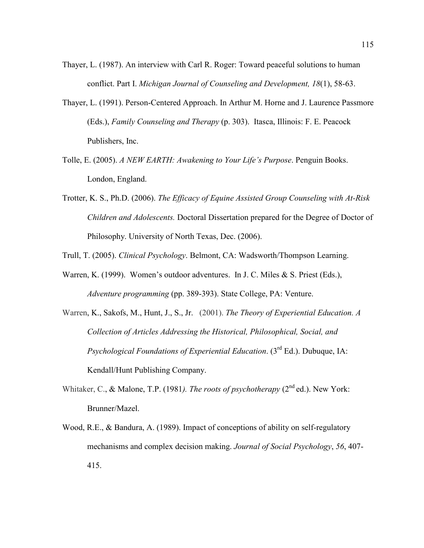- Thayer, L. (1987). An interview with Carl R. Roger: Toward peaceful solutions to human conflict. Part I. *Michigan Journal of Counseling and Development, 18*(1), 58-63.
- Thayer, L. (1991). Person-Centered Approach. In Arthur M. Horne and J. Laurence Passmore (Eds.), *Family Counseling and Therapy* (p. 303). Itasca, Illinois: F. E. Peacock Publishers, Inc.
- Tolle, E. (2005). *A NEW EARTH: Awakening to Your Life's Purpose*. Penguin Books. London, England.
- Trotter, K. S., Ph.D. (2006). *The Efficacy of Equine Assisted Group Counseling with At-Risk Children and Adolescents.* Doctoral Dissertation prepared for the Degree of Doctor of Philosophy. University of North Texas, Dec. (2006).
- Trull, T. (2005). *Clinical Psychology*. Belmont, CA: Wadsworth/Thompson Learning.
- Warren, K. (1999). Women's outdoor adventures. In J. C. Miles & S. Priest (Eds.), *Adventure programming* (pp. 389-393). State College, PA: Venture.
- Warren, K., Sakofs, M., Hunt, J., S., Jr. (2001). *The Theory of Experiential Education. A Collection of Articles Addressing the Historical, Philosophical, Social, and Psychological Foundations of Experiential Education*. (3rd Ed.). Dubuque, IA: Kendall/Hunt Publishing Company.
- Whitaker, C., & Malone, T.P. (1981). The roots of psychotherapy (2<sup>nd</sup> ed.). New York: Brunner/Mazel.
- Wood, R.E., & Bandura, A. (1989). Impact of conceptions of ability on self-regulatory mechanisms and complex decision making. *Journal of Social Psychology*, *56*, 407- 415.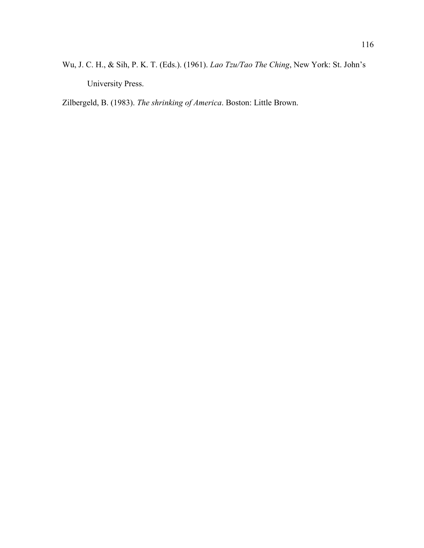Wu, J. C. H., & Sih, P. K. T. (Eds.). (1961). *Lao Tzu/Tao The Ching*, New York: St. John's University Press.

Zilbergeld, B. (1983). *The shrinking of America*. Boston: Little Brown.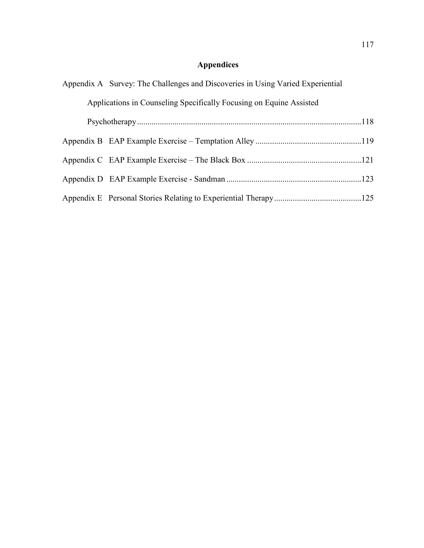# **Appendices**

| Appendix A Survey: The Challenges and Discoveries in Using Varied Experiential |                                                                     |  |  |  |  |  |
|--------------------------------------------------------------------------------|---------------------------------------------------------------------|--|--|--|--|--|
|                                                                                | Applications in Counseling Specifically Focusing on Equine Assisted |  |  |  |  |  |
|                                                                                |                                                                     |  |  |  |  |  |
|                                                                                |                                                                     |  |  |  |  |  |
|                                                                                |                                                                     |  |  |  |  |  |
|                                                                                |                                                                     |  |  |  |  |  |
|                                                                                |                                                                     |  |  |  |  |  |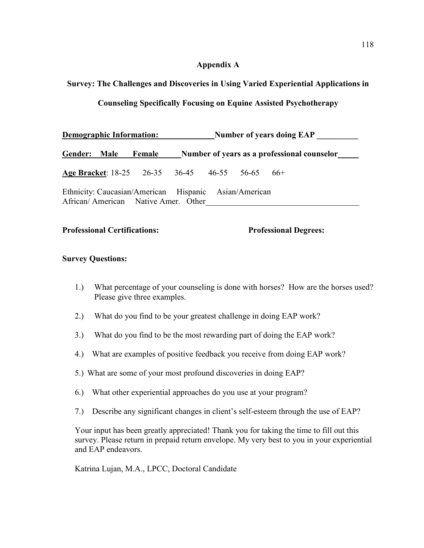# **Appendix A**

# <span id="page-128-0"></span>**Survey: The Challenges and Discoveries in Using Varied Experiential Applications in**

# **Counseling Specifically Focusing on Equine Assisted Psychotherapy**

| <b>Demographic Information:</b>                                                              |        | Number of years doing EAP |                                              |  |       |  |
|----------------------------------------------------------------------------------------------|--------|---------------------------|----------------------------------------------|--|-------|--|
| Gender: Male                                                                                 | Female |                           | Number of years as a professional counselor_ |  |       |  |
|                                                                                              |        |                           |                                              |  | $66+$ |  |
| Ethnicity: Caucasian/American Hispanic Asian/American<br>African/American Native Amer. Other |        |                           |                                              |  |       |  |

# **Professional Certifications: Professional Degrees:**

# **Survey Questions:**

- 1.) What percentage of your counseling is done with horses? How are the horses used? Please give three examples.
- 2.) What do you find to be your greatest challenge in doing EAP work?
- 3.) What do you find to be the most rewarding part of doing the EAP work?
- 4.) What are examples of positive feedback you receive from doing EAP work?
- 5.) What are some of your most profound discoveries in doing EAP?
- 6.) What other experiential approaches do you use at your program?
- 7.) Describe any significant changes in client's self-esteem through the use of EAP?

Your input has been greatly appreciated! Thank you for taking the time to fill out this survey. Please return in prepaid return envelope. My very best to you in your experiential and EAP endeavors.

Katrina Lujan, M.A., LPCC, Doctoral Candidate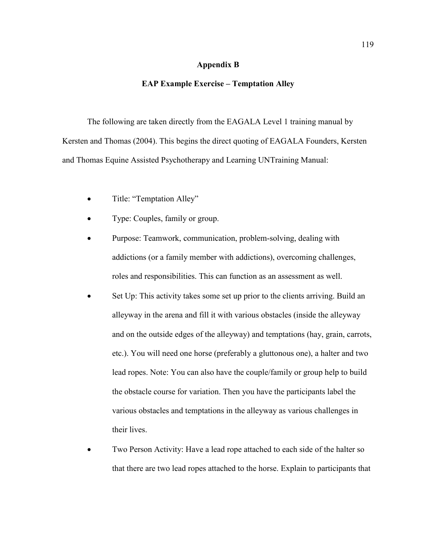#### **Appendix B**

#### **EAP Example Exercise – Temptation Alley**

<span id="page-129-0"></span>The following are taken directly from the EAGALA Level 1 training manual by Kersten and Thomas (2004). This begins the direct quoting of EAGALA Founders, Kersten and Thomas Equine Assisted Psychotherapy and Learning UNTraining Manual:

- Title: "Temptation Alley"
- Type: Couples, family or group.
- Purpose: Teamwork, communication, problem-solving, dealing with addictions (or a family member with addictions), overcoming challenges, roles and responsibilities. This can function as an assessment as well.
- Set Up: This activity takes some set up prior to the clients arriving. Build an alleyway in the arena and fill it with various obstacles (inside the alleyway and on the outside edges of the alleyway) and temptations (hay, grain, carrots, etc.). You will need one horse (preferably a gluttonous one), a halter and two lead ropes. Note: You can also have the couple/family or group help to build the obstacle course for variation. Then you have the participants label the various obstacles and temptations in the alleyway as various challenges in their lives.
- Two Person Activity: Have a lead rope attached to each side of the halter so that there are two lead ropes attached to the horse. Explain to participants that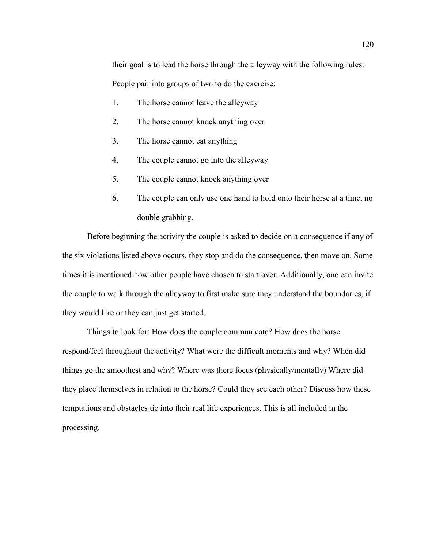their goal is to lead the horse through the alleyway with the following rules:

People pair into groups of two to do the exercise:

- 1. The horse cannot leave the alleyway
- 2. The horse cannot knock anything over
- 3. The horse cannot eat anything
- 4. The couple cannot go into the alleyway
- 5. The couple cannot knock anything over
- 6. The couple can only use one hand to hold onto their horse at a time, no double grabbing.

Before beginning the activity the couple is asked to decide on a consequence if any of the six violations listed above occurs, they stop and do the consequence, then move on. Some times it is mentioned how other people have chosen to start over. Additionally, one can invite the couple to walk through the alleyway to first make sure they understand the boundaries, if they would like or they can just get started.

Things to look for: How does the couple communicate? How does the horse respond/feel throughout the activity? What were the difficult moments and why? When did things go the smoothest and why? Where was there focus (physically/mentally) Where did they place themselves in relation to the horse? Could they see each other? Discuss how these temptations and obstacles tie into their real life experiences. This is all included in the processing.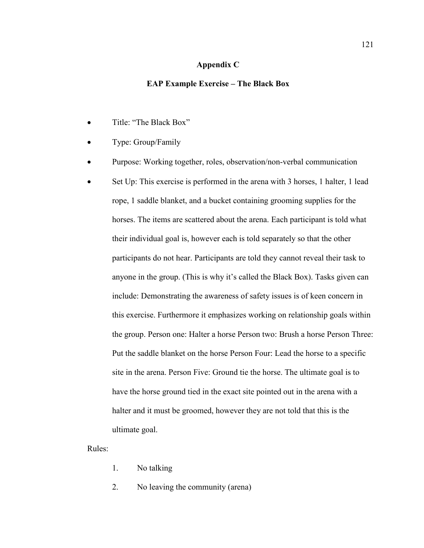#### **Appendix C**

#### **EAP Example Exercise – The Black Box**

- <span id="page-131-0"></span>• Title: "The Black Box"
- Type: Group/Family
- Purpose: Working together, roles, observation/non-verbal communication
- Set Up: This exercise is performed in the arena with 3 horses, 1 halter, 1 lead rope, 1 saddle blanket, and a bucket containing grooming supplies for the horses. The items are scattered about the arena. Each participant is told what their individual goal is, however each is told separately so that the other participants do not hear. Participants are told they cannot reveal their task to anyone in the group. (This is why it's called the Black Box). Tasks given can include: Demonstrating the awareness of safety issues is of keen concern in this exercise. Furthermore it emphasizes working on relationship goals within the group. Person one: Halter a horse Person two: Brush a horse Person Three: Put the saddle blanket on the horse Person Four: Lead the horse to a specific site in the arena. Person Five: Ground tie the horse. The ultimate goal is to have the horse ground tied in the exact site pointed out in the arena with a halter and it must be groomed, however they are not told that this is the ultimate goal.

Rules:

- 1. No talking
- 2. No leaving the community (arena)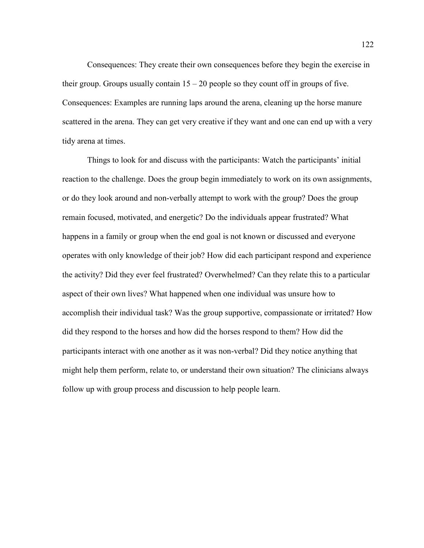Consequences: They create their own consequences before they begin the exercise in their group. Groups usually contain  $15 - 20$  people so they count off in groups of five. Consequences: Examples are running laps around the arena, cleaning up the horse manure scattered in the arena. They can get very creative if they want and one can end up with a very tidy arena at times.

Things to look for and discuss with the participants: Watch the participants' initial reaction to the challenge. Does the group begin immediately to work on its own assignments, or do they look around and non-verbally attempt to work with the group? Does the group remain focused, motivated, and energetic? Do the individuals appear frustrated? What happens in a family or group when the end goal is not known or discussed and everyone operates with only knowledge of their job? How did each participant respond and experience the activity? Did they ever feel frustrated? Overwhelmed? Can they relate this to a particular aspect of their own lives? What happened when one individual was unsure how to accomplish their individual task? Was the group supportive, compassionate or irritated? How did they respond to the horses and how did the horses respond to them? How did the participants interact with one another as it was non-verbal? Did they notice anything that might help them perform, relate to, or understand their own situation? The clinicians always follow up with group process and discussion to help people learn.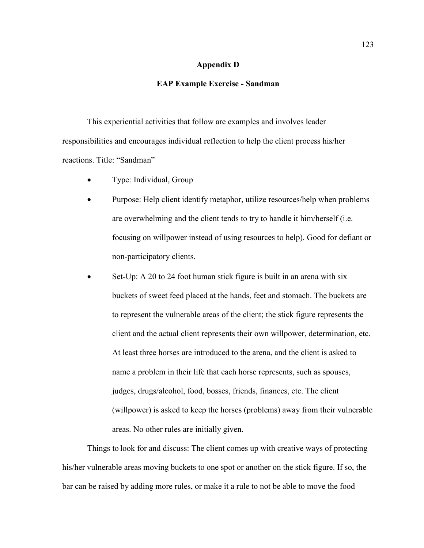### **Appendix D**

#### **EAP Example Exercise - Sandman**

<span id="page-133-0"></span>This experiential activities that follow are examples and involves leader responsibilities and encourages individual reflection to help the client process his/her reactions. Title: "Sandman"

- Type: Individual, Group
- Purpose: Help client identify metaphor, utilize resources/help when problems are overwhelming and the client tends to try to handle it him/herself (i.e. focusing on willpower instead of using resources to help). Good for defiant or non-participatory clients.
- Set-Up: A 20 to 24 foot human stick figure is built in an arena with six buckets of sweet feed placed at the hands, feet and stomach. The buckets are to represent the vulnerable areas of the client; the stick figure represents the client and the actual client represents their own willpower, determination, etc. At least three horses are introduced to the arena, and the client is asked to name a problem in their life that each horse represents, such as spouses, judges, drugs/alcohol, food, bosses, friends, finances, etc. The client (willpower) is asked to keep the horses (problems) away from their vulnerable areas. No other rules are initially given.

Things to look for and discuss: The client comes up with creative ways of protecting his/her vulnerable areas moving buckets to one spot or another on the stick figure. If so, the bar can be raised by adding more rules, or make it a rule to not be able to move the food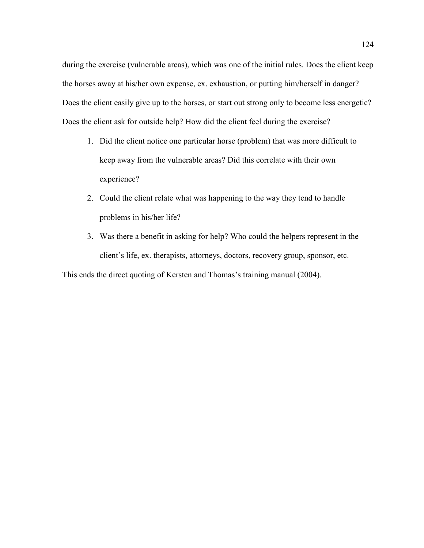during the exercise (vulnerable areas), which was one of the initial rules. Does the client keep the horses away at his/her own expense, ex. exhaustion, or putting him/herself in danger? Does the client easily give up to the horses, or start out strong only to become less energetic? Does the client ask for outside help? How did the client feel during the exercise?

- 1. Did the client notice one particular horse (problem) that was more difficult to keep away from the vulnerable areas? Did this correlate with their own experience?
- 2. Could the client relate what was happening to the way they tend to handle problems in his/her life?
- 3. Was there a benefit in asking for help? Who could the helpers represent in the client's life, ex. therapists, attorneys, doctors, recovery group, sponsor, etc.

This ends the direct quoting of Kersten and Thomas's training manual (2004).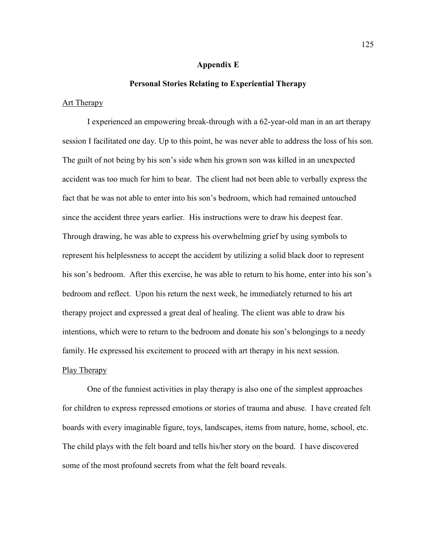#### **Appendix E**

#### **Personal Stories Relating to Experiential Therapy**

#### <span id="page-135-0"></span>Art Therapy

I experienced an empowering break-through with a 62-year-old man in an art therapy session I facilitated one day. Up to this point, he was never able to address the loss of his son. The guilt of not being by his son's side when his grown son was killed in an unexpected accident was too much for him to bear. The client had not been able to verbally express the fact that he was not able to enter into his son's bedroom, which had remained untouched since the accident three years earlier. His instructions were to draw his deepest fear. Through drawing, he was able to express his overwhelming grief by using symbols to represent his helplessness to accept the accident by utilizing a solid black door to represent his son's bedroom. After this exercise, he was able to return to his home, enter into his son's bedroom and reflect. Upon his return the next week, he immediately returned to his art therapy project and expressed a great deal of healing. The client was able to draw his intentions, which were to return to the bedroom and donate his son's belongings to a needy family. He expressed his excitement to proceed with art therapy in his next session. Play Therapy

One of the funniest activities in play therapy is also one of the simplest approaches for children to express repressed emotions or stories of trauma and abuse. I have created felt boards with every imaginable figure, toys, landscapes, items from nature, home, school, etc. The child plays with the felt board and tells his/her story on the board. I have discovered some of the most profound secrets from what the felt board reveals.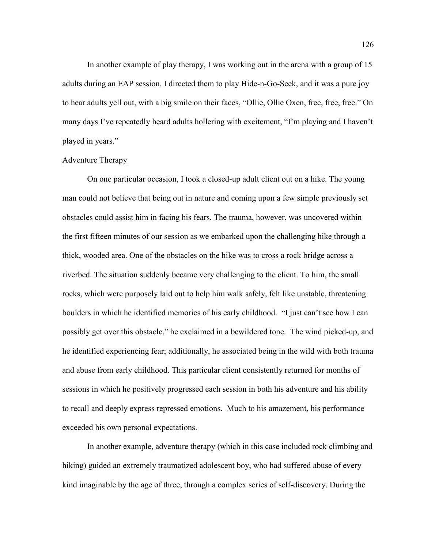In another example of play therapy, I was working out in the arena with a group of 15 adults during an EAP session. I directed them to play Hide-n-Go-Seek, and it was a pure joy to hear adults yell out, with a big smile on their faces, "Ollie, Ollie Oxen, free, free, free." On many days I've repeatedly heard adults hollering with excitement, "I'm playing and I haven't played in years."

#### Adventure Therapy

On one particular occasion, I took a closed-up adult client out on a hike. The young man could not believe that being out in nature and coming upon a few simple previously set obstacles could assist him in facing his fears. The trauma, however, was uncovered within the first fifteen minutes of our session as we embarked upon the challenging hike through a thick, wooded area. One of the obstacles on the hike was to cross a rock bridge across a riverbed. The situation suddenly became very challenging to the client. To him, the small rocks, which were purposely laid out to help him walk safely, felt like unstable, threatening boulders in which he identified memories of his early childhood. "I just can't see how I can possibly get over this obstacle," he exclaimed in a bewildered tone. The wind picked-up, and he identified experiencing fear; additionally, he associated being in the wild with both trauma and abuse from early childhood. This particular client consistently returned for months of sessions in which he positively progressed each session in both his adventure and his ability to recall and deeply express repressed emotions. Much to his amazement, his performance exceeded his own personal expectations.

In another example, adventure therapy (which in this case included rock climbing and hiking) guided an extremely traumatized adolescent boy, who had suffered abuse of every kind imaginable by the age of three, through a complex series of self-discovery. During the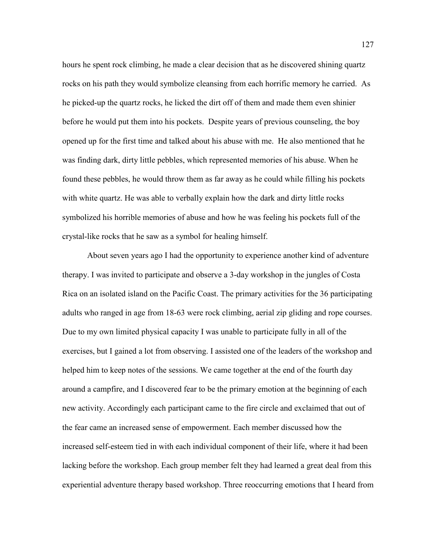hours he spent rock climbing, he made a clear decision that as he discovered shining quartz rocks on his path they would symbolize cleansing from each horrific memory he carried. As he picked-up the quartz rocks, he licked the dirt off of them and made them even shinier before he would put them into his pockets. Despite years of previous counseling, the boy opened up for the first time and talked about his abuse with me. He also mentioned that he was finding dark, dirty little pebbles, which represented memories of his abuse. When he found these pebbles, he would throw them as far away as he could while filling his pockets with white quartz. He was able to verbally explain how the dark and dirty little rocks symbolized his horrible memories of abuse and how he was feeling his pockets full of the crystal-like rocks that he saw as a symbol for healing himself.

About seven years ago I had the opportunity to experience another kind of adventure therapy. I was invited to participate and observe a 3-day workshop in the jungles of Costa Rica on an isolated island on the Pacific Coast. The primary activities for the 36 participating adults who ranged in age from 18-63 were rock climbing, aerial zip gliding and rope courses. Due to my own limited physical capacity I was unable to participate fully in all of the exercises, but I gained a lot from observing. I assisted one of the leaders of the workshop and helped him to keep notes of the sessions. We came together at the end of the fourth day around a campfire, and I discovered fear to be the primary emotion at the beginning of each new activity. Accordingly each participant came to the fire circle and exclaimed that out of the fear came an increased sense of empowerment. Each member discussed how the increased self-esteem tied in with each individual component of their life, where it had been lacking before the workshop. Each group member felt they had learned a great deal from this experiential adventure therapy based workshop. Three reoccurring emotions that I heard from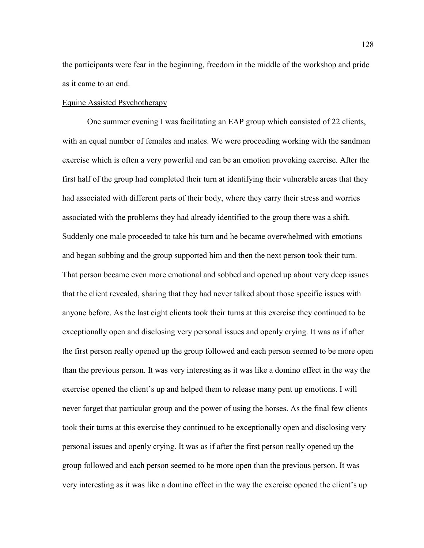the participants were fear in the beginning, freedom in the middle of the workshop and pride as it came to an end.

#### Equine Assisted Psychotherapy

One summer evening I was facilitating an EAP group which consisted of 22 clients, with an equal number of females and males. We were proceeding working with the sandman exercise which is often a very powerful and can be an emotion provoking exercise. After the first half of the group had completed their turn at identifying their vulnerable areas that they had associated with different parts of their body, where they carry their stress and worries associated with the problems they had already identified to the group there was a shift. Suddenly one male proceeded to take his turn and he became overwhelmed with emotions and began sobbing and the group supported him and then the next person took their turn. That person became even more emotional and sobbed and opened up about very deep issues that the client revealed, sharing that they had never talked about those specific issues with anyone before. As the last eight clients took their turns at this exercise they continued to be exceptionally open and disclosing very personal issues and openly crying. It was as if after the first person really opened up the group followed and each person seemed to be more open than the previous person. It was very interesting as it was like a domino effect in the way the exercise opened the client's up and helped them to release many pent up emotions. I will never forget that particular group and the power of using the horses. As the final few clients took their turns at this exercise they continued to be exceptionally open and disclosing very personal issues and openly crying. It was as if after the first person really opened up the group followed and each person seemed to be more open than the previous person. It was very interesting as it was like a domino effect in the way the exercise opened the client's up